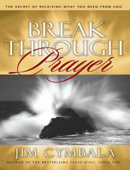THE SECRET OF RECEIVING WHAT YOU NEED FROM GOD

 $\mathsf{BR} \mathsf{F} \mathsf{AK}$ 

ICH

# **I CYMBALA**

AUTHOR OF THE BESTSELLING FRESH WIND, FRESH FIRE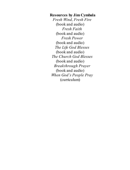#### **Resources by Jim Cymbala**

*Fresh Wind, Fresh Fire* (book and audio) *Fresh Faith* (book and audio) *Fresh Power* (book and audio) *The Life God Blesses* (book and audio) *The Church God Blesses* (book and audio) *Breakthrough Prayer* (book and audio) *When God's People Pray* (curriculum)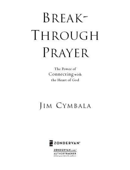# $BREAK-$ THROUGH PRAYER

The Power of Connecting with the Heart of God

# **JIM CYMBALA**

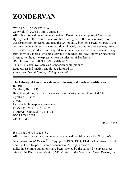## **ZONDERVAN**

#### *BREAKTHROUGH PRAYER*

Copyright © 2003 by Jim Cymbala

All rights reserved under International and Pan-American Copyright Conventions. By payment of the required fees, you have been granted the non-exclusive, nontransferable right to access and read the text of this e-book on-screen. No part of this text may be reproduced, transmitted, down-loaded, decompiled, reverse engineered, or stored in or introduced into any information storage and retrieval system, in any form or by any means, whether electronic or mechanical, now known or hereinafter invented, without the express written permission of Zondervan.

ePub Edition June 2009 ISBN: 0-310-86121-7

This title is also available as a Zondervan audio product.

Requests for information should be addressed to:

Zondervan, *Grand Rapids, Michigan 49530*

#### **The Library of Congress catalogued the original hardcover edition as follows:**

Cymbala, Jim, 1943– Breakthrough prayer : the secret of receiving what you need from God / Jim Cymbala.—1st ed. p. cm. Includes bibliographical references. ISBN-13: 978-0-310-23626-9 1. Prayer—Christianity. I. Title. BV215.C96 2003 248.3'2—dc22

2003014645

#### ISBN-13: 978-0-31025518-5

All Scripture quotations, unless otherwise noted, are taken from the *Holy Bible:*

*New International Version*®. Copyright ©1973, 1978, 1984 by International Bible Society. Used by permission of Zondervan. All rights reserved.

Italics in Scripture quotations have been inserted by the author for emphasis. KJV refers to the King James Version, NKJV refers to the *New King James Version,* and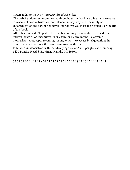NASB refers to the *New American Standard Bible.*

The website addresses recommended throughout this book are offered as a resource to readers. These websites are not intended in any way to be or imply an endorsement on the part of Zondervan, nor do we vouch for their content for the life of this book.

All rights reserved. No part of this publication may be reproduced, stored in a retrieval system, or transmitted in any form or by any means—electronic, mechanical, photocopy, recording, or any other—except for brief quotations in printed reviews, without the prior permission of the publisher.

Published in association with the literary agency of Ann Spangler and Company, 1420 Pontiac Road S.E., Grand Rapids, MI 49506.

07 08 09 10 11 12 13 • 26 25 24 23 22 21 20 19 18 17 16 15 14 13 12 11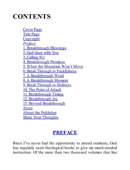# **CONTENTS**

Cover Page Title Page **Copyright** *Preface* 1. Breakthrough Blessings 2. God Goes with You 3. Calling 911 4. Breakthrough Promises 5. When the Mountain Won't Move 6. Break Through to Fruitfulness 7. A Breakthrough Word 8. A Breakthrough Moment **9. Break Through to Holiness** 10. The Point of Attack 11. Breakthrough Timing 12. Breakthrough Joy 13. Beyond Breakthrough *Notes* About the Publisher **Share Your Thoughts** 

#### **PREFACE**

**S**ince I've never had the opportunity to attend seminary, God has regularly used theological books to give me much-needed instruction. Of the more than two thousand volumes that line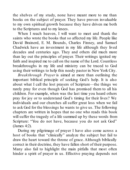the shelves of my study, none have meant more to me than books on the subject of prayer. They have proven invaluable to my own spiritual growth because they have driven me both to the Scriptures and to my knees.

When I reach heaven, I will want to meet and thank the saints who wrote the books that so affected my life. People like David Brainerd, E. M. Bounds, Charles Finney, and Samuel Chadwick have an investment in my life although they lived decades and centuries ago. They and others did much more than lay out the principles of prayer. Their writings ignited my faith and inspired me to call on the name of the Lord. Countless breakthroughs in my life and ministry can be traced to God using their writings to help this needy pastor in New York City.

*Breakthrough Prayer* is aimed at more than outlining the important biblical principle of seeking God's help. It is also about what I call the lost prayers of Scripture—the things we rarely pray for even though God has promised them to all his children. For example, when was the last time you heard others pray for joy or to understand God's timing for their lives? We individuals and our churches all suffer great loss when we fail to ask God for the blessings he wants to give us. The following chapters are written in hopes that no one who reads this book will suffer the tragedy of a life summed up by these words from Scripture: "You do not have, because you do not ask God" (James 4:2).

During my pilgrimage of prayer I have also come across a host of books that "clinically" analyze the subject but fail to draw the heart toward the throne of grace. Although biblically correct in their doctrine, they have fallen short of their purpose. Many also fail to highlight the main pitfalls that most often hinder a spirit of prayer in us. Effective praying depends not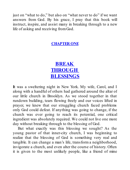just on "what to do," but also on "what never to do" if we want answers from God. By his grace, I pray that this book will instruct, inspire, and assist many in breaking through to a new life of asking and receiving fromGod.

#### **CHAPTER ONE**

#### **BREAK THROUGH BLESSINGS**

**I**t was a sweltering night in New York. My wife, Carol, and I along with a handful of others had gathered around the altar of our little church in Brooklyn. As we stood together in that rundown building, tears flowing freely and our voices lifted in prayer, we knew that our struggling church faced problems only God could defeat. If anything was going to change, if the church was ever going to reach its potential, one critical ingredient was absolutely required. We could not live one more day without breaking through to the blessing of God.

But what exactly was this blessing we sought? As the young pastor of that inner-city church, I was beginning to realize that the blessing of God is something very real and tangible. It can change a man's life, transform a neighborhood, invigorate a church, and even alter the course of history. Often it is given to the most unlikely people, like a friend of mine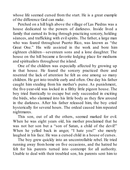whose life seemed cursed from the start. He is a great example of the difference God can make.

Perched on a hill high above the village of Las Piedras was a house dedicated to the powers of darkness. Inside lived a family that earned its living through practicing sorcery, holding séances, and trafficking with evilspirits. The father, a large man who was feared throughout Puerto Rico, was known as "the Great One." His wife assisted in the work and bore him eighteen children—seventeen sons and a lone daughter. The house on the hill became a favorite lodging place for mediums and spiritualists throughout the island.

One of the children was especially affected by growing up in that house. He feared the sorcery practiced there and resented the lack of attention he felt as one among so many children. He got into trouble early and often. One day his father caught him stealing from his mother's purse. As punishment, the five-year-old was locked in a filthy little pigeon house. The boy tried frantically to escape but only succeeded in exciting the birds, who slammed into his little body as they flew around in the darkness. After his father released him, the boy cried hysterically for several hours. The ordeal caused him repeated nightmares.

This son, out of all the others, seemed marked for evil. When he was eight years old, his mother proclaimed that he was not her son but a "son of Satan, a child of the devil!" When he yelled back in anger, "I hate you!" she merely laughed in his face. He was a cursed child in a house of curses.

The boy grew quickly into an uncontrollable rebel. He tried running away from home on five occasions, and the hatred he felt for his parents turned into contempt for all authority. Unable to deal with their troubled son, his parents sent him to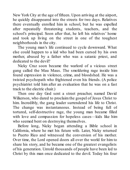New York City at the age of fifteen. Upon arriving at the airport, he quickly disappeared into the streets for two days. Relatives there eventually enrolled him in school, but he was expelled after repeatedly threatening students, teachers, and the school's principal. Soon after that, he left his relatives' home and took up living on the street in one of the toughest neighborhoods in the city.

The young man's life continued to cycle downward. What else could happen to a kid who had been cursed by his own mother, abused by a father who was a satanic priest, and dedicated to the devil?

Nicky Cruz soon became the warlord of a vicious street gang called the Mau Maus. The smoldering rage inside him found expression in violence, crime, and bloodshed. He was a twisted psychopath who frightened even his friends. (A police psychiatrist told him after an evaluation that he was on a fast track to the electric chair.)

Then one day God sent a street preacher, named David Wilkerson, who dared to proclaim the gospel of Jesus Christ to him. Incredibly, the gang leader surrendered his life to Christ. The change was instantaneous. Instead of being full of tortured, self-destructive rage, the young man became filled with love and compassion for hopeless cases—kids like him who seemed bent on destroying themselves.

Before long, Nicky began attending a Bible school in California, where he met his future wife. Later, Nicky returned to Puerto Rico and witnessed the conversion of his mother. Over time, the Lord opened doors all over the world for him to share his story, and he became one of the greatest evangelists of his generation. Untold thousands of people have been led to Christ by this man once dedicated to the devil. Today his four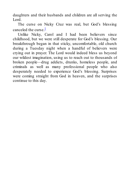daughters and their husbands and children are all serving the Lord.

The curse on Nicky Cruz was real, but God's blessing canceled the curse.<sup>1</sup>

Unlike Nicky, Carol and I had been believers since childhood, but we were still desperate for God's blessing. Our breakthrough began in that sticky, uncomfortable, old church during a Tuesday night when a handful of believers were crying out in prayer. The Lord would indeed bless us beyond our wildest imagination, using us to reach out to thousands of broken people—drug addicts, drunks, homeless people, and criminals as well as many professional people who also desperately needed to experience God's blessing. Surprises were coming straight from God in heaven, and the surprises continue to this day.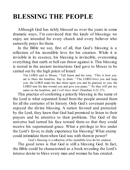### **BLESSING THE PEOPLE**

Although God has richly blessed us over the years in some dramatic ways, I'm convinced that the kinds of blessings we enjoy are intended for every church and every believer who earnestly prays for them.

In the Bible we see, first of all, that God's blessing is a reflection of his incredible love for his creation. While it is invisible in its essence, his blessing is invincible, overcoming everything that earth or hell can throw against it. This blessing is rooted in the ancient instructions God gave to Moses to be carried out by the high priest of Israel:

The LORD said to Moses, " Tell Aaron and his sons, 'This is how you are to bless the Israelites. Say to them: " The LORD *bless* you and keep you; the LORD make his face shine upon you and be gracious to you; the LORD turn his face toward you and give you neace." 'So they will nut my name on the Israelites, and *I will bless them*" (Numbers 6:22–27).

This practice of conferring a priestly blessing in the name of the Lord is what separated Israel from the people around them for all the centuries of its history. Only God's covenant people enjoyed the divine blessing. A nation favored and protected by the Lord, they knew that God had promised to listen to their prayers and be attentive to their problems. The God of the universe had turned his face toward them so that they could receive his supernatural grace. What a privilege to live under the Lord's favor, to daily experience his blessing! What enemy could intimidate themwhen God was with themin power?

God's blessing is a reflection of his incredible love for his creation.

The good news is that God is still a blessing God. In fact, the Bible could be characterized as a book revealing the Lord's intense desire to bless every man and woman he has created.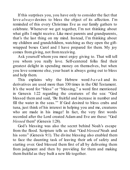If this surprises you, you have only to consider the fact that love *always* desires to bless the object of its affection. I'm reminded of this every Christmas Eve as our family gathers to celebrate. Whenever we get together, I'm not thinking about what gifts I might receive. Like most parents and grandparents, that's the last thing on my mind. Instead, I'm thinking about my children and grandchildren, watching as they open the giftwrapped boxes Carol and I have prepared for them. My joy comes from giving, not from receiving.

Ask yourself whom you most enjoy giving to. That will tell you whom you really love. Self-centered folks find their greatest delight in spending money on themselves, but when you love someone else, your heart is always going out to bless and help them.

This explains why the Hebrew word *b a r a k* and its derivatives are used more than 330 times in the Old Testament. It's the word for "bless" or "blessing," a word first mentioned in Genesis 1:22 regarding the creatures of the sea: "God blessed them and said, 'Be fruitful and increase in number and fill the water in the seas.'" If God desired to bless crabs and tuna, just think of his interest in helping you and me, creatures who are made in his image! In fact, the very first words recorded after the Lord created Adam and Eve are these: "God *blessed* them" (Genesis 1:28).

God's blessing was also the secret behind Noah's escape from the flood. Scripture tells us that "God *blessed* Noah and his sons" (Genesis 9:1). The divine blessing also enabled them to face the daunting task of leaving their ark of safety and starting over. God blessed them first of all by delivering them from judgment and then by providing for them and making themfruitful as they built a new life together.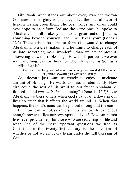Like Noah, what stands out about every man and woman God uses for his glory is that they have the special favor of heaven resting upon them. The best words any of us could ever hope to hear from God are the same ones he spoke to Abraham: "I will make you into a great nation [that is, something beyond yourself] and I will bless you" (Genesis 12:2). There it is in its simplest form. God wanted to change Abraham into a great nation, and he wants to change each of us into something more wonderful than we are at present, showering us with his blessings. How could perfect Love ever want anything less for those for whom he gave his Son as a sacrifice for sin?

God wants to change each of us into something more wonderful than we are at present, showering us with his blessings.

God doesn't just want us merely to enjoy a moderate amount of blessings. He wants to bless us abundantly. How else could the rest of his word to our father Abraham be fulfilled: "and *you will be* a blessing" (Genesis 12:2)? Like Abraham, we bless others when God's favor overflows in our lives so much that it affects the world around us. When that happens, the Lord's name can be praised throughout the earth.

But how can we bless others if we are barely eking out enough power to live our own spiritual lives? How can barren lives ever provide help for those who are searching for life and rest? One of the most important questions we face as Christians in the twenty-first century is the question of whether or not we are really living under the full blessing of God.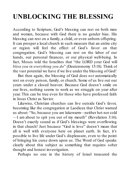# **UNBLOCKING THE BLESSING**

According to Scripture, God's blessing can rest on both men and women, because with God there is no gender bias. His blessing can rest on a family, a child, or even unborn offspring. It can prosper a local church in such measure that an entire city or region will feel the effect of God's favor on that congregation. God's blessing can rest on the labor of our hands, our personal finances, or our physical well-being. In fact, Moses told the Israelites that "the LORD your God will *bless you in everything you do*" (Deuteronomy 15:18). Think of the vast potential we have if we live under the blessing of God!

But then again, the blessing of God does *not* automatically rest on every person, family, or church. Some of us live out our years under a closed heaven. Because God doesn't smile on our lives, nothing seems to work as we struggle on year after year. This can be true even for those who have professed faith in Jesus Christ as Savior.

Likewise, Christian churches can live outside God's favor, becoming like the congregation at Laodicea that Christ warned us about: "So, because you are lukewarm—neither hot nor cold —I am about to spit you out of my mouth" (Revelation 3:16). Doesn't exactly sound as if God's blessings were overflowing in that church! Just because "God is love" doesn't mean that all is well with everyone here on planet earth. In fact, it's possible to live life under God's displeasure, even to the point of bringing his curse down upon us. The Word of God speaks clearly about this subject as something that requires sober thought and honest investigation.

Perhaps no one in the history of Israel treasured the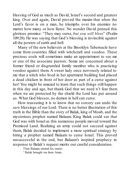blessing of God as much as David, Israel's second and greatest king. Over and again, David proved the maxim that when the Lord's favor is on a man, he triumphs over his enemies no matter how many or how fierce. No wonder David penned this glorious promise: "They may curse, *but you will bless*" (Psalm 109:28). He was saying that God's blessing is invincible against all the powers of earth and hell.

Many of the new believers at the Brooklyn Tabernacle have come from countries filled with witchcraft and voodoo. These precious souls will sometimes make an appointment to see me or one of the associate pastors. Some are concerned about a former friend or disgruntled family member who is practicing voodoo against them. A sweet lady once nervously related to me that a witch who lived in her apartment building had placed a dead chicken in front of her door as part of a curse against her! You might be amazed to learn that such things still happen in this day and age, but thank God that we need n't fear them when we are protected by the shield the Lord has put around us. What God blesses, no demon in hell can curse.

How reassuring it is to know that no sorcery can undo the *sure* blessings of our Lord. There is no better illustration of this truth in the Bible than the story of Balak, king of Moab, and the mysterious prophet named Balaam. King Balak could see that God was with Israel as this numerous people moved toward the Promised Land. Realizing an army could not succeed against them, Balak decided to implement a more spiritual strategy by hiring a prophet named Balaam to curse Israel. This proved unsuccessful in the end, but Balaam's inspired prophecy in response to Balak's request merits our careful consideration.

Then Balaam uttered his oracle:

"Balak brought me from Aram,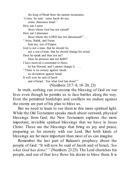the king of Moab from the eastern mountains. 'Come,'he said, 'curse Jacob for me; come, denounce Israel.' How can I curse those whom God has not cursed? How can I denounce those whom the LORD has not denounced?" " Arise, Balak, and listen; hear me, son of Zippor. God is not a man, that he should lie, nor a son of man, that he should change his mind. Does he speak and then not act? Does he promise and not fulfill? I have received a command to bless; he has blessed, and I cannot change it. " There is no sorcery against Jacob, no divination against Israel. It will now be said of Jacob and of Israel, 'See what God has done!'" (Numbers 23:7–8, 18–20, 23)

In truth, nothing can overcome the blessing of God on our lives even though he permits us to face battles along the way. Even the permitted hardships and conflicts we endure against the enemy are part of his plan to bless us.

But we need to learn to see them in this more spiritual light. While the Old Testament speaks much about outward, physical blessings from God, the New Testament explores the more important, invisible spiritual blessings that we have in Jesus Christ. These are the blessings that bring us joy and peace, preparing us for eternity with our Lord. But both kinds of blessings are far more important than most of us can imagine.

Remember the last part of Balaam's prophecy about the people of God: "It will now be said of Jacob and of Israel, *'See what God has done!'"* (Numbers 23:23). The Lord cherishes his people, and out of that love flows his desire to bless them. It is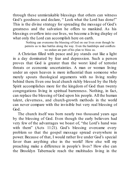through these unmistakable blessings that others can witness God's goodness and declare, "Look what the Lord has done!" This is the divine strategy for spreading the message of God's greatness and the salvation he offers to mankind. As his blessings overflow into our lives, we become a living display of what only the Lord can accomplish here on earth.

> Nothing can overcome the blessing of God on our lives even though he permits us to face battles along the way. Even the hardships and conflicts we endure are part of his plan to bless us.

A Christian filled with peace and joy stands out like a light in a day dominated by fear and depression. Such a person proves that God is greater than the worst kind of terrorist threats or economic uncertainties. A man or woman living under an open heaven is more influential than someone who merely spouts theological arguments with no living reality behind them. Even one local church richly blessed by the Holy Spirit accomplishes more for the kingdom of God than twenty congregations living in spiritual barrenness. Nothing, in fact, can replace the blessing of God upon his people. All the human talent, cleverness, and church-growth methods in the world can never compare with the invisible but very real blessing of God.

The church itself was born nearly two thousand years ago by the blessing of God. Even though the early believers had very few of the advantages we boast of, "the Lord's hand was with them" (Acts 11:21). God's blessing overcame every problem so that the gospel message spread everywhere in power. Because of that, I would rather live under God's special favor than anything else in the world! How else will my preaching make a difference in people's lives? How else can the Brooklyn Tabernacle reach the multitudes living in the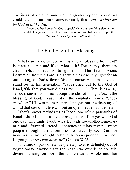emptiness of sin all around it? The greatest epitaph any of us could have on our tombstones is simply this: *"He was blessed by God in all he did."*

> I would rather live under God's special favor than anything else in the world! The greatest epitaph we can have on our tombstones is simply this: *"He was blessed by God in all he did."*

#### The First Secret of Blessing

What can we do to receive this kind of blessing from God? Is there a secret, and if so, what is it? Fortunately, there are clear biblical directions to guide us. The first obvious instruction from the Lord is that we are *to ask in prayer* for an outpouring of God's favor. You remember what made Jabez stand out in his generation: "Jabez cried out to the God of Israel, 'Oh, that you would bless me . . . !'" (1 Chronicles 4:10). Jabez, it seems, could not accept the idea of living *without* the blessing of God. Please notice the emphatic words, "Jabez *cried out.*" His was no mere mental prayer, but the deep cry of a soul that could not live without an open heaven above him.

Jabez's prayer reminds us of Jacob, one of the patriarchs of Israel, who also had a breakthrough time of prayer with God one day. One night Jacob wrestled with God-in-the-form-of-aman and afterward uttered a sentence that has inspired many people throughout the centuries to fervently seek God for more. As the man sought to leave, Jacob responded, "I will not let you go *unless you bless me*"(Genesis 32:26).

This kind of passionate, desperate prayer is definitely out of vogue today. Maybe that's the reason we experience so little divine blessing on both the church as a whole and her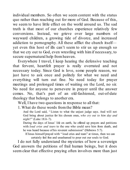individual members. So often we seem content with the status quo rather than reaching out for more of God. Because of this, we seem to have little effect on the world around us. The sad truth is that most of our churches experience relatively few conversions. Instead, we grieve over large numbers of wayward children, a growing tide of divorce, and increased addiction to pornography. All these afflict the church itself yet even this host of ills can't seem to stir us up enough so that we cry out to God, even wrestling with him if necessary, to secure supernatural help fromheaven.

Everywhere I travel, I keep hearing the defensive teaching that fervent, heartfelt prayer is really overrated and not necessary today. Since God is love, some people reason, we just have to ask once and politely for what we need and everything will turn out fine. No need today for prayer meetings and prolonged times of waiting on the Lord, no sir. No need for anyone to persevere in prayer until the answer comes. No, that's part of an old-fashioned, out-of-date theology that belongs to another era.

Well, I have two questions in response to all that:

1. What do these words fromthe Bible mean?

And the Lord said, " Listen to what the unjust judge says. And will not God bring about justice for his chosen ones, *who cry out to him day and night?*" (Luke 18:6–7).

During the days of Jesus' life on earth, he offered up prayers and petitions with *loud cries and tears* to the one who could save him from death, and he was heard because of his reverent submission" (Hebrews 5:7).

IfJesus himself prayed with " loud cries and tears" at times, then we can certainly feel free and unashamed to pour out our souls to God.

I do not fully understand the mysteries of how a sovereign God answers the petitions of frail human beings, but it does seem clear that effective praying often involves more than just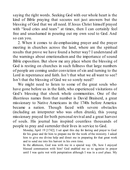saying the right words. Seeking God with our whole heart is the kind of Bible praying that secures not just answers but the blessing of God that we all need. If Jesus Christ himself prayed with "loud cries and tears" at times, then I can certainly feel free and unashamed in pouring out my own soul to God. And so can you.

2. When it comes to de-emphasizing prayer and the prayer meeting in churches across the land, where are the spiritual results that prove we have found a better way? I understand all the warnings about emotionalism and the importance of sound Bible exposition. But show me any place where the blessing of God is resting on churches in such fullness that large numbers of people are coming under conviction of sin and turning to the Lord in repentance and faith. Isn't that what we all want to see? Isn't that the blessing of God we so sorely need?

We might need to listen to some of the great souls who have gone before us in the faith, who experienced visitations of God's blessing that shook whole communities. One of the illustrious names from that number is David Brainerd, a great missionary to Native Americans in the 1740s before America became a nation. Though faced with severe obstacles (including an interpreter who was often drunk), this young missionary prayed for both personal revival and a great harvest of souls. His journal has inspired countless thousands of people to pray and surrender their lives in service to God.

Monday, April 19 [1742]. I set apart this day for fasting and prayer to God for his grace and for him to prepare me for the work of the ministry. I asked him to give me divine help and direct me in preparing for that great work and to send me into his harvest in his own time.

In the afternoon, God was with me in a special way. Oh, how I enjoyed blessed communion with him! God enabled me so to agonize in prayer until I was quite wet with perspiration although I was in a cool place. My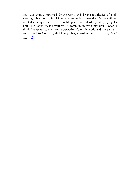soul was greatly burdened for the world and for the multitudes of souls<br>needing salvation. I think I interceded more for sime st han for the children<br>of God although I felt as if I could spend the rest of my life praying f Amen. $\frac{2}{2}$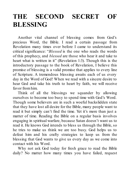## **THE SECOND SECRET OF BLESSING**

Another vital channel of blessing comes from God's precious Word, the Bible. I read a certain passage from Revelation many times over before I came to understand its critical significance: "*Blessed* is the one who reads the words of this prophecy, and *blessed* are those who hear it and take to heart what is written in it" (Revelation 1:3). Though this is the introductory passage to the book of Revelation, I believe this promise of blessing is a valid promise that applies to every line of Scripture. A tremendous blessing awaits each of us every day in the Word of God! When we read with a sincere desire to hear God and take his truth to heart by faith, we will receive favor fromhim.

Think of all the blessings we squander by allowing ourselves to become too busy to spend time with God's Word. Though some believers are in such a woeful backslidden state that they have lost all desire for the Bible, many people want to read it but simply can't find the time. Yet it's more than just a matter of time. Reading the Bible on a regular basis involves engaging in spiritual warfare, because Satan doesn't want us to read it. He knows God intends to bless us through the Bible, so he tries to make us think we are too busy. God helps us to defeat him and his crafty strategies to keep us from the blessing that God wants to give us every day as we come into contact with his Word.

Why not ask God today for fresh grace to read the Bible daily? No matter how many times you have failed, request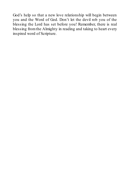God's help so that a new love relationship will begin between you and the Word of God. Don't let the devil rob you of the blessing the Lord has set before you! Remember, there is real blessing fromthe Almighty in reading and taking to heart every inspired word of Scripture.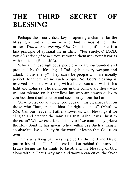# **THE THIRD SECRET OF BLESSING**

Perhaps the most critical key in opening a channel for the blessing of God is the one we often find the most difficult: the matter of *obedience through faith*. Obedience, of course, is a first principle of spiritual life in Christ: "For surely, O LORD, you *bless the righteous;* you surround them with your favor as with a shield" (Psalm 5:12).

Who are these righteous people who are surrounded and protected by the blessing of God against every weapon and attack of the enemy? They can't be people who are morally perfect, for there are no such people. No, God's blessing is reserved for those who long with all their souls to walk in his light and holiness. The righteous in this context are those who will not tolerate sin in their lives but who are always quick to confess their disobedience and seek mercy fromthe Lord.

On who else could a holy God pour out his blessings but on those who "hunger and thirst for righteousness" (Matthew 5:6)? Can our heavenly Father shower us with blessings if we cling to and practice the same sins that nailed Jesus Christ to the cross? Will we experience his favor if we continually grieve the Holy Spirit he has given to live within us? Such a thing is an absolute impossibility in the moral universe that God rules over.

That's why King Saul was rejected by the Lord and David put in his place. That's the explanation behind the story of Esau's losing his birthright to Jacob and the blessing of God along with it. That's why men and women can enjoy the favor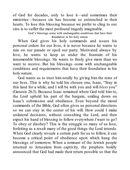of God for decades, only to lose it—and sometimes their ministries—because sin has become so entrenched in their hearts. To lose this blessing because we prefer to cling to our sins is to suffer the most profound tragedy imaginable.

> God's blessings come with unchangeable conditions that have their foundation in his holy nature.

When God gives his holy commands and issues his personal orders for our lives, it is never because he wants to rain on our parade or spoil our party. Motivated always by love, he wants to keep us under the fountain of his innumerable blessings. He wants to freely give more than we want to receive. But his blessings come with unchangeable conditions and requirements that have their foundation in his holy nature.

God wants us to trust him totally by giving him the reins of our lives. This is why he told his chosen one, Isaac, "Stay in this land for a while, and I will be with you and will *bless* you" (Genesis 26:3). Because Isaac remained where God told him to, the Lord upheld his part of the bargain, smiling down on Isaac's submission and obedience. Even beyond the moral commands of the Bible, God often gives us personal directions so we can stay in the center of his will. How could I make unilateral decisions, without consulting the Lord, and then expect his hand of blessing to follow everywhere *I* want to go? To obey or disobey? This is the struggle so many of us lose, forfeiting as a result many of the good things the Lord intends. When God clearly reveals a certain path for us to follow, it can become a critical point of obedience upon which hang the blessings of tomorrow. When a remnant of the Jewish people returned to Jerusalem from captivity, the prophets boldly announced that God had made their return possible so that the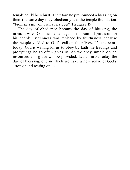temple could be rebuilt. Therefore he pronounced a blessing on them the same day they obediently laid the temple foundation: "From*this day* on I will *bless* you" (Haggai 2:19).

The day of obedience became the day of blessing, the moment when God manifested again his bountiful provision for his people. Barrenness was replaced by fruitfulness because the people yielded to God's call on their lives. It's the same today! God is waiting for us to obey by faith the leadings and promptings he so often gives us. As we obey, untold divine resources and grace will be provided. Let us make today the day of blessing, one in which we have a new sense of God's strong hand resting on us.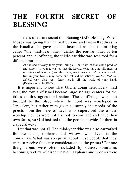## **THE FOURTH SECRET OF BLESSING**

There is one more secret to obtaining God's blessing. When Moses was giving his final instructions and farewell address to the Israelites, he gave specific instructions about something called "the third-year tithe." Unlike the regular tithe, or ten percent annual offering, the third-year tithe was reserved for a different purpose.

At the end of every three years, bring all the tithes of that year's produce and store it in your towns, so that the Levites (who have no allotment or inheritance of their own) and the *aliens, the fatherless and the widows* who live in your towns may come and eat and be satisfied, *and so that the LO R D your God may bless you* in all the work of your hands (Deuteronomy 14:28–29).

It is important to see what God is doing here. Every third year, the towns of Israel became huge storage centers for the tithes of this agricultural nation. These offerings were not brought to the place where the Lord was worshiped in Jerusalem, but rather were given to supply the needs of the priests from the tribe of Levi, who supervised the official worship. Levites were not allowed to own land and have their own farms, so God insisted that the people provide for them in a special way.

But that was not all. The third-year tithe was also earmarked for the aliens, orphans, and widows who lived in the community. What was so special about these people that they were to receive the same consideration as the priests? For one thing, aliens were often excluded by others, sometimes becoming victims of discrimination. Orphans and widows were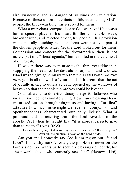also vulnerable and in danger of all kinds of exploitation. Because of these unfortunate facts of life, even among God's people, the third-year tithe was reserved for them.

What a marvelous, compassionate God we have! He always has a special place in his heart for the vulnerable, weak, brokenhearted, and rejected among his people. This provision was especially touching because aliens were not even part of the chosen people of Israel. Yet the Lord looked out for them! Compassion and concern for the downtrodden, then, is not merely part of a "liberal agenda," but is rooted in the very heart of our Creator.

However, there was even more to the third-year tithe than supplying the needs of Levites, aliens, orphans, and widows. Israel was to give generously "so that the LORD your God may *bless* you in all the work of your hands." It seems that the act of joyfully giving to others actually opened up the windows of heaven so that the people themselves could be blessed.

God still wants to do extraordinary things for followers who imitate himin compassionate giving. How many blessings have we missed out on through stinginess and having a "me-first" attitude? How much more might we receive if compassion and openhandedness characterized our daily living? What a profound and far-reaching truth the Lord revealed to the apostle Paul when he taught that "it is more *blessed* to give than to receive" (Acts 20:35).

Can we honestly say God is smiling on our life and labor? If not, why not? After all, the problem is never on the Lord's side.

Can you and I honestly say God is smiling on our life and labor? If not, why not? After all, the problem is never on the Lord's side. God wants us to seek his blessings diligently, for "he rewards those who earnestly seek him" (Hebrews 11:6).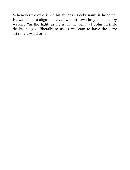Whenever we experience his fullness, God's name is honored. He wants us to align ourselves with his own holy character by walking "in the light, as he is in the light" (1 John 1:7). He desires to give liberally to us as we learn to have the same attitude toward others.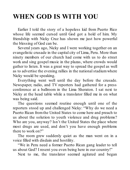## **WHEN GOD IS WITH YOU**

Earlier I told the story of a hopeless kid from Puerto Rico whose life seemed cursed until God got a hold of him. My friendship with Nicky Cruz has shown me just how powerful the blessing of God can be.

Several years ago, Nicky and I were working together on an evangelistic crusade in the capital city of Lima, Peru. More than ninety members of our church had come with us to do street work and sing gospel music in the plazas, where crowds would gather to listen. It was a great way to spread the gospel as well as to advertise the evening rallies in the nationalstadiumwhere Nicky would be speaking.

Everything went well until the day before the crusade. Newspaper, radio, and TV reporters had gathered for a press conference at a ballroom in the Lima Sheraton. I sat next to Nicky at the head table while a translator filled me in on what was being said.

The questions seemed routine enough until one of the reporters stood up and challenged Nicky: "Why do we need a Puerto Rican fromthe United States to come here and preach to us about the solution to youth violence and drug problems? Who are you, anyway? Isn't the United States the place where most drugs are used, and don't you have enough problems there to work on?"

The room grew suddenly quiet as the man went on in a voice filled with disdain and hostility.

"We in Peru need a former Puerto Rican gang leader to tell us about God? I resent you even being here in our country!"

Next to me, the translator seemed agitated and began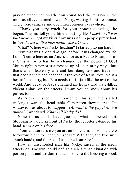praying under her breath. You could feel the tension in the room as all eyes turned toward Nicky, waiting for his response. There were cameras and open microphones everywhere.

"Thank you very much for your honest question," he began. "Let me tell you a little about my life. *I used to like to hurt people*. I got my kicks from messing up people pretty bad. In fact, *I used to like hurt people just like you*."

What? Where was Nicky heading? I started praying hard!

"But that was a long time ago, before Jesus changed my life. I didn't come here as an American or as a Puerto Rican, but as a Christian who has been changed by the power of God! You're right, America is a messed up place in many ways, but that's why I leave my wife and four daughters and travel so that people there can hear about the love of Jesus. You live in a beautiful country, but Peru needs Christ just like the rest of the world. And because Jesus changed me from a wild, hate-filled, violent animal on the streets, I want you to know about his power, too."

As Nicky finished, the reporter left his seat and started walking toward the head table. Cameramen drew near to film whatever was about to happen next. *What if the guy throws a punch?* I wondered. *What will Nicky do?*

None of us could have guessed what happened next. Stopping squarely in front of Nicky, the reporter extended his hand, a smile on his face.

"Your answer tells me you are an honest man. I will be there tomorrow night to hear you speak." With that, the two men shook hands, and the rest of us sighed our relief.

How an unschooled man like Nicky, raised in the mean streets of Brooklyn, could defuse such a tense situation with perfect poise and wisdomis a testimony to the blessing of God.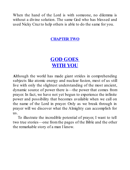When the hand of the Lord is with someone, no dilemma is without a divine solution. The same God who has blessed and used Nicky Cruz to help others is able to do the same for you.

#### **CHAPTER TWO**

#### **GOD GOES WITH YOU**

**A**lthough the world has made giant strides in comprehending subjects like atomic energy and nuclear fusion, most of us still live with only the slightest understanding of the most ancient, dynamic source of power there is—the power that comes from prayer. In fact, we have not yet begun to experience the infinite power and possibility that becomes available when we call on the name of the Lord in prayer. Only as we break through in prayer will we discover what the Almighty can accomplish for us.

To illustrate the incredible potential of prayer, I want to tell two true stories—one fromthe pages of the Bible and the other the remarkable story of a man I know.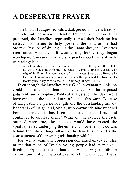## **A DESPERATE PRAYER**

The book of Judges records a dark period in Israel's history. Though God had given the land of Canaan to them exactly as promised, the Israelites repeatedly turned their back on his instructions, failing to fully possess the land as he had ordered. Instead of driving out the Canaanites, the Israelites intermarried with them. It wasn't long before they began worshiping Canaan's false idols, a practice God had solemnly warned against.

After Ehud died, the Israelites once again did evil in the eyes of the LORD. So the LORD sold them into the hands of Jabin, a king of Canaan, who reigned in Hazor. The commander of his army was Sisera. . . . Because he had nine hundred iron chariots and had cruelly oppressed the Israelites for twenty years, they cried to the LORD for help (Judges 4:1–3).

Even though the Israelites were God's covenant people, he could not overlook their disobedience. So he imposed judgment and discipline. Political analysts of the day might have explained the national turn of events this way: "Because of King Jabin's superior strength and the outstanding military leadership of his general, Sisera, who commands nine hundred iron chariots, Jabin has been able to dominate Israel and continues to oppress them." While on the surface the facts outlined were true, the analysts would have missed the spiritual reality underlying the entire chain of events. God was behind the whole thing, allowing the Israelites to suffer the consequence of their wrong relationship with him.

For twenty years this oppression continued unabated. This meant that none of Israel's young people had ever tasted freedom. Exploitation and hardship was a way of life for everyone—until one special day something changed. That's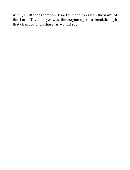when, in utter desperation, Israel decided to call on the name of the Lord. Their prayer was the beginning of a breakthrough that changed everything, as we willsee.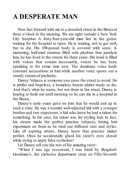## **A DESPERATE MAN**

Now fast forward with me to a deserted street in the Bronxat three o'clock in the morning. We are right outside a New York City hospital. A forty-four-year-old man lies in the gutter waiting for the hospital to open. He is waiting, not to get well, but to die. His 108-pound body is covered with sores. A muttering, half-mad creature filled with phobias that paralyze him, he has lived in the streets for three years. His head is filled with voices that scream incessantly, voices he has been speaking to for some time now. The dominant voice hurls constant accusations at him while another voice spews out a steady streamof profanity.

Danny Velasco is someone you cross the street to avoid. He is pitiful and hopeless, a homeless heroin addict ready to die. And that's what he wants, but not there in the street. Danny is hoping to hold out until morning so he can die in a hospital in the Bronx.

Danny's early years gave no hint that he would end up in such a state. He was a normal, well-adjusted kid with a younger brother and two stepsisters, a kid who knew he had a talent for something. In his case, his talent was for styling hair. In fact, his sisters made the perfect practice subjects, letting him experiment on them as he tried out different cuts and styles. Like all aspiring artists, Danny knew that practice makes perfect. Once he accidentally glued his sister's eyes closed while trying to apply false eyelashes!

Let Danny tell you the rest of his amazing story:

"When I was age seventeen, I was hired by Bergdorf-Goodman's, the exclusive department store on Fifty-Seventh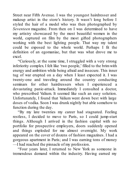Street near Fifth Avenue. I was the youngest hairdresser and makeup artist in the store's history. It wasn't long before I styled the hair of a model who was then photographed by *Seventeen* magazine. From then on I was determined to have my artistry showcased by the most beautiful women in the world, captured on film by the most gifted photographers working with the best lighting people. That way my talent could be exposed to the whole world. Perhaps I fit the definition of an egomaniac, but that was what drove me to excel.

"Curiously, at the same time, I struggled with a very strong inferiority complex. I felt like 'two people,' filled to the brimwith energy and ambition while being afraid and insecure. This inner tug of war erupted on a day when I least expected it. I was twenty-one and traveling around the country conducting seminars for other hairdressers when I experienced a devastating panic-attack. Immediately I consulted a doctor, who prescribed Valium. It seemed like such an easy solution. Unfortunately, I found that Valium went down best with large doses of vodka. Soon I was drunk nightly but able somehow to function during the day.

"By my late twenties my career had stagnated. Feeling restless, I decided to move to Paris, so I could jump-start things. Although I arrived in the fashion capital with no portfolio for prospective employers, doors suddenly opened and things exploded for me almost overnight. My work appeared on the cover of dozens of fashion magazines. I had a gorgeous apartment in Paris; and I was earning tons of money —I had reached the pinnacle of my profession.

"Four years later, I returned to New York as someone in tremendous demand within the industry. Having earned my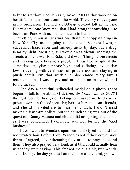ticket to stardom, I could easily make \$3,000 a day working on beautiful models from around the world. The envy of everyone in my profession, I rented a 5,000-square-foot loft in the city. But what no one knew was that I had brought something else back fromParis with me—an addiction to heroin.

"Getting heroin in Paris was one thing, but copping drugs in New York City meant going to the street. So here I was, a successful hairdresser and makeup artist by day, but a drug fiend by night. Most nights I would dress 'down,' roaming the streets of the Lower East Side, and it wasn't long before arrests and missing work became a problem. I was two people at the same time, enjoying euphoric highs and suffering devastating lows, traveling with celebrities on private jets and staying in plush hotels. But that artificial bubble ended every time I returned home. I was empty and miserable no matter where I found myself.

"One day a beautiful redheaded model on a photo shoot began to talk to me about God. *What do I know about God?* I thought. So I let her go on talking. She asked me to do some private work on the side, cutting hair for her and some friends, and she also invited me to visit her church. I didn't mind making a few extra dollars, but the church thing was out of the question. Danny Velasco and church did not go together as far as I was concerned. I definitely was not buying the 'God business.'

"Later I went to Wanda's apartment and styled her and her roommate's hair. Before I left, Wanda asked if they could pray for me. I agreed, never dreaming they meant to pray there and then! They also prayed very loud, as if God could actually hear what they were saying. This freaked me out a bit, but Wanda said, 'Danny, the day you call on the name of the Lord, you will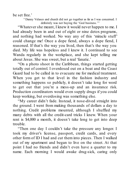be set free.'

" Danny Velasco and church did not go together as far as I was concerned. I definitely was not buying the 'God business.'"

"Whatever she meant, I knew it would never happen to me. I had already been in and out of eight or nine detox programs, and nothing had worked. No way any of this 'miracle stuff' could change me! Once a dope fiend, always a dope fiend, I reasoned. If that's the way you lived, then that's the way you died. My life was hopeless and I knew it. I continued to see Wanda regularly in the workplace, and she kept telling me about Jesus. She was sweet, but a real 'fanatic.'

"On a photo shoot in the Caribbean, things started getting totally out of control. I overdosed out on a boat and the Coast Guard had to be called in to evacuate me for medical treatment. When you get to that level in the fashion industry and something happens so publicly, it doesn't take long for word to get out that you're a mess-up and an insurance risk. Production coordinators would even supply drugs if you could keep working, but overdosing was something else.

"My career didn't fade. Instead, it nose-dived straight into the ground. I went from making thousands of dollars a day to nothing. Credit problems mounted, although I shuffled my many debts with all the credit-card tricks I knew. When your rent is \$4,000 a month, it doesn't take long to get into deep trouble.

"Then one day I couldn't take the pressure any longer. I took my driver's license, passport, credit cards, and every other form of ID I had and cut them into pieces. Then I walked out of my apartment and began to live on the street. At that point I had no friends and didn't even have a quarter to my name. Each morning I would awake drug-sick, caring only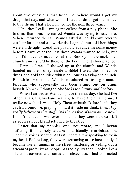about two questions that faced me: Where would I get my drugs that day, and what would I have to do to get the money to buy them? That's how I lived for the next three years.

"One day I called my agent collect from a pay phone. She told me that someone named Wanda was trying to reach me. When I returned the call, Wanda asked if I could come over to cut hair for her and a few friends. I agreed, but told her things were a little tight. Could she possibly advance me some money before I came over the next day? Wanda wanted to help, but said I'd have to meet her at the Brooklyn Tabernacle, her church, since she'd be there for the Friday night choir practice.

"Dirty as I was, I showed up at the church, and Wanda handed me the money inside a Bible! I used the money for drugs and sold the Bible within an hour of leaving the church. But while I was there, Wanda introduced me to a girl named Roberta, who supposedly had been strung out on drugs herself. *No way,* I thought. *She looks too happy and healthy.*

"When I arrived at Wanda's place the next day, she had five other fanatical Christians waiting to have their hair done. I realize now that it was a Holy Ghost ambush. Before I left, they circled around me, praying so hard it made me think, *Wow, they really believe in this stuf ! And there's five of them on me now!* I didn't believe in whatever nonsense they were into, so I left as soon as I could and returned to the street.

"After that my phobias only got worse, and I began suffering from anxiety attacks that literally immobilized me. Then the voices started. At first I heard a few speaking to me in my head. Before long, they were screaming at me incessantly. I became like an animal in the street, muttering or yelling out a streamof profanity as people passed by. By then I looked like a skeleton, covered with sores and abscesses. I had contracted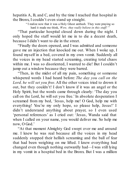hepatitis A, B, and C, and by the time I reached that hospital in the Bronx, I couldn't even stand up straight.

" I realize now that it was a Holy Ghost ambush. They were praying so hard it made me think, *Wow, they really believe in this stuf !* "

"That particular hospital closed down during the night. I only hoped the staff would let me in to die a decent death, because I didn't want to die in the street.

"Finally the doors opened, and I was admitted and someone gave me an injection that knocked me out. When I woke up, I found myself in a bed, covered in my own vomit. Suddenly all the voices in my head started screaming, creating total chaos within me. I was so disoriented, I wanted to die! But I couldn't jump out a window because they were barred.

"Then, in the midst of all my pain, something or someone whispered words I had heard before: *The day you call on the Lord, he will set you free*. All the other voices tried to drown it out, but they couldn't! I don't know if it was an angel or the Holy Spirit, but the words came through clearly: 'The day you call on the Lord, he will set you free.'In absolute desperation I screamed from my bed, 'Jesus, help me! O God, help me with everything! You're my only hope, so please help, Jesus!' I didn't understand anything about prayer, so I even used 'personal references' as I cried out: 'Jesus, Wanda said that when I called on your name, you would deliver me. So help me now, O God.'

"At that moment Almighty God swept over me and around me. I knew he was real because all the voices in my head suddenly stopped their hellish screaming and the ball of fear that had been weighing on me lifted. I knew everything had changed even though nothing outwardly had—I was still lying in my vomit in a hospital bed in the Bronx. But I was a million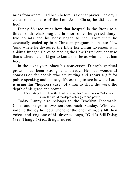miles from where I had been before I said that prayer. The day I called on the name of the Lord Jesus Christ, he did set me free!"

Danny Velasco went from that hospital in the Bronx to a three-month rehab program. In short order, he gained thirtyfive pounds and his body began to heal. From there he eventually ended up in a Christian program in upstate New York, where he devoured the Bible like a man ravenous with spiritual hunger. He loved reading the New Testament, because that's where he could get to know this Jesus who had set him free.

In the eight years since his conversion, Danny's spiritual growth has been strong and steady. He has wonderful compassion for people who are hurting and shows a gift for public speaking and ministry. It's exciting to see how the Lord is using this "hopeless case" of a man to show the world the depth of his grace and power.

It's exciting to see how the Lord is using this " hopeless case" of a man to show the world the depth of his grace and power.

Today Danny also belongs to the Brooklyn Tabernacle Choir and sings in two services each Sunday. Who can imagine the joy he feels whenever the choir members lift their voices and sing one of his favorite songs, "God Is Still Doing Great Things"! Great things, indeed!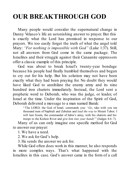# **OUR BREAKTHROUGH GOD**

Many people would consider the supernatural change in Danny Velasco's life an astonishing answer to prayer. But this is exactly what the Lord has promised in response to our prayers. We too easily forget the truth of what the angel told Mary: *"For nothing is impossible with God"* (Luke 1:37). Still, not all answers from God come in the same package. The Israelites and their struggle against their Canaanite oppressors offer a classic example of this principle.

God was about to break Israel's twenty-year bondage because his people had finally humbled themselves and begun to cry out for his help. But his solution may not have been exactly what they had been praying for. No doubt they would have liked God to annihilate the enemy army and its nine hundred iron chariots immediately. Instead, the Lord sent a prophetic word to Deborah, who was the judge, or leader, of Israel at the time. Under the inspiration of the Spirit of God, Deborah delivered a message to a man named Barak:

" The LORD, the God of Israel, commands you: '*Go*, take with you ten thousand men of Naphtali and Zebulun and *lead the way* to Mount Tabor. I will lure Sisera, the commander of Jabin's army, with his chariots and his troops to the Kishon River and *give him into your hands*'" (Judges 4:6–7).

Many of us can only imagine one specific method for God to answer our prayer:

1. We have a need.

2. We ask for God's help.

3. He sends the answer we ask for.

While God often does work in this manner, he also responds in more complex ways. That's what happened with the Israelites in this case. God's answer came in the form of a call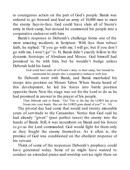to courageous action on the part of God's people. Barak was ordered to go forward and lead an army of 10,000 men to meet the enemy face-to-face. God could have slain all of Sisera's army in their camp, but instead he summoned his people into a cooperative endeavor with him.

Barak's response to Deborah's challenge forms one of the more amusing incidents in Scripture. With less than robust faith, he replied: "If you go with me, I will go; but if you don't go with me, I won't go" (v. 8). Barak didn't exactly follow in the dynamic footsteps of Abraham and Moses. God himself had promised to be with him, but he wouldn't budge unless Deborah held his hand.

God could have slain all ofSisera's army in their camp, but instead he summoned his people into a cooperative endeavor with him.

So Deborah went with Barak, and Barak marshaled his troops into position on Mount Tabor. When Sisera heard of this development, he led his forces into battle position opposite them. Now the stage was set for the Lord to do as he had promised in answer to the prayer of his people.

Then Deborah said to Barak, "Go! This is the day the LORD has given Sisera into your hands. Has not the LORD gone ahead of you?" (v. 14).

The pivotal day had come that would end twenty miserable years of servitude to the Canaanites. Notice that God said he had already "given" (past perfect tense) the enemy into the hands of Barak. Still, it was incumbent on Barak and his forces to *go* as the Lord commanded. God would fight for them only as they fought the enemy themselves. As it often is, the promise of God was conditioned on the obedient response of his servant.

Think of some of the responses Deborah's prophecy could have generated today. Some of us might have wanted to conduct an extended praise-and-worship service right there on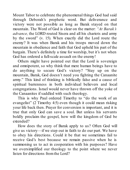Mount Tabor to celebrate the phenomenal things God had said through Deborah's prophetic word. But deliverance and victory were not possible as long as Barak stayed on that mountain. The Word of God is clear on the matter: *"At Barak's advance,* the LORD routed Sisera and all his chariots and army by the sword" (v. 15). When exactly did the Lord route the enemy? It was when Barak and his troops moved down the mountain in obedience and faith that God upheld his part of the bargain. There's definitely a time for worship, but it's not when God has ordered a full-scale assault on the enemy!

Others might have pointed out that the Lord is sovereign and omnipotent, so why think that mere human beings have to do anything to secure God's victory? "Stay up on the mountain, Barak, God doesn't need you fighting the Canaanite army." This kind of thinking is biblically false and a cause of spiritual barrenness in both individual believers and local congregations. Israel would never have thrown off the yoke of the Canaanites if saddled with such theology.

This is why Paul ordered Timothy to "do the work of an evangelist" (2 Timothy 4:5) even though it could mean risking your life back then. Prayer for conversion is important, and it is true that only God can save a soul. But unless his servants boldly proclaim the gospel, how will the kingdom of God be extended?

How does the story of Barak apply to us? Often God will give us victory—if we step out in faith to do our part. We have to obey his directions. Could it be that we sometimes fail to receive God's best because we remain passive when he is summoning us to act in cooperation with his purposes? Have we oversimplified our theology to the point where we never listen for directions fromthe Lord?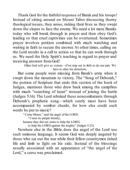Thank God for the faithful response of Barak and his troops! Instead of sitting around on Mount Tabor discussing thorny theological issues, they arose, risking their lives as they swept down the slopes to face the enemy. We need a lot more Baraks today who will break through in prayer and then obey God's leading so that cruel captivities can be overturned. Sometimes prayer involves petition combined with much watching and waiting in faith to secure the answer. At other times, calling on the Lord results in a call to action so that he can work through us. We need the Holy Spirit's teaching in regard to prayer and receiving answers fromGod!

Often God will give us victory—if we step out in faith to do our part. We have to obey his directions.

But some people were missing from Barak's army when it swept down the mountain to victory. The "Song of Deborah," the portion of Scripture that ends this section of the book of Judges, mentions those who drew back among the campfires with much "searching of heart" instead of joining the battle (Judges 5:16). The Lord rebuked these noncombatants through Deborah's prophetic song—which surely must have been accompanied by somber chords, for how else could such words be put to music?

"Curse Meroz," said the angel of the LORD.

"Curse its people bitterly,

because they did not come to help the LORD,

to help the LORD against the mighty" (Judges 5:23).

Nowhere else in the Bible does the angel of the Lord use such ominous language. It seems God was deeply angered by those who sat out the war while their fellow countrymen risked life and limb to fight on his side. Instead of the blessings usually associated with an appearance of "the angel of the Lord," a curse was proclaimed.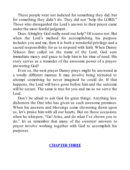These people were not indicted for something they did, but for something they didn't do. They did not "help the LORD." Those who disregarded the Lord's answer to their prayer came under the most fearful judgment.

Does Almighty God really need our help? Of course not. But when the Lord's method for accomplishing his purpose includes you and me, then it is both a wonderful privilege and a sacred responsibility for us to respond with faith. When Danny Velasco first called on the name of the Lord, God sent immediate mercy and grace to help him in his time of need. His story serves as a reminder of the awesome power of a prayeranswering God!

Even so, the next prayer Danny prays might be answered in a totally different manner. It may involve being recruited to attempt something he never imagined he could do. If that happens, the Lord will have gone before him and the outcome will be secure. The same is true for you and me as we serve the Lord.

Don't be afraid to ask God for great things. Anything less dishonors the One who has given us such awesome promises. When his answers and blessings come showering down upon us, let's praise him with all our hearts. But on those occasions when he whispers, "Go! Arise, and do what I've shown you to do," let us remember that many of the sweetest answers to prayer involve working together with God to accomplish his purposes.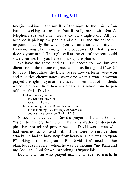#### **Calling 911**

**I**magine waking in the middle of the night to the noise of an intruder seeking to break in. You lie still, frozen with fear. A telephone sits just a few feet away on a nightstand. All you need do is pick up the phone and dial 911, and the police will respond instantly. But what if you're from another country and know nothing of our emergency procedures? Or what if panic freezes your mind? The right call at the crucial moment could save your life. But you have to pick up the phone.

We have the same kind of "911" access to God, but our direct line to the throne of grace will do us little good if we fail to use it. Throughout the Bible we see how victories were won and negative circumstances overcome when a man or woman prayed the right prayer at the crucial moment. Out of hundreds we could choose from, here is a classic illustration fromthe pen of the psalmist David:

Listen to my cry for help, my King and my God, for to you I pray. In the morning, O LORD, you hear my voice; in the morning I lay my requests before you and wait in expectation (Psalm 5:2–3).

Notice the fervency of David's prayer as he asks God to "listen to my cry for help." This is a matter of desperate pleading, not relaxed prayer, because David was a man who had enemies to contend with. If he were to survive their attacks, he had to have help from heaven. There was no "plan B" lurking in the background. But David didn't need another plan, because he knew whomhe was petitioning: "my King and my God," the Lord for whomnothing is impossible.

David is a man who prayed much and received much. In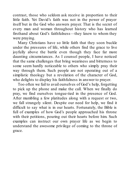contrast, those who seldom ask receive in proportion to their little faith. Yet David's faith was not in the power of prayer itself but in the God who answers prayer. That is the secret of every man and woman throughout history who has learned firsthand about God's faithfulness—they knew to whom they were praying.

Many Christians have so little faith that they soon buckle under the pressures of life, while others find the grace to live joyfully above the battle even though they face far more daunting circumstances. As I counsel people, I have noticed that the same challenges that bring weariness and bitterness to some seem hardly noticeable to others who simply pray their way through them. Such people are not operating out of a simplistic theology but a revelation of the character of God, who delights to display his faithfulness in answer to prayer.

Too often we fail to avail ourselves of God's help, forgetting to pick up the phone and make the call. When we finally do pray, we find ourselves tongue-tied in the presence of God. After mumbling a few platitudes along with a request or two, we fall strangely silent. Despite our need for help, we find it difficult to say what is in our hearts. Fortunately, the Bible is full of examples of how God's people approached his throne with their petitions, pouring out their hearts before him. Such examples can instruct our own prayer life as we begin to understand the awesome privilege of coming to the throne of grace.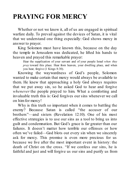## **PRAYING FOR MERCY**

Whether or not we know it, all of us are engaged in spiritual warfare daily. To prevail against the devices of Satan, it is vital that we understand one thing especially: God shows mercy in answer to prayer.

King Solomon must have known this, because on the day the temple in Jerusalem was dedicated, he lifted his hands to heaven and prayed this remarkable prayer:

Hear the supplication of your servant and of your people Israel *when they pray* toward this place. Hear from heaven, your dwelling place, and when you hear, forgive (1 Kings 8:30).

Knowing the waywardness of God's people, Solomon wanted to make certain that mercy would always be available to them. He knew that approaching a holy God always requires that we put away sin, so he asked God to hear and forgive *whenever* the people prayed to him. What a comforting and invaluable truth this is: God forgives our sins whenever we call on himfor mercy!

Why is this truth so important when it comes to battling the enemy? Because Satan is called "the accuser of our brothers"—and sisters (Revelation 12:10). One of his most effective strategies is to use our sins as a tool to bring us into guilt and condemnation. But God's grace is far greater than our failures. It doesn't matter how terrible our offenses or how often we've failed—God blots out every sin when we sincerely ask for mercy. This promise is even more precious for us because we live after the most important event in history: the death of Christ on the cross. "If we confess our sins, he is faithful and just and will forgive us our sins and purify us from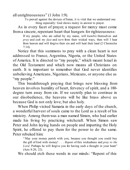all unrighteousness" (1 John 1:9).

 $\overline{a}$  To prevail against the devices of Satan, it is vital that we understand one thing especially: God shows mercy in answer to prayer.

As in every facet of prayer, a request for mercy must come froma sincere, repentant heart that hungers for righteousness:

If my people, who are called by my name, will *humble* themselves and *pray* and *seek my face* and *turn* from their wicked ways, then will I hear from heaven and will forgive their sin and will heal their land (2 Chronicles  $7.14$ 

Notice that this summons to pray with a clean heart is not addressed to France, Argentina, Nigeria, or the United States of America. It is directed to "my people," which meant Israel in the Old Testament and which now means all Christians on earth. It is important to remember that God never identifies unbelieving Americans, Nigerians, Mexicans, or anyone else as "my people."

This breakthrough praying that brings new blessing from heaven involves humility of heart, fervency of spirit, and a 180 degree turn away from sin. If we secretly plan to continue in our disobedience, the heavens will be like brass above us because God is not only love, but also holy.

When Philip visited Samaria in the early days of the church, a wonderful harvest of souls came to the Lord as a result of his ministry. Among themwas a man named Simon, who had earlier made his living by practicing witchcraft. When Simon saw Peter and John laying hands on people and imparting the Holy Spirit, he offered to pay them for the power to do the same. Peter rebuked him:

" May your money perish with you, because you thought you could buy the gift of God with money! . . . *Repent* of this wickedness and *pray to the* Lord. Perhaps he will forgive you for having such a thought in your heart" (Acts 8:20, 22).

We should etch these words in our minds: "Repent of this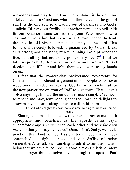wickedness and pray to the Lord." Repentance is the only true "deliverance" for Christians who find themselves in the grip of sin. It is the one sure road leading out of darkness into God's sunlight. Blaming our families, our environment, or an evil spirit for our behavior means we miss the point. Peter knew how to cast out demons but that wasn't what Simon needed. Instead, the apostle told Simon to repent and pray to the Lord. This formula, if sincerely followed, is guaranteed by God to break sin's stronghold and bring mercy "running like a prisoner set free, past all my failures to the point of my need!"<sup>1</sup> Until we take responsibility for what we do wrong, we won't find freedom even if Peter and John themselves were to lay hands on us.

I fear that the modern-day "deliverance movement" for Christians has produced a generation of people who never weep over their rebellion against God but who merely wait for the next prayer line or "man of God" to visit town. That doesn't solve anything. In fact, the solution is much simpler: We need to repent and pray, remembering that the God who delights to show mercy is near, waiting for us to call on his name.

The God who delights to show mercy is near, waiting for us to call on his name.

Sharing our moral failures with others is sometimes both appropriate and beneficial as the apostle James says: "Therefore *confess your sins* to each other and *pray for each other* so that you may be healed" (James 5:16). Sadly, we rarely practice this kind of confession today because of our entrenched self-righteousness and our dislike of being vulnerable. After all, it's humbling to admit to another human being that we have failed God. In some circles Christians rarely ask for prayer for themselves even though the apostle Paul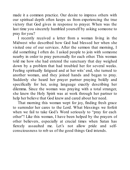made it a common practice. Our desire to impress others with our spiritual depth often keeps us from experiencing the true victory that God gives in response to prayer. When was the last time you sincerely humbled yourself by asking someone to pray for you?

I recently received a letter from a woman living in the Midwest who described how God had blessed her when she visited one of our services. After the sermon that morning, I did something I often do. I asked people to join with someone nearby in order to pray personally for each other. This woman told me how she had entered the sanctuary that day weighed down by a problem that had troubled her for several weeks. Feeling spiritually fatigued and at her wits' end, she turned to another woman, and they joined hands and began to pray. Suddenly she heard her prayer partner praying boldly and specifically for her, using language exactly describing her dilemma. Since the woman was praying with a total stranger, she knew the Holy Spirit was at work through her partner to help her believe that God knew and cared about her need.

That morning this woman wept for joy, finding fresh grace to surrender her cares to the Lord. What blessings we forfeit when we fail to take God's Word seriously to "pray for each other"! Like this woman, I have been helped by the prayers of other believers, especially at crucial times when Satan has fiercely assaulted me. Let's not allow pride and selfconsciousness to rob us of the good things God intends.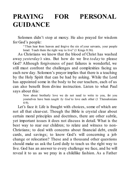## **PRAYING FOR PERSONAL GUIDANCE**

Solomon didn't stop at mercy. He also prayed for wisdom for God's people:

" Then hear from heaven and forgive the sin of your servants, your people Israel*.* Teach them the right way to live" (1 Kings 8:36).

As Christians we know that the blood of Christ has washed away *yesterday's* sins. But how do we live *today* to please God? Although forgiveness of past failures is wonderful, we still must confront the challenges and complexities facing us each new day. Solomon's prayer implies that there is a teaching by the Holy Spirit that can be had by asking. While the Lord has appointed some in the body to be our teachers, each of us can also benefit from divine instruction. Listen to what Paul says about this:

Now about brotherly love we do not need to write to you, for you yourselves have been *taught by God* to love each other (1 Thessalonians  $4.9$ 

Let's face it: Life is fraught with choices, some of which are not all that clear-cut. Though the Bible is crystal clear about certain moral principles and doctrines, there are other subtle, yet important issues it does not discuss in detail. What is the best way to rear our children; to relate and witness to non-Christians; to deal with concerns about financial debt, credit cards, and savings; to know God's will concerning a job change or relocation? These and a thousand other questions should make us ask the Lord daily to teach us the right way to live. God has an answer to every challenge we face, and he will reveal it to us as we pray in a childlike fashion. As a Father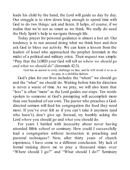leads his child by the hand, the Lord will guide us day by day. Our struggle is to slow down long enough to spend time with God to do two things: ask and listen. It helps, of course, if we realize that we're not as smart as we think. We really do need the Holy Spirit's help to navigate through life.

Today prayer for personal guidance is almost a lost art. Our tendency is to run around doing what we think best and *then* ask God to bless our activity. We can learn a lesson from the leaders of Israel who approached the prophet Jeremiah in the midst of a political and military crisis. Their request was simple: "Pray that the LORD your God will tell us *where we should go and what we should do*" (Jeremiah 42:3).

God has an answer to every challenge we face, and he will reveal it to us as we pray in a childlike fashion.

God's plan for our lives includes the "where" we should go and the "what" we should do. Waiting before him for direction is never a waste of time. As we pray, we will also learn that "less" is often "more" as the Lord guides our steps. Ten words spoken to someone at God's prompting will accomplish more than one hundred of our own. The pastor who preaches a Goddirected sermon will feed his congregation the food they need most. If you've ever felt as if you can't take it anymore (and who hasn't), don't give up. Instead, try humbly asking the Lord *where* you should go and *what* you should do.

For years I battled with insecurity about never having attended Bible school or seminary. How could I successfully lead a congregation without instruction in preaching and pastoral techniques? Now, after thirty years of church experience, I have come to a different conclusion. My lack of formal training drove me to pray a thousand times over: "Where should I go?" and "What should I do?" Seminary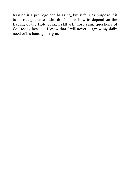training is a privilege and blessing, but it fails its purpose if it turns out graduates who don't know how to depend on the leading of the Holy Spirit. I still ask those same questions of God today because I know that I will never outgrow my daily need of his hand guiding me.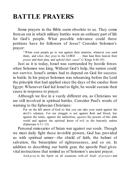#### **BATTLE PRAYERS**

Some prayers in the Bible seem obsolete to us. They come froman era in which military battles were an ordinary part of life for God's people. What possible relevance could these petitions have for followers of Jesus? Consider Solomon's prayer:

"When your people go to war against their enemies, wherever you send them, and *when they pray* to the LORD . . . then hear from heaven their *prayer* and their plea, and *uphold their cause*" (1 Kings 8:44–45).

Just as it is today, Israel was surrounded by hostile forces when Solomon was king. Without God's help, the nation could not survive. Israel's armies had to depend on God for success in battle. In his prayer Solomon was rehearsing before the Lord the principle that had applied since the days of the exodus from Egypt: Whenever God led Israel to fight, he would sustain their cause in response to prayer.

Although we live in a vastly different era, as Christians we are still involved in spiritual battles. Consider Paul's words of warning to the Ephesian Christians:

Put on the full armor of God so that you can take your stand against the devil's schemes. For our struggle is not against flesh and blood, but against the rulers, against the authorities, *against* the powers of this dark world and against the spiritual forces of evil in the heavenly realms (Ephesians 6:11–12).

Personal emissaries of Satan war against our souls. Though we must daily fight these invisible powers, God has provided us with spiritual armor—the shield of faith, the helmet of salvation, the breastplate of righteousness, and so on. In addition to describing our battle gear, the apostle Paul gives vital instructions that remind us of Solomon's ancient prayer.

And *pray* in the Spirit on all occasions with *all kinds of prayers* and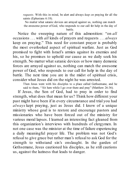*requests*. With this in mind, be alert and always *keep on* praying for all the saints (Ephesians 6:18).

No matter what satanic devices are arrayed against us, nothing can match the awesome power of God, who responds to our call for help in the day of battle.

Notice the sweeping nature of this admonition: "on *all* occasions . . . with *all* kinds of prayers and requests . . . *always* keep on praying." This need for constant prayer is probably the most overlooked aspect of spiritual warfare. Just as God promised to fight with Israel's armies against its enemies and his, so he promises to uphold our cause as we daily seek his strength. No matter what satanic devices or how many demonic forces are arrayed against us, nothing can match the awesome power of God, who responds to our call for help in the day of battle. The next time you are in the midst of spiritual crisis, consider what Jesus did on the night he was arrested.

Then Jesus went with his disciples to a place called Gethsemane, and he said to them, "Sit here while I go over there and pray" (Matthew 26:36).

If Jesus, the Son of God, had to pray in order to find strength, what does that mean for us? Think how different your past might have been if in every circumstance and trial you had *always* kept praying, just as Jesus did. I know of a unique ministry whose goal is to restore and encourage pastors and missionaries who have been forced out of the ministry for various moral lapses. I learned an interesting fact gleaned from this organization's interviews with hundreds of clergymen. In not one case was the minister at the time of failure experiencing a daily meaningful prayer life. The problem was not God's refusal to give grace but rather man's refusal to ask God for the strength to withstand sin's onslaught. In the garden of Gethsemane, Jesus cautioned his disciples, as he still cautions us, against the laziness that leads to danger.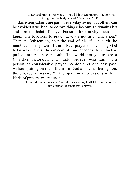"Watch and pray so that you will not fall into temptation. The spirit is willing, but the body is weak" (Matthew 26:41).

Some temptations are part of everyday living, but others can be avoided if we learn to do two things: become spiritually alert and form the habit of prayer. Earlier in his ministry Jesus had taught his followers to pray, "Lead us not into temptation." Then in Gethsemane, near the end of his life on earth, he reinforced this powerful truth. Real prayer to the living God helps us escape sinful enticements and deadens the seductive pull of others on our souls. The world has yet to see a Christlike, victorious, and fruitful believer who was not a person of considerable prayer. So don't let one day pass without putting on the full armor of God and remembering, too, the efficacy of praying "in the Spirit on all occasions with all kinds of prayers and requests."

The world has yet to see a Christlike, victorious, fruitful believer who was not a person of considerable prayer.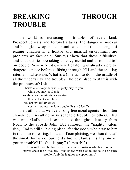## **BREAKING THROUGH TROUBLE**

The world is increasing in troubles of every kind. Prospective wars and terrorist attacks, the danger of nuclear and biological weapons, economic woes, and the challenge of rearing children in a hostile and immoral environment are problems we face daily. Surveys show that these difficulties and uncertainties are taking a heavy mental and emotional toll on people. New York City, where I pastor, was already a pretty dangerous place before suffering through 9/11 and the ensuing international tension. What is a Christian to do in the middle of all the uncertainty and trouble? The best place to start is with the promises of God:

Therefore let everyone who is godly pray to you while you may be found: surely when the mighty waters rise, they will not reach him. You are my *hiding place;* you will protect me from trouble (Psalm 32:6–7).

The truth is that we live among free moral agents who often choose evil, resulting in inescapable trouble for others. This was what God's people experienced throughout history, from Noah to the apostle John. But although the "mighty waters rise," God is still a "hiding place" for the godly who pray to him in the hour of testing. Instead of complaining, we should recall the simple formula of our Lord's brother, James: "Is any one of you in trouble? He should pray" (James 5:13).

It doesn't make biblical sense to counsel Christians who have not yet prayed about their " trouble." Who knows what God might do to help such people if only he is given the opportunity?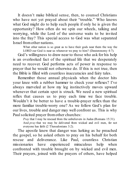It doesn't make biblical sense, then, to counsel Christians who have not yet prayed about their "trouble." Who knows what God might do to help such people if only he is given the opportunity? How often do we spin our wheels, talking and worrying, while the Lord of the universe waits to be invited into the fray? This special access to God was what separated Israel fromother nations.

What other nation is so great as to have their gods near them the way the LORD our God is near us whenever we pray to him? (Deuteronomy 4:7).

God's willingness to draw near to those who ask for his help is an overlooked fact of the spiritual life that we desperately need to recover. God performs acts of power in response to prayer that he would not otherwise do. If this is not true, then the Bible is filled with countless inaccuracies and fairy tales.

Remember those annual physicals when the doctor hits your knee with a rubber hammer to check your reflexes? I've always marveled at how my leg instinctively moves upward whenever that certain spot is struck. We need a new spiritual reflex that causes us to pray each time we face trouble. Wouldn't it be better to have a trouble-prayer reflex than the more familiar trouble-worry one? As we follow God's plan for our lives, trouble and danger may well confront us. This is why Paul solicited prayer from other churches:

*Pray* that I may be rescued from the unbelievers in Judea (Romans 15:31). And *pray* that we may be delivered from wicked and evil men, for not everyone has faith (2 Thessalonians 3:2).

The apostle knew that danger was lurking as he preached the gospel, so he asked others to pray on his behalf for both rescue and deliverance. Like Paul, countless Christian missionaries have experienced miraculous help when confronted with trouble brought on by wicked and evil men. Their prayers, joined with the prayers of others, have helped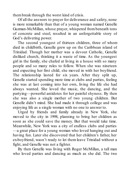thembreak through the worst kind of crisis.

Of all the answers to prayer for deliverance and safety, none is more remarkable than that of a young woman named Genelle Guzman-McMillan, whose prayer, whispered frombeneath tons of concrete and steel, resulted in an unforgettable story of God's delivering power.

The second youngest of thirteen children, three of whom died in childbirth, Genelle grew up on the Caribbean island of Trinidad. Though her mother was a devout Catholic, Genelle disliked church, thinking it a waste of time. As the youngest girl in the family, she chafed at living in a house with so many people and so many rules to follow. When she was nineteen and expecting her first child, she moved in with her boyfriend. The relationship lasted for six years. After they split up, Genelle started spending more time at clubs and parties, feeling she was at last coming into her own, living the life she had always wanted. She loved the music, the dancing, and the partying—powerful antidotes for her painful shyness. By then she was also a single mother of two young children. But Genelle didn't mind. She had made it through college and was enjoying life as a single woman with no one to answer to.

Urged by friends and family already in New York, she moved to the city in 1998, planning to bring her children as soon as she could save the money. But that would take time. Meanwhile, New York was a city of endless clubs and parties —a great place for a young woman who loved hanging out and having fun. Later she discovered that her children's father, her ex-boyfriend, wasn't ready to let them leave Trinidad without a fight, and Genelle was not a fighter.

By then Genelle was living with Roger McMillan, a tall man who loved parties and dancing as much as she did. The two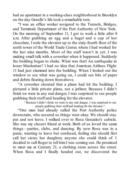had an apartment in a working-class neighborhood in Brooklyn on the day Genelle's life took a remarkable turn.

"I was an office worker assigned to the Tunnels, Bridges, and Terminals Department of the Port Authority of New York. On the morning of September 11, I got to work a little after 8 a.m. After grabbing an egg and a bagel and a cup of hot chocolate, I rode the elevator up to the sixty-fourth floor of the north tower of the World Trade Center, where I had worked for the last nine months. Most of the staff wasn't in yet. I was making small talk with a coworker when it happened. Suddenly the building began to shake. What was that! An earthquake in lower Manhattan? I had no idea that American Airlines Flight 11 had just slammed into the building. When I looked out the window to see what was going on, I could see bits of paper and debris floating down fromabove.

"A coworker shouted that a plane had hit the building. I pictured a little private plane, not a jetliner. Because I didn't think we were in any real danger, I was surprised to see people grabbing their stuff and heading for the elevator.

"Because I didn't think we were in any real danger, I was surprised to see people grabbing their stuff and heading for the elevator."

"One man had already called the Port Authority police downstairs, who assured us things were okay. We should stay put and not leave. I walked over to Rosa Gonzalez's cubicle. She was my closest friend at work. Both of us loved the same things—parties, clubs, and dancing. By now Rosa was in a panic, wanting to leave but confused, feeling she should first call her sister, her daughter, anyone she could think of. I decided to call Roger to tell him I was coming out. He promised to meet me at Century 21, a clothing store across the street. When Rosa and I finally headed out, we discovered the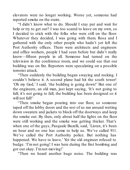elevators were no longer working. Worse yet, someone had reported smoke on the stairs.

"I didn't know what to do. Should I stay put and wait for help or try to get out? I was too scared to leave on my own, so I decided to stick with the folks who were still on the floor. Whatever they decided, I was going with them. Rosa and I gathered with the only other people who hadn't yet left the Port Authority offices. There were architects and engineers and office workers, people I had seen before but didn't really know—fifteen people in all. Someone had turned on the television in the conference room, and we could see that our building was on fire. Reporters were speculating on a possible terrorist attack.

"Then suddenly the building began swaying and rocking. I couldn't believe it. A second plane had hit the south tower! 'Oh my God,' I said, 'the building is going down!' But one of the engineers, an old man, just kept saying, 'It's not going to fall; it's not going to fall; the building has been designed so it will not fall!'

"Then smoke began pouring into our floor, so someone taped off the lobby doors and the rest of us ran around wetting down sweaters and jackets to block off the doorways and keep the smoke out. By then, only about half the lights on the floor were still working and the smoke was getting thicker. That's when one of the guys, Pasquale Buzelli, said, 'Listen, it's been an hour and no one has come to help us. We've called 911. We've called the Port Authority police. But nothing has happened. We have to leave.' Yet the old engineer refused to budge. 'I'm not going! I was here during the first bombing and got out okay. I'mnot moving!'

"Then we heard another huge noise. The building was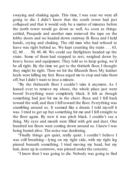swaying and shaking again. This time, I was sure we were all going to die. I didn't know that the south tower had just collapsed and that it would only be a matter of minutes before the north tower would go down as well. As soon as things settled, Pasquale and another man removed the tape on the lobby doors and we headed down stairway B. Rosa and I held hands, crying and shaking. The old man who had refused to leave was right behind us. We kept counting the stairs . . . 63, 62, 60 . . . 50, 49, 48. We could see firefighters headed up the stairs. Some of them had stopped to rest, weighed down by heavy hoses and equipment. They told us to keep going, we'd be all right. By the time we got to the thirtieth floor, I thought they might be right. Then we hit the fifteenth floor. My leather heels were killing my feet. Rosa urged me to stop and take them off, but I didn't want to lose a minute.

"By the thirteenth floor I couldn't take it anymore. As I leaned over to remove my shoes, the whole place just went boom! Everything went completely black. It felt as though something had just hit me in the chest. Rosa and I fell back toward the wall, and then I fell toward the floor. Everything was crumbling around us. It seemed like a dream. I told myself it was. I tried to get up but something hit me and I fell straight to the floor again. By now it was pitch black. I couldn't see a thing. My eyes and mouth were filled with grit and dust. One hundred ten floors were coming down around us. I knew I was being buried alive. The noise was deafening.

"Finally things got quiet, really quiet. I couldn't believe I was still breathing—lying on my right side, with my right leg pinned beneath something. I tried moving my head, but my hair, done up in cornrows, was pinned under the concrete.

"I knew then I was going to die. Nobody was going to find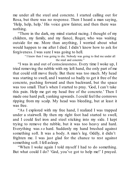me under all the steel and concrete. I started calling out for Rosa, but there was no response. Then I heard a man saying, 'Help, help, help.' His voice grew fainter, and then there was nothing.

"There in the dark, my mind started racing. I thought of my children, my family, and my fiancé, Roger, who was waiting outside for me. More than anything, I worried about what would happen to me after I died. I didn't know how to ask for forgiveness. I was sure I was going to hell.

" I knew then I was going to die. Nobody was going to find me under all the steel and concrete."

"I was in and out of consciousness. Every time I woke up, I tried removing the rubble with my left hand, the only part of me that could still move freely. But there was too much. My head was starting to swell, and I wanted so badly to get it free of the concrete, pushing forward and then backward, but the space was too small. That's when I started to pray. 'God, I can't take this pain. Help me get my head free of the concrete.' Then I made one hard pull, yanking upwards. I could feel the cornrows ripping from my scalp. My head was bleeding, but at least it was free.

"As I explored with my free hand, I realized I was trapped under a stairwell. By then my right foot had started to swell, and I could feel iron and steel sticking into my side. I kept trying to remove the rubble, but it was too heavy and hard. Everything was *s o* hard. Suddenly my hand brushed against something soft. It was a body. A man's leg. Oddly, it didn't frighten me. I was just glad for the chance to rest against something soft. I fell asleep.

"When I woke again I told myself I had to do something. But what could I do? 'God, you've got to help me!' I prayed.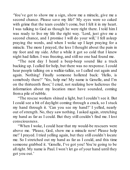'You've got to show me a sign, show me a miracle, give me a second chance. Please save my life!' My eyes were so caked with grime that the tears couldn't come, but I felt it in my heart. I was talking to God as though he were right there. I told him I was ready to live my life the right way. Tord, just give me a second chance, and I promise I will do your will,' I fell as leep praying the words, and when I woke up I kept praying for a miracle. The more I prayed, the less I thought about the pain in my foot and my side. After a while it got so cold that I knew night had fallen. I was freezing, and still no one had found me.

"The next day I heard a beep-beep sound like a truck backing up. I called for help, but there was no response. I could hear people talking on a walkie-talkie, so I called out again and again. Nothing! Finally someone hollered back: 'Hello, is somebody there?' 'Yes, help me! My name is Genelle, and I'm on the thirteenth floor,' I cried, not realizing how ludicrous the information about my location must have sounded, coming froma pile of rubble.

"The rescue workers shined a light, but I couldn't see it. But I could see a bit of daylight coming through a crack, so I stuck my hand through it. 'Can you see my hand?' I yelled, nearly out of strength. No, they saw nothing. I asked again, stretching my hand as far as I could. But they still couldn't find me. I lost consciousness.

"When I woke, I could hear that my would-be rescuers were above me. 'Please, God, show me a miracle now! Please help me!'I prayed. I tried yelling again, but they still couldn't locate me. So I stretched out my hand as far as I could, and this time someone grabbed it. 'Genelle, I've got you! You're going to be all right. My name is Paul. I won't let go of your hand until they get you out.'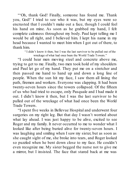"'Oh, thank God! Finally, someone has found me. Thank you, God!' I tried to see who it was, but my eyes were so encrusted that I couldn't make out a face, though I could feel his hand on mine. As soon as he grabbed my hand, I felt complete calmness throughout my body. Paul kept telling me I would be all right, and I believed him. I kept his name in my head because I wanted to meet him when I got out of there, to thank him.

> " I didn't know it then, but I was the last survivor to be pulled out of the wreckage of what had once been the World Trade Towers."

"I could hear men moving steel and concrete above me, trying to get to me. Finally, two men took hold of my shoulders and Paul let go of my hand. They put me on a stretcher and then passed me hand to hand up and down a long line of people. When the sun hit my face, I saw them all lining the path, firemen and workers. Everyone was clapping. It had been twenty-seven hours since the towers collapsed. Of the fifteen of us who had tried to escape, only Pasquale and I had made it out. I didn't know it then, but I was the last survivor to be pulled out of the wreckage of what had once been the World Trade Towers.

"I spent five weeks in Bellevue Hospital and underwent four surgeries on my right leg. But that day I wasn't worried about what lay ahead. I was just happy to be alive, excited to see Roger and my family. It never occurred to me to wonder what I looked like after being buried alive for twenty-seven hours. I was laughing and smiling when I saw my sister, but as soon as she caught sight of me, she broke into tears, and Roger looked so puzzled when he bent down close to my face. He couldn't even recognize me. My sister begged the nurse not to give me a mirror, but I insisted. The face that stared back at me was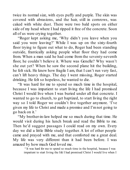twice its normal size, with eyes puffy and purple. The skin was covered with abrasions, and the hair, still in cornrows, was caked with white dust. There were two bald spots on either side of my head where I had ripped it free of the concrete. Soon all of us were crying together.

"Roger kept asking me, 'Why didn't you leave when you said you were leaving?' While I was up on the sixty-fourth floor trying to figure out what to do, Roger had been standing outside, frantically asking people what floor they had come from. When a man said he had come from the seventy-seventh floor, he couldn't believe it. Where was Genelle? Why wasn't she out yet? When he saw the second plane hit the building, he felt sick. He knew how fragile I am, that I can't run very fast, can't lift heavy things. The day I went missing, Roger started drinking. He felt so hopeless, he wanted to die.

"It was hard for me to spend so much time in the hospital, because I was impatient to start living the life I had promised Christ I would live when I was buried under all that concrete. I wanted to go to church, to get baptized, to start living the right way so I told Roger we couldn't live together anymore. 'I've given my life to Christ and made a promise and I'mnot going to go back on it.'

"My brother-in-law helped me so much during that time. He would visit during his lunch break and read the Bible to me. Then he'd suggest passages I could read on my own. Every day we did a little Bible study together. A lot of other people came and prayed with me, and that comforted me a great deal. My life was very different than it had been before. I was amazed by how much God loved me.

" It was hard for me to spend so much time in the hospital, because I was impatient to start living the life I had promised Christ I would live when I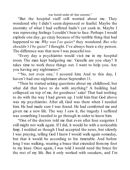"But the hospital staff still worried about me. They wondered why I didn't seem depressed or fearful. Maybe the enormity of what I had suffered hadn't yet sunk in. Maybe I was repressing feelings I couldn't bear to face. Perhaps I would explode one day, go crazy because of the terrible thing that had happened to me. *Why was I so quiet?* they wondered. *But why shouldn't I be quiet?* I thought. I've always been a shy person. The difference was that now I was peaceful too.

"Every day a psychiatrist would visit me in my hospital room. The man kept badgering me: 'Genelle are you okay? It takes time to work these things out. I want to help you. Are you having any nightmares?'

"'No, not even one,' I assured him. And to this day, I haven't had one nightmare about September 11.

"Then he started asking questions about my childhood, but what did that have to do with anything? A building had collapsed on top of me, for goodness'sake! That had nothing to do with the way I had grown up. I told him that God above was my psychiatrist. After all, God was there when I needed him. He had made sure I was found. He had comforted me and given me a new life. The way I saw it, the tragedy I suffered was something I needed to go through in order to know him.

"One of the doctors told me that even after four surgeries I still might not walk again. If I did, it would be with a noticeable limp. I nodded as though I had accepted the news, but silently I was praying, telling God I knew I would walk again someday, but that it would be according to his timetable. And before long I was walking, wearing a brace that extended from my foot to my knee. Once again, I was told I would need the brace for the rest of my life. But it only worked with sneakers, and I'm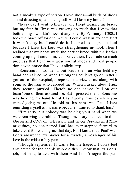not a sneakers type of person. I love shoes—all kinds of shoes —and dressing up and being tall. And I love my boots!

"Every day I went to therapy, and I kept wearing my brace, but my faith in Christ was growing so much that I knew that before long I wouldn't need it anymore. By February of 2002 I took the brace off for one minute. I could walk in my bare feet! It wasn't easy but I could do it. I started to laugh out loud because I knew the Lord was strengthening my foot. Then I realized that my boots made the perfect brace, with the leather coming up tight around my calf. Since then, I've made so much progress that I can now wear normal shoes and most people don't even notice that I have a slight limp.

"Sometimes I wonder about Paul, the man who held my hand and calmed me when I thought I couldn't go on. After I got out of the hospital, a reporter interviewed me along with some of the men who rescued me. When I asked about Paul, they seemed puzzled. 'There's no one named Paul on our team,' one of them assured me. But I pressed them: 'Someone was holding my hand for at least twenty minutes when you were digging me out. He told me his name was Paul. I kept reminding myself of his name because I wanted to thank him.'

"'I'm sorry, but nobody was holding your hand when we were removing the rubble.' Though my story has been told on *Oprah* and *CNN* on television and in *Guideposts* a n d *Time* magazines, no one named Paul has ever stepped forward to take credit for rescuing me that day. But I know that 'Paul' was God's answer to my prayer for a miracle, a messenger of his love in the midst of my pain.

"Though September 11 was a terrible tragedy, I don't feel any hatred for the people who did this. I know that it's God's job, not mine, to deal with them. And I don't regret the pain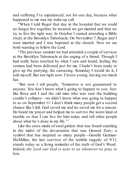and suffering I've experienced, not for one day, because what happened to me was my wake-up call.

"When I told Roger that day in the hospital that we could no longer live together, he insisted we get married and that we try to live the right way. In October I started attending a Bible study at the Brooklyn Tabernacle. On November 7, Roger and I were married and I was baptized at the church. Now we are both wanting to follow the Lord.

"The previous summer we had attended a couple of services at the Brooklyn Tabernacle at the urging of a friend. Though I had really been touched by what I saw and heard, feeling the sermon had been delivered just for me, I hadn't been ready to give up the partying, the carousing. Someday I would do it, I told myself. But not right now. I'mtoo young, having too much fun.

"But now I tell people, 'Tomorrow is not guaranteed to anyone. You don't know what's going to happen to you. Just like Rosa and I and the old man who was sure the building couldn't collapse—we didn't know what was going to happen to us on September 11. I don't think many people get a second chance like I did. God saved me and he saved me for a reason. He heard my prayer and helped me to survive the worst kind of trouble so that I can live for him today and tell other people about what he's done in my life.'"

Like the cross made of steel girders that was found standing in the midst of the devastation that was Ground Zero—a symbol that has inspired so many people—Genelle Guzman-McMillan, the last survivor of the terrible tragedy of 9/11, stands today as a living reminder of the truth of God's Word. Indeed, *the Lord our God is near to us whenever we pray to him*.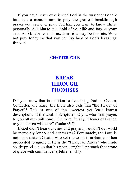If you have never experienced God in the way that Genelle has, take a moment now to pray the greatest breakthrough prayer you can ever pray. Tell him you want to know Christ personally. Ask him to take hold of your life and forgive your sins. As Genelle reminds us, tomorrow may be too late. Why not pray today so that you can lay hold of God's blessings forever?

#### **CHAPTER FOUR**

## **BREAK THROUGH PROMISES**

**D**id you know that in addition to describing God as Creator, Comforter, and King, the Bible also calls him "the Hearer of Prayer"? This is one of the sweetest yet least known descriptions of the Lord in Scripture: "O you who hear prayer, to you all men will come." Or, more literally, "Hearer of Prayer, to you all men will come" (Psalm65:2).

If God didn't hear our cries and prayers, wouldn't our world be incredibly lonely and depressing? Fortunately, the Lord is not some distant Creator who set the world in motion and then proceeded to ignore it. He is the "Hearer of Prayer" who made costly provision so that his people might "approach the throne of grace with confidence" (Hebrews 4:16).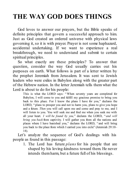# **THE WAY GOD DOES THINGS**

God loves to answer our prayers, but the Bible speaks of definite principles that govern a successful approach to him. Just as God created an ordered universe with physical laws governing it, so it is with prayer. Prayer is not some haphazard, accidental undertaking. If we want to experience a real breakthrough, we need to understand and submit to certain spiritual principles.

So what exactly are these principles? To answer that question, consider the way God usually carries out his purposes on earth. What follows is part of a letter written by the prophet Jeremiah from Jerusalem. It was sent to Jewish leaders who were exiles in Babylon along with the greater part of the Hebrew nation. In the letter Jeremiah tells them what the Lord is about to do for his people:

This is what the LORD says: "When seventy years are completed for Babylon, I will come to you and fulfill my gracious promise to bring you back to this place. For I know the plans I have for you," declares the LORD, "plans to prosper you and not to harm you, plans to give you hope and a future. *Then* you will call upon me and come and pray to me, and I will listen to you. You will seek me and find me when you seek me with all your heart*. I will be found by you,*" declares the LORD, " *and will bring you back* from captivity. I will gather you from all the nations and places where I have banished you," declares the LORD, " and will bring you back to the place from which I carried you into exile" (Jeremiah 29:10– 14).

Let's analyze the sequence of God's dealings with his people as found in this passage:

1. The Lord has future *plans* for his people that are shaped by his loving-kindness toward them. He never intends themharm, but a future full of his blessings.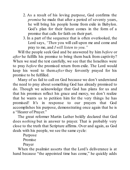- 2. As a result of his loving purpose, God confirms the *promise* he made that after a period of seventy years, he will bring his people home from exile in Babylon. God's plan for their future comes in the form of a promise that calls for faith on their part.
- 3. In a part of the sequence that is often overlooked, the Lord says, *"Then* you will call upon me and come and pray to me, and *I will listen to you."*

Will the people seek God and be answered by him *before* or *after* he fulfills his promise to bring them back from captivity? When we read the text carefully, we see that the Israelites were to pray *before* the promised return from exile. The Lord would keep his word to them*after* they fervently prayed for his promise to be fulfilled.

Many of us fail to call on God because we don't understand the need to pray about something God has already promised to do. Though we acknowledge that God has plans for us and that his promises reflect his grace and mercy, we don't realize that he wants us to petition him for the very things he has promised! It's in response to our prayers that God accomplishes his purpose, demonstrating once again that he is a "Hearer of Prayer."

The great reformer Martin Luther boldly declared that God does *nothing* but in answer to prayer. That is probably very close to the truth that Scripture affirms. Over and again, as God deals with his people, we see the same cycle:

Purpose

Promise

Prayer

When the psalmist asserts that the Lord's deliverance is at hand because "the appointed time has come," he quickly adds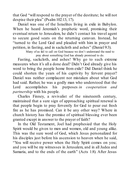that God "will respond to the prayer of the destitute; he will not despise their plea" (Psalm102:13, 17).

Daniel was one of the Israelites living in exile in Babylon. When he heard Jeremiah's prophetic word, promising their eventual return to Jerusalem, he didn't contact his travel agent to secure good seats on the returning caravan. Instead, he "turned to the Lord God and pleaded with him in prayer and petition, in fasting, and in sackcloth and ashes" (Daniel 9:3).

Many of us fail to call on God because we don't understand the need to pray about something God has already promised to do.

Fasting, sackcloth, and ashes! Why go to such extreme measures when it's all a done deal? Didn't God already give his word to bring the people home from exile? Did Daniel think he could shorten the years of his captivity by fervent prayer? Daniel was neither complacent nor mistaken about what God had said. Rather, he was a godly man who understood that the Lord accomplishes his purposes in *cooperation* and Lord accomplishes his purposes *in cooperation and partnership* with his people.

Charles Finney, a revivalist of the nineteenth century, maintained that a sure sign of approaching spiritual renewal is that people begin to pray fervently for God to pour out fresh fire as he has promised. Can it be any other way? Where in church history has the promise of spiritual blessing ever been granted except in answer to the prayer of faith?

In the Old Testament, Joel had prophesied that the Holy Spirit would be given to men and women, old and young alike. This was the sure word of God, which Jesus personalized for his disciples just before his ascension to heaven when he said, "You will receive power when the Holy Spirit comes on you; and you will be my witnesses in Jerusalem, and in all Judea and Samaria, and to the ends of the earth" (Acts 1:8). After Jesus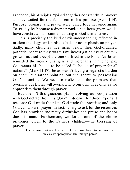ascended, his disciples "joined together constantly in prayer" as they waited for the fulfillment of his promise (Acts 1:14). Purpose, promise, and prayer were joined together once again. To sit idly by because a divine promise had been given would have constituted a misunderstanding of God's intentions.

This is precisely the kind of misunderstanding reflected in modern theology, which places little or no emphasis on prayer. Sadly, many churches live miles below their God-ordained potential because they waste time investigating every churchgrowth method except the one outlined in the Bible. As Jesus reminded the money changers and merchants in the temple, God wants his house to be called "a house of prayer for all nations" (Mark 11:17). Jesus wasn't laying a legalistic burden on them, but rather pointing out the secret to possessing God's promises. We need to realize that the promises that overflow our Bibles will overflow into our own lives only as we appropriate themthrough prayer.

But doesn't this gracious plan involving our cooperation with God detract from his glory? It doesn't for three important reasons: God made the plan; God made the promise; and only God can answer prayer! In fact, failing to ask for the resources God has promised indirectly diminishes the praise and honor due his name. Furthermore, we forfeit one of the choice privileges given to the Father's children—the blessing of prayer.

The promises that overflow our Bibles will overflow into our own lives only as we appropriate them through prayer.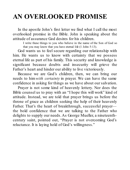# **AN OVERLOOKED PROMISE**

In the apostle John's first letter we find what I call the most overlooked promise in the Bible. John is speaking about the attitude of assurance God desires for his children.

I write these things to you who believe in the name of the Son of God so that you may know that you have eternal life (1 John 5:13).

God wants us to feel secure regarding our relationship with him. He wants us to know with certainty that we possess eternal life as part of his family. This security and knowledge is significant because doubts and insecurity will grieve the Father's heart and hinder our ability to live victoriously.

Because we are God's children, then, we can bring our needs to him*with certainty* in prayer. We can have the same confidence in asking for things as we have about our salvation.

Prayer is not some kind of heavenly lottery. Nor does the Bible counsel us to pray with an "I hope this will work" kind of attitude. Instead, we are told that prayer brings us before the throne of grace as children seeking the help of their heavenly Father. That's the heart of breakthrough, successful prayer the bold confidence that we are talking to the Father who delights to supply our needs.As George Mueller, a nineteenthcentury saint, pointed out, "Prayer is not overcoming God's reluctance. It is laying hold of God's willingness."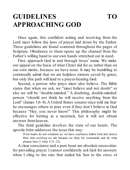## **GUIDELINES TO APPROACHING GOD**

Once again, this confident asking and receiving from the Lord must follow the laws of prayer laid down by the Father. These guidelines are found scattered throughout the pages of Scripture. Obedience to them opens up the channel from the Father's willing hand to our own hands stretched out in need.

First, approach God in and through Jesus' name. We make our appeal on the basis of what Christ did for us rather than on our own merits, because we have none. It may be humbling to continually admit that we are helpless sinners saved by grace, but only this path will lead to a prayer-hearing God.

Second, a person who prays must also believe. The Bible states that when we ask, we "must believe and not doubt" or else we will be "double-minded." A doubting, double-minded person "should not think he will receive anything from the Lord" (James 1:6–8). A United States senator once told me that he encourages others to pray even if they don't believe in God because "Hey, you never know!" This philosophy might be effective for betting at a racetrack, but it will not obtain answers fromheaven.

The third guideline involves the state of our hearts. The apostle John addresses the issue this way:

If our hearts do not condemn us, we have *confidence* before God and receive from him *anything* we ask because we obey his commands and do what pleases him (1 John 3:21–22).

A clear conscience and a pure heart are absolute necessities for prevailing prayer. I cannot confidently ask God for answers when I cling to the sins that nailed his Son to the cross of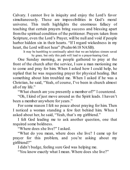Calvary. I cannot live in iniquity and enjoy the Lord's favor simultaneously. These are impossibilities in God's moral universe. This truth highlights the enormous fallacy of teaching that certain prayers bring success and blessing apart fromthe spiritual condition of the petitioner. Prayers taken from Scripture, even the Lord's Prayer, will be null and void if people harbor hidden sin in their hearts. "If I regard wickedness in my heart, the Lord will not hear" (Psalm66:18 NASB).

It may be humbling to continually admit that we are helpless sinners saved by grace, but only this path will lead to a prayer-hearing God.

One Sunday morning, as people gathered to pray at the front of the church after the service, I saw a man motioning me to come and pray for him. When I asked how I could help, he replied that he was requesting prayer for physical healing. But something about him troubled me. When I asked if he was a Christian, he said, "Yeah, of course, I've been in church almost all of my life."

"What church are you presently a member of?" I countered.

"Oh, I kind of just move around as the Spirit leads. I haven't been a member anywhere for years."

For some reason I felt no peace about praying for him. Then I noticed a woman standing a few feet behind him. When I asked about her, he said, "Yeah, that's my girlfriend."

I felt God leading me to ask another question, one that required some boldness.

"Where does she live?" I asked.

"What do you mean, where does she live? I came up for prayer for this problem, and you're asking about my girlfriend?"

I didn't budge, feeling sure God was helping me.

"You know exactly what I mean. Where does she live?"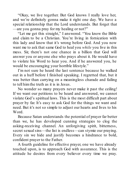"Okay, we live together. But God knows I really love her, and we're definitely gonna make it right one day. We have a special relationship that the Lord understands. But forget that —are you gonna pray for my healing or not?"

"Let me get this straight," I answered. "You know the Bible and claim to be a Christian. You're living in fornication with this lady and know that it's wrong before God. And you now want me to ask that same God to heal you *while* you live in this mess. Sir, there's not one chance in a billion that God will answer you or anyone else who prays about it. He would have to violate his Word to hear you. And if he answered you, he would be encouraging your horrible lifestyle."

I'm not sure he heard the last sentence because he walked out in a huff before I finished speaking. I regretted that, but it was better than carrying on a meaningless charade and failing to tell himthe truth as it is in Jesus.

No wonder so many prayers never make it past the ceiling! If we want our petitions to be heard and answered, we cannot violate God's spiritual laws. This is the most difficult part about prayer by far. It's easy to ask God for the things we want and need. But it's not so simple to adjust our hearts and lives to his Word.

Because Satan understands the potential of prayer far better than we, he has developed cunning strategies to clog the asking-receiving channel. An unforgiving spirit, bitterness, secret sexual sins—the list is endless—can stymie our praying. Every sin we hide and justify becomes a hindrance to bold, confident prayer to the Father.

A fourth guideline for effective prayer, one we have already touched upon, is to approach God with assurance. This is the attitude he desires from every believer every time we pray.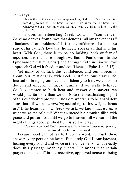John says:

This is the confidence we have in approaching God: that if we ask anything according to his will, he hears us. And if we know that he hears us whatever we ask—we know that we have what we asked of him (1 John 5:14–15).

John uses an interesting Greek word for "confidence." *Parresia* derives from a root that denotes "all outspokenness," "frankness," or "boldness." It is the confidence of a child so sure of his father's love that he freely speaks all that is in his heart. With God, there is to be no holding back or fear of rejection. It is the same thought we find in Paul's word to the Ephesians: "In him [Christ] and through faith in him we may approach God with freedomand confidence" (Ephesians 3:12).

Yet many of us lack this confidence, and our insecurity about our relationship with God is stifling our prayer life. Instead of bringing our needs confidently to him, we cloak our doubt and unbelief in mock humility. If we really believed God's guarantee to both hear and answer our prayers, we would pray far more than we do. Note the breathtaking import of this overlooked promise. The Lord wants us to be absolutely sure that "if we ask *anything* according to his will, he hears us." If he hears us, "*whatever* we ask, we know that *we have* what we asked of him." What an incredible promise filled with grace and power! Not until we go to heaven will we learn of the mighty things accomplished by this sort of prayer.

If we really believed God's guarantee to both hear and answer our prayers, we would pray far more than we do.

Because God cannot fail to keep his word, he must, then, answer every petition he hears. But surely God is omnipresent, hearing every sound and voice in the universe. So what exactly does this passage mean by "hears"? It means that certain prayers are "heard" in the receptive, approved sense of being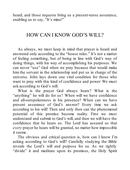heard, and those requests bring us a present-tense assurance. enabling us to say, "It's mine!"

### HOW CAN I KNOW GOD'S WILL?

As always, we must keep in mind that prayer is heard and answered only according to the "house rules." It's not a matter of feeling something, but of being in line with God's way of doing things, with his way of accomplishing his purposes. We can never "use" God when we pray because that would make him the servant in the relationship and put us in charge of the universe. John lays down one vital condition for those who want to pray with this kind of confidence and power: We must ask according to God's will.

What is the prayer God always hears? What is the "anything" he will do for us? When will we have confidence and all-outspokenness in his presence? When can we have present assurance of God's answer? Every time we ask according to his will! Then and only then can the phenomenal potential of this promise become reality. First we must understand and submit to God's will, and then we will have the confidence that he hears us. The Lord has assured us that *every* prayer he hears will be granted, no matter how impossible it seems.

The obvious and critical question is, how can I know I'm asking according to God's will? Carefully studying the Bible reveals the Lord's will and purpose for us. As we rightly "divide" it and meditate upon its promises, the Holy Spirit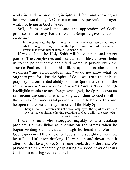works in tandem, producing insight and faith and showing us how we should pray. A Christian cannot be powerful in prayer while not living in God's Word.

Still, life is complicated and the application of God's promises is not easy. For this reason, Scripture gives a second guideline:

In the same way, the Spirit helps us in our weakness. We do not know what we ought to pray for, but the Spirit himself intercedes for us with groans that words cannot express (Romans 8:26).

If we let him, the Holy Spirit will be our personal prayer partner. The complexities and heartaches of life can overwhelm us to the point that we can't find words in prayer. Even the apostle Paul experienced this dilemma; he talks about "our weakness" and acknowledges that "we do not know what we ought to pray for." But the Spirit of God dwells in us to help us pray beyond our limited ability, for "the Spirit intercedes for the saints *in accordance with God's will* " (Romans 8:27). Though intelligible words are not always employed, the Spirit assists us in meeting the conditions of asking according to God's will the secret of all successful prayer. We need to believe this and be open to the present-day ministry of the Holy Spirit.

Though intelligible words are not always employed, the Spirit assists us in meeting the conditions of asking according to God's will—the secret of all successful prayer.

I knew a man who struggled mightily with a drinking problem. He was living as a drunk on the streets when he began visiting our services. Though he heard the Word of God, experienced the love of believers, and sought deliverance, he still couldn't stop drinking. He went up and down, month after month, like a yo-yo. Sober one week, drunk the next. We prayed with him, repeatedly explaining the good news of Jesus Christ, but nothing seemed to help.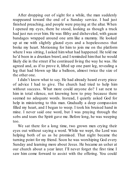After dropping out of sight for a while, the man suddenly reappeared toward the end of a Sunday service. I had just finished preaching, and people were praying at the altar. When I opened my eyes, there he stood, looking as though a truck had just run over him. He was filthy and disheveled, with gauze bandages wrapped around one arm like a mummy. He looked up at me with slightly glazed eyes and a hopelessness that broke my heart. Motioning for him to join me on the platform where I was sitting, I asked himwhat had happened. He told me he'd been in a drunken brawl, and I reminded himthat he would likely die in the street if he continued living the way he was. He agreed and, as if to prove it, lifted up one pant leg, revealing a leg that had blown up like a balloon, almost twice the size of the other one.

I didn't know what to say. He had already heard every piece of advice I had to give. The church had tried to help him without success. What more could anyone do? I sat next to him in total silence, not knowing how to pray because there seemed no adequate words. Instead, I quietly asked God for help in ministering to this man. Gradually a deep compassion filled my heart, and I began to weep. I took his bruised hand in mine. I never said one word, but I was praying through the sobs and tears the Spirit gave me. Before long, he was weeping

too.<br>We sat there for a long time, two grown men crying their eyes out without saying a word. While we wept, the Lord was helping both of us as he promised. That night became the turning point for my friend. Soon he was worshiping God every Sunday and learning more about Jesus. He became an usher at our church about a year later. I'll never forget the first time I saw him come forward to assist with the offering. You could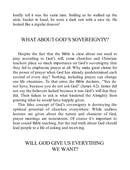hardly tell it was the same man. Smiling as he walked up the aisle, basket in hand, he wore a dark suit with a nice tie. He looked like a regular deacon!

### WHAT ABOUT GOD'S SOVEREIGNTY?

Despite the fact that the Bible is clear about our need to pray according to God's will, some churches and Christian teachers place so much importance on God's sovereignty that they fail to emphasize prayer at all. Why make great claims for the power of prayer when God has already predetermined each second of every day? Nothing, including prayer, can change our life situations. To that error, the Bible declares, "You do not have, because you do not ask God" (James 4:2). James did not say the believers lacked because it was God's will that they did. Their failure to ask is what hindered the Almighty from granting what he would have happily given.

This false concept of God's sovereignty is destroying the spiritual potential of churches everywhere. While endless lectures are given about the nature and character of God, prayer meetings are nonexistent. Of course it's important to hear sound Bible teaching, but the real truth about God should lead people to a life of asking and receiving.

### WILL GOD GIVE US EVERYTHING WE WANT?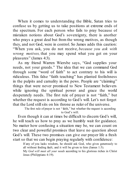When it comes to understanding the Bible, Satan tries to confuse us by getting us to take positions at extreme ends of the spectrum. For each person who fails to pray because of mistaken notions about God's sovereignty, there is another who prays a great deal but from the wrong motives, as though they, and not God, were in control. So James adds this caution: "When you ask, you do not receive, *because you ask with wrong motives,* that you may spend what you get on your pleasures" (James 4:3).

As my friend Warren Wiersbe says, "God supplies your needs, not your greeds." The idea that we can command God through some "word of faith" to act contrary to his will is ridiculous. This false "faith teaching" has planted foolishness in the pulpits and carnality in the pews. People are "claiming" things that were never promised to New Testament believers while ignoring the spiritual power and grace the world desperately needs. The first rule of prayer is not "faith," but whether the request is according to God's will. Let's not forget that the Lord stillsits on his throne as ruler of the universe.

The first rule of prayer is not " faith," but whether the request is according to God's will.

Even though it can at times be difficult to discern God's will, he will teach us how to pray as we humbly wait for guidance. No matter how confusing a situation may be, we can count on two clear and powerful promises that leave no question about God's will. These two promises can give our prayer life a fresh start so that we can begin praying regularly with confidence:

If any of you lacks wisdom, he should ask God, who gives generously to all without finding fault, and it will be given to him (James 1:5).

My *God will meet all your needs* according to his glorious riches in Christ Jesus (Philippians 4:19).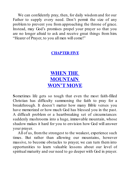We can confidently pray, then, for daily wisdom and for our Father to supply every need. Don't permit the size of any problem to prevent you from approaching the throne of grace. Instead, may God's promises propel your prayer so that you are no longer afraid to ask and receive great things from him. "Hearer of Prayer, to you all men will come!"

### **CHAPTER FIVE**

## **WHEN THE MOUNTAIN WON'TMOVE**

**S**ometimes life gets so tough that even the most faith-filled Christian has difficulty summoning the faith to pray for a breakthrough. It doesn't matter how many Bible verses you have memorized or how much God has blessed you in the past. A difficult problem or a heartbreaking set of circumstances suddenly mushrooms into a huge, immovable mountain, whose shadow makes it hard for you to envision how God will answer your prayer.

All of us, fromthe strongest to the weakest, experience such times. But rather than allowing our mountains, however massive, to become obstacles to prayer, we can turn them into opportunities to learn valuable lessons about our level of spiritual maturity and our need to go deeper with God in prayer.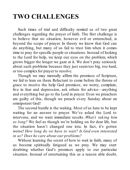# **TWO CHALLENGES**

Such times of trial and difficulty remind us of two great challenges regarding the prayer of faith. The first challenge is to believe that no situation, however evil or entrenched, is beyond the scope of prayer. In theory we know that God can do anything, but many of us fail to trust him when it comes time to pray for specific people or situations. Instead of looking to the Lord for help, we keep our eyes on the problem, which grows bigger the longer we gaze at it. We don't pray seriously about such problems because they just seem too big, too hard, or too complexfor prayer to resolve.

Though we may mentally affirm the promises of Scripture, we fail to lean on them. Reluctant to come before the throne of grace to receive the help God promises, we worry, complain, live in fear and depression, ask others for advice—anything and everything but go to the Lord in prayer. Even we preachers are guilty of this, though we preach every Sunday about an omnipotent God!

The second hurdle is the waiting. Most of us hate to be kept waiting for an answer to prayer. We've asked the Lord to intervene, and we want immediate results. *What's taking him so long?* We feel as though we're holding on for dear life, but the situation hasn't changed one iota. In fact, it's gotten worse! *How long do we have to wait? Is God even interested in us? Does he care about our problems?*

Without learning the secret of how to wait in faith, many of us become spiritually fatigued as we pray. We may start doubting whether God's promises apply to our particular situation. Instead of entertaining this as a reason able doubt,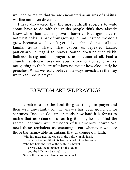we need to realize that we are encountering an area of spiritual warfare not often discussed.

I have discovered that the most difficult subjects to write about have to do with the truths people think they already know while their actions prove otherwise. Total ignorance is not what holds us back from growing in God. Instead, we don't grow because we haven't yet fully embraced these all-toofamiliar truths. That's what causes us repeated failure, particularly in regard to prayer. Sound doctrine that yields faithless living and no prayer is no doctrine at all. Find a church that doesn't pray and you'll discover a preacher who's not getting to the heart of things no matter how eloquently he preaches. What we really believe is always revealed in the way we talk to God in prayer.

#### TO WHOM ARE WE PRAYING?

This battle to ask the Lord for great things in prayer and then wait expectantly for the answer has been going on for centuries. Because God understands how hard it is for us to realize that no situation is too big for him, he has filled the sacred Scriptures with reminders of his awesome power. We need these reminders as encouragement whenever we face those big, immovable mountains that challenge our faith.

Who has measured the waters in the hollow of his hand, or with the breadth of his hand marked off the heavens? Who has held the dust of the earth in a basket, or weighed the mountains on the scales and the hills in a balance? Surely the nations are like a drop in a bucket;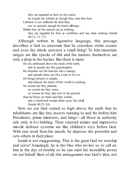they are regarded as dust on the scales;

he weighs the islands as though they were fine dust.

Lebanon is not sufficient for altar fires

nor its animals enough for burnt offerings.

Before him all the nations are as nothing;

they are regarded by him as worthless and less than nothing (Isaiah  $40.12$ ,  $15-17$ ).

Although written in figurative language, this passage describes a God so awesome that he considers entire oceans and even the whole universe a small thing! To him mountain ranges are like specks of dirt and the nations themselves are only a drop in the bucket. But there is more:

He sits enthroned above the circle of the earth,

and its people are like grasshoppers.

He stretches out the heavens like a canopy, and spreads them out like a tent to live in.

He brings princes to naught and reduces the rulers of this world to nothing.

No sooner are they planted,

no sooner are they sown,

no sooner do they take root in the ground,

than he blows on them and they wither,

and a whirlwind sweeps them away like chaff (Isaiah 40:22–24).

Now we see God seated so high above the earth that its inhabitants are like tiny insects running to and fro before him. Presidents, prime ministers, and kings—all those in authority rule only at *his* bidding. Their vaunted armies and impressive missile defense systems are like children's toys before God. With one word from his mouth, he deposes the powerful and sets others in their place.

Isaiah is not exaggerating. This is the great God we worship and serve! Amazingly, he is the One who invites us to call on him in the day of trouble so he can exert his incredible power on our behalf. Best of all, this arrangement was God's idea, not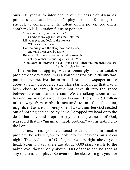ours. He yearns to intervene in our "impossible" dilemmas, problems that are like child's play for him. Knowing our struggle to comprehend the extent of his power, God offers another vivid illustration for us to ponder:

" To whom will you compare me? Or who is my equal?" says the Holy One. Lift your eyes and look to the heavens: Who created all these? He who brings out the starry host one by one, and calls them each by name. Because of his great power and mighty strength, not one of them is missing (Isaiah 40:25–26). God yearns to intervene in our " impossible" dilemmas, problems that are like child's play for him.

I remember struggling with a seemingly insurmountable problemone day when I was a young pastor. My difficulty was put into perspective the moment I read a newspaper article about a newly discovered star. This star is so huge that, had it been close to earth, it would not have fit into the space between the earth and the sun! We are talking about a star beyond our wildest imagination, because the sun is 93 million miles away from earth. It occurred to me that this star, magnificent as it is, is merely one of a vast number God created out of nothing and called by name. I dropped my head onto the desk that day and wept for joy at the greatness of God, reassured that my "insurmountable problem" was as nothing to the Lord.

The next time you are faced with an insurmountable problem, I'd advise you to look into the heavens on a clear night. The evidence of God's greatness is right above your head. Scientists say there are about 7,000 stars visible to the naked eye, though only about 2,000 of these can be seen at any one time and place. So even on the clearest night you see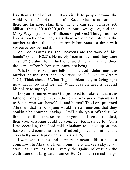less than a third of all the stars visible to people around the world. But that's not the end of it. Recent studies indicate that there are far more stars than the eye can see, perhaps 200 billion—that's 200,000,000,000—in our own galaxy, and the Milky Way is just one of millions of galaxies! Though no one knows exactly how many stars there are, one estimate puts the number at three thousand million billion stars—a three with sixteen zeroes behind it.

As God assures us, the "heavens are the work of [his] hands" (Psalm 102:25). He merely "commanded and they were created" (Psalm 148:5). Just one word from him, and three thousand million billion stars came into being.

What's more, Scripture tells us that God "determines the number of the stars and *calls them each by name*" (Psalm 147:4). Think about it! What "big" problem are you facing right now that is too hard for him? What possible need is beyond his ability to supply?

Do you remember when God promised to make Abraham the father of many children even though he was an old man married to Sarah, who was herself old and barren? The Lord promised Abraham that his offspring would be so numerous that they couldn't be counted, saying, "I will make your offspring like the dust of the earth, so that if anyone could count the dust, then your offspring could be counted" (Genesis 13:16). On a later occasion, the Lord told Abraham to "look up at the heavens and count the stars—if indeed you can count them... . So shall your offspring be" (Genesis 15:5).

I wonder if that second comparison seemed like a bit of a comedown to Abraham. Even though he could see a sky full of stars—as many as 2,000—surely the grains of dust on the earth were of a far greater number. But God had in mind things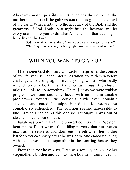Abraham couldn't possibly see. Science has shown us that the number of stars in all the galaxies could be as great as the dust of the earth. What a tribute to the accuracy of the Bible and the greatness of God. Look up at night into the heavens and let every star inspire you to do what Abraham did that evening he believed the Lord.

> God " determines the number of the stars and calls them each by name." What "big" problem are you facing right now that is too hard for him?

### WHEN YOU WANT TO GIVE UP

I have seen God do many wonderful things over the course of my life, yet I still encounter times when my faith is severely challenged. Not long ago, I met a young woman who badly needed God's help. At first it seemed as though the church might be able to do something. Then, just as we were making progress, we were suddenly faced with an insurmountable problem—a mountain we couldn't climb over, couldn't sidestep, and couldn't budge. Her difficulties seemed so complex, so entrenched. The solution seemed impossible to find. Maybe I had to let this one go, I thought. I was out of ideas and nearly out of faith.

Farah was born in Haiti, the poorest country in the Western hemisphere. But it wasn't the stifling poverty that hurt her as much as the sense of abandonment she felt when her mother left forAmerica shortly after she was born. She ended up living with her father and a stepmother in the rooming house they owned.

Fromthe time she was six, Farah was sexually abused by her stepmother's brother and various male boarders. Convinced no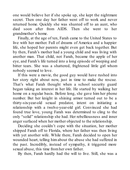one would believe her if she spoke up, she kept the nightmare secret. Then one day her father went off to work and never returned home. Quickly she was shunted off to an aunt, who died soon after from AIDS. Then she went to her grandmother's home.

Finally, at the age of ten, Farah came to the United States to live with her mother. Full of dreams of America and a happier life, she hoped her parents might even get back together. But by then, Farah's mother had a young child and was living with another man. That child, not Farah, became the apple of her eye, and Farah's life turned into a long episode of weeping and bitter tears. She was a shattered, frightened little girl whom nobody seemed to love.

If this were a movie, the good guy would have rushed into her story right about now, just in time to make the rescue. That's what Farah thought when a school security guard began taking an interest in her life. He started by walking her home on a regular basis. Before long, she gave him her phone number. But her knight in shining armor turned out to be a thirty-six-year-old sexual predator, intent on initiating a relationship with a twelve-year-old girl. Convinced she had found true love, young Farah was determined to cling to the only "solid" relationship she had. Her rebelliousness and inner anger surfaced when her mother objected to the relationship.

Deciding she couldn't cope with the situation, her mother shipped Farah off to Florida, where her father was then living with yet another wife. While there, Farah decided to open her wounded heart, telling him about the abuse she had suffered in the past. Incredibly, instead of sympathy, it triggered more sexual abuse, this time fromher own father.

By then, Farah hardly had the will to live. Still, she was a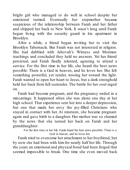bright girl who managed to do well in school despite her emotional turmoil Eventually her stepmother became suspicious of the relationship between Farah and her father and shipped her back to New York. It wasn't long until Farah began living with the security guard in his apartment in Brooklyn.

After a while, a friend began inviting her to visit the Brooklyn Tabernacle. But Farah was not interested in religion. She had dabbled with Jehovah's Witness and Mormon teachings and concluded they held no answers. Yet her friend persisted, and Farah finally relented, agreeing to attend a service. For the first time in her life, she heard the best news possible: There is a God in heaven, and he loves her. She felt something powerful, yet tender, wooing her toward the light. Farah wanted to open her heart to Jesus, but a dark stronghold held her back from full surrender. The battle for her soul raged on.

Farah had become pregnant, and the pregnancy ended in a miscarriage. It happened when she was alone one day at her high school. That experience sent her into a deeper depression, but one that made her envy the joy-filled Christians who stayed in contact with her. At nineteen, she became pregnant again and gave birth to a daughter. Her mother was so shamed by the news that she turned her back on Farah and her granddaughter.

For the first time in her life, Farah heard the best news possible: There is a God in heaven, and he loves her.

Farah tried to overcome her attachment to her boyfriend, but by now she had been with him for nearly half her life. Through the years an emotional and physical bond had been forged that seemed impossible to break. One time she even moved back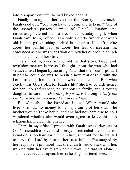into his apartment after he had kicked her out.

Finally, during another visit to the Brookyn Tabernacle, Farah cried out, "God, you have to come and help me!" One of the associate pastors learned of Farah's situation and immediately referred her to me. That Tuesday night, when Farah came to my office, I saw only a pretty twenty one-yearold Haitian girl clutching a child in her arms. I hadn't a clue about her painful past or about her fear of meeting me, convinced as she was that I would throw her out of the church as soon as I heard her story.

Tears filled my eyes as she told me that story. Anger and revulsion rose up in me as I thought about the man who had seduced her. I began by assuring Farah that the most important thing she could do was to begin a new relationship with the Lord, trusting him for the answers she needed. But what exactly was God's plan for Farah's life? She had so little going for her—no self-respect, no supportive family, and a young daughter to care for. *One thing is for sure,* I thought. *Only the Lord can deliver and heal this fractured life.*

But what about the immediate issues? Where would she live? She had no money for an apartment of her own. Her mother wouldn't take her in, and she had nowhere else to go. I wondered whether she would even agree to leave this sick relationship if given the chance.

There in my office I prayed with Farah, reassuring her of God's incredible love and mercy. I reminded her that no situation is too hard for him. In return, she told me she wanted to serve the Lord by putting her trust in him. Encouraged by her response, I promised that the church would stick with her, walking with her every step of the way. She wasn't alone, I said, because Jesus specializes in healing shattered lives.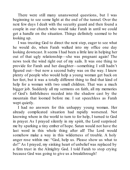There were still many unanswered questions, but I was beginning to see some light at the end of the tunnel. Over the next few days I dealt with the security guard and then found a couple in our church who would take Farah in until we could get a handle on the situation. Things definitely seemed to be looking up.

I was trusting God to direct the next step, eager to see what he would do, when Farah walked into my office one day looking downcast. It seems I had been a little late in helping her out of that ugly relationship—she was pregnant again! The news took the wind right out of my sails. It was one thing to provide for Farah and her daughter—something I still hadn't figured out—but now a second baby was on the way. I knew plenty of people who would help a young woman get back on her feet, but it was a totally different thing to find that kind of help for a woman with two small children. That was a much bigger job. Suddenly all my sermons on faith, all my memories of God's faithfulness receded into the shadow cast by the mountain that loomed before me. I sat speechless as Farah wept quietly.

I had no answers for this unhappy young woman. Her already complicated situation had rapidly worsened. Not knowing where in the world to turn to for help, I turned to God in prayer. As I prayed silently in my spirit, the Lord surprised me by sparking a tiny ember of hope. Satan would not have the last word in this whole thing after all! The Lord would somehow make a way in this wilderness of trouble. A holy anger rose within me: "God, help us. Please show us what to do!" As I prayed, my sinking heart of unbelief was replaced by a firm trust in the Almighty God. I told Farah to stop crying because God was going to give us a breakthrough!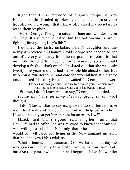Right then I was reminded of a godly couple in New Hampshire who headed up New Life, the finest ministry for troubled young women that I knew of. I asked my secretary to reach themby phone.

"Hello! George, I've got a situation here and wonder if you can help. It's very complicated, but the bottom line is, we're fighting for a young lady's life."

I outlined the facts, including Farah's daughter and the newly discovered pregnancy. I told George she needed to get out of the city and away from the temptation to return to that man. She needed to have her mind renewed so she could develop a fresh outlook on life. I pointed out that she was only twenty-one years old and had her whole life ahead of her. But who could minister to her and care for two children at the same time? I asked. I held my breath as I waited for George's answer.

That day God was gracious, not only to a broken young woman from

Haiti, but also to a pastor whose faith had begun to falter.

"Brother, I don't know what to say," George responded.

*Please don't say anything if you're going to say no,* I thought.

"I don't know what to say except we'll do our best to make room for Farah and her children. God will help us somehow. How soon can you get her up here for an interview?"

Elated, I told Farah the good news, filling her in on all that New Life had to offer. She was relieved to know that someone was willing to take her. Not only that, she and her children would be well cared for, living in the New England mansion that housed New Life's ministry.

What a tender, compassionate God we have! That day he was gracious, not only to a broken young woman from Haiti, but also to a pastor whose faith had begun to falter. No wonder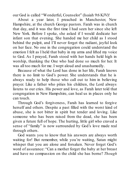our God is called "Wonderful, Counselor" (Isaiah 9:6 KJV)!

About a year later, I preached in Manchester, New Hampshire, at the church George pastors. Farah was in church that day, and it was the first time I had seen her since she left New York. Before I spoke, she asked if I would dedicate her infant son that evening. She handed me her child as I stood behind the pulpit, and I'll never forget the radiant, joyful look on her face. No one in the congregation could understand the emotion I felt as I held that baby in my arms and lifted my voice to God. As I prayed, Farah stood with her hands held high in worship, thanking the One who had done so much for her. It was all too much for me. I wept aloud and unashamedly.

Because of what the Lord has done in her life, Farah knows there is no limit to God's power. She understands that he is always ready to help those who call out to him in believing prayer. Like a father who pities his children, the Lord always listens to our cries. His power and love, as Farah later told that congregation in New Hampshire, can heal us in places only he can touch.

Through God's forgiveness, Farah has learned to forgive herself and others. Despite a past filled with the worst kind of abuse, she is not bitter in spirit but tender and loving. Like someone who has been raised from the dead, she has been given a future full of hope. The hurting, little girl who craved a sense of "family" is now surrounded by God's love made real through others.

God wants you to know that his answers are always worth waiting for! But remember, while you're waiting, Satan might whisper that you are alone and forsaken. Never forget God's word of assurance: "Can a mother forget the baby at her breast and have no compassion on the child she has borne? *Though*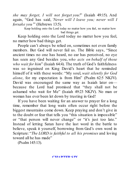*she may forget, I will not forget you!*" (Isaiah 49:15). And again, "God has said, *'Never will I leave you; never will I forsake you'*" (Hebrews 13:5).

> Keep holding onto the Lord today no matter how you feel, no matter how bad things get.

Keep holding onto the Lord today no matter how you feel, no matter how bad things get.

People can't always be relied on, sometimes not even family members. But God will never fail us. The Bible says, "Since ancient times no one has heard, no ear has perceived, no eye has seen any God besides you, *who acts on behalf of those who wait for him*" (Isaiah 64:4). The truth of God's faithfulness was so ingrained on King David's heart that he reminded himself of it with these words: "My soul, *wait silently for God alone*, for my expectation is from Him" (Psalm 62:5 NKJV). David was encouraged the same way as Isaiah later on because the Lord had promised that "they shall not be ashamed who wait for Me" (Isaiah 49:23 NKJV). No man or woman has ever been let down by trusting in God!

If you have been waiting for an answer to prayer for a long time, remember that long waits often occur right before the biggest mountains come down. Keep praying and don't give in to the doubt or fear that tells you "this situation is impossible" or "that person will never change" or "it's just too late." Instead of letting Satan have the last word in the battle to believe, speak it yourself, borrowing from God's own word in Scripture: "*The LORD is faithful to all his promises* and loving toward all he has made"

(Psalm145:13).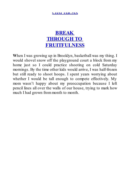**CHAPTER SIX**

## **BREAK THROUGH TO FRUITFULNESS**

**W**hen I was growing up in Brooklyn, basketball was my thing. I would shovel snow off the playground court a block from my home just so I could practice shooting on cold Saturday mornings. By the time other kids would arrive, I was half-frozen but still ready to shoot hoops. I spent years worrying about whether I would be tall enough to compete effectively. My mom wasn't happy about my preoccupation because I left pencil lines all over the walls of our house, trying to mark how much I had grown frommonth to month.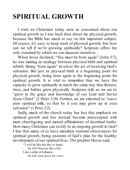# **SPIRITUAL GROWTH**

I wish we Christians today were as concerned about our spiritual growth as I was back then about my physical growth, because the Bible has much to say on this important subject. Of course, it's easy to keep track of physical growth, but how can we tell if we're growing spiritually? Scripture offers the only standard by which we can measure ourselves.

When Jesus declared, "You must be born again" (John 3:7), he was making an analogy between physical birth and spiritual rebirth. Being "born again" involves the act of receiving God's salvation. But just as physical birth is a beginning point for physical growth, being born again is the beginning point for spiritual growth. It is vital to remember that we have the capacity to grow spiritually in much the same way that flowers, trees, and babies grow physically. Scripture tells us we are to "grow in the grace and knowledge of our Lord and Savior Jesus Christ" (2 Peter 3:18). Further, we are exhorted to "crave pure spiritual milk, so that by it you may grow up in your salvation" (1 Peter 2:2).

Sadly, much of the church today has lost this emphasis on spiritual growth and has instead become preoccupied with mere churchgoing and mental affirmations of doctrinal truths. How many Christians can testify to an ongoing growth in God? I fear that many of us have mistaken outward observances for spiritual growth, being unaware of God's plan for the healthy development of our spiritual lives. The prophet Hosea said,

" I will be like the dew to Israel; he will *blossom* like a lily. Like a cedar of Lebanon he will *send down his roots;*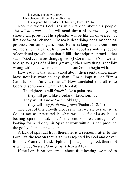his young shoots will grow. His splendor will be like an olive tree

his fragrance like a cedar of Lebanon" (Hosea 14:5–6).

Note the words God uses when talking about his people: "he will *blossom . . .* he will send down his *roots . . .* young shoots will *grow . . .* His splendor will be like an olive *tree . . .* like a *cedar* of Lebanon." Hosea is describing not a mechanical process, but an organic one. He is talking not about mere membership in a particular church, but about a spiritual process of continual growth, one that fulfills the scriptural promise that says, "God . . . makes things grow" (1 Corinthians 3:7). If we fail to display signs of spiritual growth, either something is terribly wrong with us or we never had life fromGod to begin with.

How sad it is that when asked about their spiritual life, many have nothing more to say than "I'm a Baptist" or "I'm a Catholic" or "I'm charismatic." How unrelated this all is to God's description of what is truly vital:

The righteous will *flourish* like a palmtree,

they will grow like a cedar of Lebanon; . . .

They willstill *bear fruit* in old age,

they willstay *fresh and green* (Psalm92:12, 14).

The goal of this growth process is that we are to *bear fruit*. God is not as interested in what we "do" for him as in our bearing spiritual fruit. That's the kind of breakthrough he's looking for. And only his Spirit at work within us can produce the godly character he desires.

A lack of spiritual fruit, therefore, is a serious matter to the Lord. It's the reason that Israel was rejected by God and driven from the Promised Land: "Ephraim [Israel] is blighted, their root is withered, *they yield no fruit*" (Hosea 9:16).

If the Lord is so concerned about fruit bearing, we need to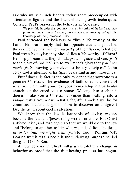ask why many church leaders today seem preoccupied with attendance figures and the latest church growth techniques. Consider Paul's prayer for the believers in Colossae:

We pray this in order that you may live a life worthy of the Lord and may please him in every way: *bearing fruit* in every good work, *growing* in the knowledge of God (Colossians 1:10).

Paul entreated the believers to "live a life worthy of the Lord." His words imply that the opposite was also possible: they could live in a manner *unworthy* of their Savior. What did Paul mean by saying they should live a life worthy of Christ? He simply meant that they should *grow* in grace and *bear fruit* to the glory of God. "*This* is to my Father's glory that *you bear much fruit,* showing yourselves to be my disciples" (John 15:8). God is glorified as his Spirit bears fruit in and through us.

Fruitfulness, in fact, is the only evidence that someone is a genuine Christian. The evidence of faith doesn't consist of what you claim with your lips, your membership in a particular church, or the creed you espouse. Walking into a church doesn't make you a Christian anymore than walking into a garage makes you a car! What a frightful shock it will be for countless "decent, religious" folks to discover on Judgment Day the truth about God's salvation.

We know that the law is incapable of saving anyone because the law is a *lifeless* thing written in stone. But Christ suffered, died, and rose again so that we would die to the law and "belong to another, to him who was raised from the dead, *in order that we might bear fruit* to God" (Romans 7:4). Bearing fruit is vital since it is the underlying purpose behind the gift of God's Son.

A new believer in Christ will *always* exhibit a change in behavior as proof that the fruit-bearing process has begun.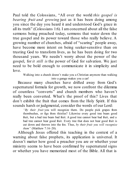Paul told the Colossians, "All over the world *this gospel is bearing fruit and growing* just as it has been doing among you since the day you heard it and understood God's grace in all its truth" (Colossians 1:6). I am concerned about all the false sermons being preached today, sermons that water down the true gospel and its power toward those who really believe. A growing number of churches, afraid of "scaring" people away, have become more intent on being seeker-sensitive than on trusting God to transform lives, as he has been doing for two thousand years. We needn't worry about the power of the gospel, for *it still is* the power of God for salvation. We just need to be bold enough to communicate it in simplicity and love.

Walking into a church doesn't make you a Christian anymore than walking into a garage makes you a car!

Because many churches have drifted away from God's supernatural formula for growth, we now confront the dilemma of countless "converts" and church members who haven't really been converted. What's the proof of this? Lives that don't exhibit the fruit that comes from the Holy Spirit. If this sounds harsh or judgmental, consider the words of our Lord:

*"By their fruit* you will recognize them. Do people pick grapes from thornbushes, or figs from thistles? Likewise every good tree bears good fruit, but a bad tree bears bad fruit. A good tree cannot bear bad fruit, and a bad tree cannot bear good fruit. Every tree that does not bear good fruit is cut down and thrown into the fire. Thus, *by their fruit you will recognize them"* (Matthew 7:16–20).

Although Jesus offered this teaching in the context of a warning about false prophets, its application is universal. It doesn't matter how good a preacher you are or whether your ministry seems to have been confirmed by supernatural signs or whether you have memorized most of the Bible. All that is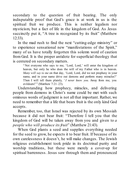secondary to the question of fruit bearing. The only indisputable proof that God's grace is at work in us is the spiritual fruit we produce. This is neither legalism nor mysticism, but a fact of life in the kingdom of God. As Jesus succinctly put it, "A tree is recognized by its fruit" (Matthew 12:33).

In the mad rush to find the next "cutting-edge ministry" or to experience sensational new "manifestations of the Spirit," many of us have totally forgotten this solemn word of caution from God. It is the proper antidote for superficial theology that is centered on secondary matters.

" Not everyone who says to me, 'Lord, Lord,' will enter the kingdom of heaven, but only he who does the will of my Father who is in heaven. *Many will say to me* on that day, 'Lord, Lord, did we not prophesy in your name, and in your name drive out demons and perform many miracles?' Then I will tell them plainly, '*I never knew you*. Away from me, you evildoers!'" (Matthew 7:21–23).

Understanding how prophecy, miracles, and delivering people from demons in Christ's name could be met with such ominous words of judgment is not all that important. Rather, we need to remember that a life that bears fruit is the only kind God accepts.

Remember, too, that Israel was rejected by its own Messiah because it did not bear fruit: "Therefore I tell you that the kingdom of God will be taken away from you and given to *a people who will produce its fruit*" (Matthew 21:43).

When God plants a seed and supplies everything needed for the seed to grow, he expects it to bear fruit. If because of its own carelessness it doesn't, he will make changes. The Jewish religious establishment took pride in its doctrinal purity and worship traditions, but these were merely a cover-up for spiritual barrenness. Jesus saw through them and pronounced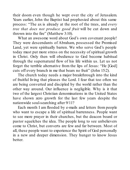their doom even though he wept over the city of Jerusalem. Years earlier, John the Baptist had prophesied about this same process: "The ax is already at the root of the trees, and *every tree that does not produce good fruit* will be cut down and thrown into the fire" (Matthew 3:10).

What an awesome word about God's own covenant people! They were descendants of Abraham, possessed the Promised Land, yet were spiritually barren. We who serve God's people today must put more stress on the necessity of spiritual growth in Christ. Only then will obedience to God become habitual through the supernatural flow of his life within us. Let us not forget the terrible alternative from the lips of Jesus: "He [God] cuts off every branch in me that bears no fruit" (John 15:2).

The church today needs a major breakthrough into the kind of fruitful living that pleases the Lord. I fear that too often we are being converted and discipled by the world rather than the other way around. Our influence is negligible. Why is it that two of the largest Christian denominations in the United States have shown zero growth for the last few years despite the nationwide soul-searching after 9/11?

Each month I am flooded by e-mails and letters from people who want to escape a life of spiritual barrenness. People want to see more prayer in their churches, but the deacon board or pastor squelches the idea. The people long to see unbelievers come to Christ, but converts are few and far between. Most of all, these people want to experience the Spirit of God personally in a new and deeper dimension. They hunger to know Jesus better.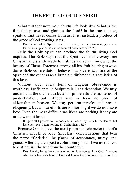#### THE FRUIT OF GOD'S SPIRIT

What will that new, more fruitful life look like? What is the fruit that pleases and glorifies the Lord? In the truest sense spiritual fruit never comes from us. It is, instead, a product of the grace of God working in us:

But the fruit of the Spirit is love, joy, peace, patience, kindness, goodness, faithfulness, gentleness and self-control (Galatians 5:22–23).

Only the Holy Spirit can produce the fruitful living God requires. The Bible says that the Spirit lives inside every true Christian and stands ready to make us a display window for the beauty of Christ. Foremost among all his fruit bearing is *love*. Some Bible commentators believe that love is *the* fruit of the Spirit and the other graces listed are different characteristics of this love.

Without love, every form of religious observance is worthless. Proficiency in Scripture is just a deception. We may understand the divine attributes or probe into the mysteries of predestination, but without love we have no proof of citizenship in heaven. We may perform miracles and preach eloquently, but all our efforts are for nothing if we do not have love. Even the most difficult sacrifices are nothing if they are made without love:

If I give all I possess to the poor and surrender my body to the flames, but have not love. I gain nothing (1 Corinthians 13:3).

Because God is love, the most prominent character trait of a Christian should be love. Shouldn't congregations that bear the name "Christian" be places of acceptance, mercy, and grace? After all, the apostle John clearly used love as the test to distinguish the true fromthe counterfeit.

Dear friends, let us love one another, for love comes from God. Everyone who loves has been born of God and knows God. Whoever does not love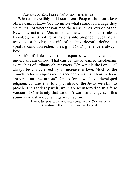*does not know God,* because *God is love* (1 John 4:7–8).

What an incredibly bold statement! People who don't love others cannot know God no matter what religious heritage they claim. It's not whether you read the King James Version or the New International Version that matters. Nor is it about knowledge of Scripture or insights into prophecy. Speaking in tongues or having the gift of healing doesn't define our spiritual condition either. The sign of God's presence is always love.

A life of little love, then, equates with only a scant understanding of God. That can be true of learned theologians as much as of ordinary churchgoers. "Growing in the Lord" will always be characterized by an increase in love. Much of the church today is engrossed in secondary issues. I fear we have "majored on the minors" for so long, we have developed religious cultures that totally contradict the Jesus we claim to preach. The saddest part is, we're so accustomed to this false version of Christianity that we don't want to change it. If this sounds radical or overly negative, read on.

> The saddest part is, we're so accustomed to this false version of Christianity that we don't want to change it.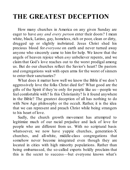# **THE GREATEST DECEPTION**

How many churches in America on any given Sunday are eager to have *any and every person* enter their doors? I mean white, black, Latino, gay, homeless, rich or poor, clean or dirty, drugged up or slightly inebriated. Jesus Christ shed his precious blood for *everyone* on earth and never turned away anyone who sincerely came to him for help. We know that the angels of heaven rejoice when *any* unbeliever repents, and we claim that God's love reaches out to the worst prodigal among us. But do our churches reflect the Savior's heart? Do pastors and congregations wait with open arms for the worst of sinners to enter their sanctuaries?

What does it matter how well we know the Bible if we don't aggressively love the folks Christ died for? What good are the gifts of the Spirit if they're only for people like us—people we feel comfortable with? Is this Christianity? Is it found anywhere in the Bible? The greatest deception of all has nothing to do with New Age philosophy or the occult. Rather, it is the idea that we can represent and preach Christ while being strangers to his heart of love.

Sadly, the church growth movement has attempted to legitimize much of our racial prejudice and lack of love for people who are different from us. With no scriptural basis whatsoever, we now have vuppie churches, generation-X churches, and all-white, middle-class congregations that somehow never become integrated even though they are located in cities with high minority populations. Rather than being embarrassed, the so-called experts boldly proclaim that this is the secret to success—but everyone knows what's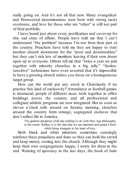really going on. And it's not all that new. Many evangelical and Pentecostal denominations were born with strong racist overtones, and love for those who are "other" is still not part of their portfolio.

I have heard just about every justification and cover-up for this sad state of affairs. People have told me that I can't understand "the problem" because I'm not from their part of the country. Preachers have told me they are happy to start another church downtown for the "poor and downtrodden" but they can't risk lots of members leaving if their own doors open up to everyone. Others tell me that "twice a year we join together with minority churches in a big rally." "Seekersensitive" technicians have even asserted that it's impossible to have a growing church unless you focus on a homogeneous target group.

How can the world put any stock in Christianity if we practice this kind of exclusivity? Attendance at football games is interracial, people of different races work together in office buildings across the country, and all professional and collegiate athletic programs are now integrated. But as soon as eleven o'clock rolls around on Sunday morning, churches around the country form strange, segregated enclaves that don't reflect life in America.

> The greatest deception of all has nothing to do with New Age philosophy or the occult. Rather, it is the idea that we can represent and preach Christ while being strangers to his heart of love.

Both black and white ministers sometimes cunningly reinforce these prejudices and fears so they can hold the crowd and keep money coming into the church. Although they might keep their own congregations happy, I worry for them in the end. Warning of apostasy in the last days, the book of Jude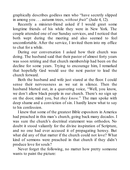graphically describes godless men who "have secretly slipped in among you autumn trees, *without fruit*" (Jude 4, 12).

Recently a minister-friend asked if I would greet some longtime friends of his while they were in New York. The couple attended one of our Sunday services, and I noticed that both wept during the meeting and also seemed to feel uncomfortable. After the service, I invited them into my office to chat for a while.

During our conversation I asked how their church was doing. The husband said that their pastor of almost forty years was soon retiring and that church membership had been on the decline for some years. Trying to encourage him, I remarked that hopefully God would use the next pastor to lead the church forward.

Both the husband and wife just stared at the floor. I could sense their nervousness as we sat in silence. Then the husband blurted out, in a quavering voice, "Well, you know, we don't allow black people in our church. There's no sign up on the door, mind you, but *they know.*" The man spoke with deep shame and a conviction of sin. I hardly knew what to say to his confession.

I knew that some of the greatest Bible expositors in America had preached in this man's church, going back many decades. I was sure the church's doctrinal statement was orthodox. No doubt it stood valiantly for the divine inspiration of Scripture, and no one had ever accused it of propagating heresy. But what did any of that matter if the church could not love? What kind of sermons were preached in that church if they didn't produce love for souls?

Never forget the following, no matter how pretty someone wants to paint the picture: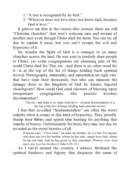- 1. "A tree is recognized by its fruit."
- 2. "Whoever does not love does not know God, because God is love."

It grieves me that in the twenty-first century there are still "Christian churches" that won't welcome men and women of another race even though Christ died for them. You can try all day to explain it away, but you can't escape the evil and hypocrisy of it.

No wonder the Spirit of God is a stranger to so many churches across the land. He was sent to tenderly draw people to Christ, yet some congregations are shunning part of the world Christ died for. This sin—and there is no other word for it—is at the top of the list of things holding back spiritual revival. Pornography, immorality, and materialism are ugly sins that have slain their thousands, but who can measure the damage done to the kingdom of God by barren, bigoted churchgoers? How could God send showers of blessing upon unrepentant congregations who practice loveless discrimination?

> The sin—and there is no other word for it—of racial discrimination is at the top of the list of things holding back spiritual revival.

I fear that so-called "fundamentalists" are often the worst culprits when it comes to this kind of hypocrisy. They proudly thump their Bibles and spend time hunting for anything that smacks of heresy. Unfortunately for them, they may one day be revealed as the worst heretics of all.

If anyone says, " I love God," yet hates his brother*,* he is a liar. For anyone who does not love his brother, whom he has seen, cannot love God, whom he has not seen. And he has given us this command: *Whoever loves God must also love his brother* (1 John 4:20–21).

As I travel around the country, I witness firsthand the spiritual hardness and bigotry that disgraces the name of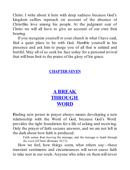Christ. I write about it here with deep sadness because God's kingdom suffers reproach on account of the absence of Christlike love among his people. At the judgment seat of Christ we will all have to give an account of our own fruit bearing.

If you recognize yourself or your church in what I have said, find a quiet place to be with God. Humble yourself in his presence and ask him to purge you of all that is unkind and hurtful. May all of us seek his face today for a personal revival that will bear fruit to the praise of the glory of his grace.

#### **CHAPTER SEVEN**

### **A BREAK THROUGH WORD**

Finding new power in prayer always means developing a new relationship with the Word of God, because God's Word provides the right foundation for a life of asking and receiving. Only the prayer of faith secures answers, and we are not left in the dark about how faith is produced:

Faith comes from *hearing* the message, and the message is heard through *the word* of Christ (Romans 10:17).

How we feel, how things seem, what others say—these transient sentiments and circumstances will never cause faith to take root in our souls. Anyone who relies on them will never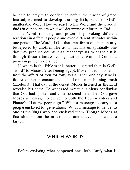be able to pray with confidence before the throne of grace. Instead, we need to develop a strong faith, based on God's unalterable Word. How we react to his Word and the place it finds in our hearts are what will determine our future in God.

The Word is living and powerful, provoking different reactions in different people and even different attitudes within one person. The Word of God that transforms one person may be rejected by another. The truth that lifts us spiritually one day may produce doubts that later tempt us to despair. It is through these intimate dealings with the Word of God that power in prayer is obtained.

Nowhere in the Bible is this better illustrated than in God's "word" to Moses. After fleeing Egypt, Moses lived in isolation from the affairs of men for forty years. Then one day, Israel's future deliverer encountered the Lord in a burning bush (Exodus 3). That day in the desert, Moses listened as the Lord revealed his name. He witnessed miraculous signs confirming that God had spoken and commissioned him. Then God gave Moses a message to deliver to both the Hebrew elders and Pharaoh: "Let my people go." What a message to carry to a people enslaved for generations! What a message to deliver to one of the kings who had enslaved them! Though Moses at first shrank from the mission, he later obeyed and went to Egypt.

#### WHICH WORD?

Before exploring what happened next, let's clarify what is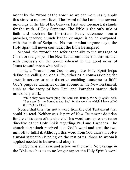meant by the "word of the Lord" so we can more easily apply this story to our own lives. The "word of the Lord" has several meanings in the life of the believer. First and foremost, it stands for the truth of Holy Scripture. The Bible is the only rule of faith and doctrine for Christians. Every utterance from a preacher, teacher, church leader, or angel is to be compared with the truth of Scripture. No matter what anyone says, the Holy Spirit will never contradict the Bible he inspired.

Second, the "word" can refer especially to the message of Christ or the gospel. The New Testament uses it in this manner with emphasis on the power inherent in the good news of Jesus toward those who believe.

Third, a "word" from God through the Holy Spirit helps define the calling on one's life, either as a commissioning for specific service or as a directive enabling someone to fulfill God's purpose. Examples of this abound in the New Testament, such as the story of how Paul and Barnabas started their missionary work:

While they were worshiping the Lord and fasting, *the Holy Spirit said,* "Set apart for me Barnabas and Saul for the work to which I have called them" (Acts 13:2).

Notice that this was not a word from the Old Testament that could be read. Neither was it part of New Testament doctrine for the edification of the church. This word was a present-tense directive of the Holy Spirit regarding Paul and Barnabas. The church at Antioch received it as God's word and sent the two men off to fulfill it. Although this word from God didn't involve a moral injunction binding on the rest of us, those to whom it applied needed to believe and obey it.

The Spirit is still alive and active on the earth. No passage in the Bible teaches us to no longer expect the Holy Spirit's word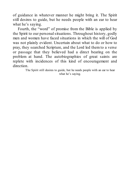of guidance in whatever manner he might bring it. The Spirit still desires to guide, but he needs people with an ear to hear what he's saying.

Fourth, the "word" of promise from the Bible is applied by the Spirit to our personalsituations. Throughout history, godly men and women have faced situations in which the will of God was not plainly evident. Uncertain about what to do or how to pray, they searched Scripture, and the Lord led them to a verse or passage that they believed had a direct bearing on the problem at hand. The autobiographies of great saints are replete with incidences of this kind of encouragement and direction.

The Spirit still desires to guide, but he needs people with an ear to hear what he's saying.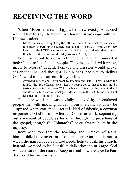### **RECEIVING THE WORD**

When Moses arrived in Egypt, he knew exactly what God wanted him to say. He began by sharing his message with the Hebrew leaders:

Moses and Aaron brought together all the elders of the Israelites, and Aaron told them everything the LORD had said to Moses. . . . And when they heard that the LORD was concerned about them and had seen their misery, they bowed down and worshiped (Exodus 4:29–31).

God was about to do something great and announced it beforehand to his chosen people. They received it with praise, much to Moses' delight. Perhaps his mission would prove easier than he had thought. But Moses had yet to deliver God's word to the man least likely to listen.

Afterward Moses and Aaron went to Pharaoh and said, " This is what the LORD, the God of Israel, says: 'Let my people go, so that they may hold a festival to me in the desert.'" Pharaoh said, "Who is the LORD, that I should obey him and let Israel go? I do not know the LORD and I will not let Israel go" (Exodus 5:1-2).

The same word that was joyfully received by an enslaved people met with mocking disdain from Pharaoh. So don't be surprised when you encounter this kind of ridicule, a common response to God's word. After all, God is at work, separating out a remnant of people as his own through the preaching of the gospel, though the "pharaohs" have always been in the majority.

Remember, too, that the teaching and miracles of Jesus himself failed to convert most of Jerusalem. Our task is not to widen the narrow road as if God needs help to build his church. Instead, we need to be faithful in delivering the message. God will take care of the results. Keep in mind how the apostle Paul described his own ministry: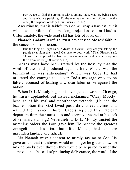For we are to God the aroma of Christ among those who are being saved and those who are perishing. To the one we are the smell of death; to the other, the fragrance of life (2 Corinthians 2:15–16).

Any ministry that is faithful to God will reap a harvest, but it will also confront the mocking rejection of multitudes. Unfortunately, the wide road still has lots of folks on it.

Pharaoh's adamant refusal must have tested Moses'faith in the success of his mission.

But the king of Egypt said, " Moses and Aaron, why are you taking the people away from their labor? Get back to your work!" Then Pharaoh said, " Look, the people of the land are now numerous, and you are stopping them from working" (Exodus 5:4–5).

Moses must have been startled by the hostility that the word of the Lord produced against him. Where was the fulfillment he was anticipating? Where was God? He had mustered the courage to deliver God's message only to be falsely accused of leading a wildcat labor strike against the nation!

When D. L. Moody began his evangelistic work in Chicago, he wasn't applauded, but instead nicknamed "Crazy Moody" because of his zeal and unorthodox methods. (He had the bizarre notion that God loved poor, dirty street urchins and wanted them saved. Church leaders rejected this "radical" departure from the status quo and secretly sneered at his lack of seminary training.) Nevertheless, D. L. Moody trusted the marching orders the Lord gave him. He became the greatest evangelist of his time but, like Moses, had to face misunderstanding and ridicule.

Yet Pharaoh wasn't content to merely say no to God. He gave orders that the slaves would no longer be given straw for making bricks even though they would be required to meet the same quotas. Instead of producing deliverance, the word of the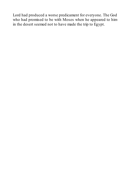Lord had produced a worse predicament for everyone. The God who had promised to be with Moses when he appeared to him in the desert seemed not to have made the trip to Egypt.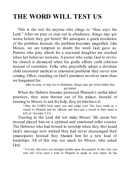### **THE WORD WILL TEST US**

This is the test for anyone who clings to "thus says the Lord." After we pray or step out in obedience, things may get worse before they get better! We anticipate a quick resolution of the problem. Instead, the problem becomes magnified. Like Moses, we are tempted to doubt the word God gave us. Parents who pray afresh for a wayward daughter are crushed when her behavior worsens. A pastor who seeks God to revive his church is dismayed when his godly efforts yield criticism instead of contrition. Folks who prayerfully adopt a destitute child encounter medical or emotional problems they never saw coming. Often, standing on God's promises involves more than we bargained for.

After we pray or step out in obedience, things may get worse before they get better!

When the Hebrew foremen protested Pharaoh's unfair labor practices, they were thrown out of his palace. Instead of running to Moses to ask for help, they let himhave it:

" May the LORD look upon you and judge you! You have made us a stench to Pharaoh and his officials and have put a sword in their hand to kill us" (Exodus 5:21).

Trusting in the Lord did not make Moses' life easier but instead placed him on a spiritual and emotional roller coaster. The Hebrews who had bowed in worship when they first heard God's message now wished they had never encouraged their emancipator. Instead they blamed him for a new load of hardships. All of this was too much for Moses, who asked God

" O Lord, why have you brought trouble upon this people? Is this why you sent me? Ever since I went to Pharaoh to speak in your name, he has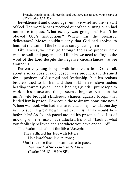brought trouble upon this people, and you have not rescued your people at all" (Exodus 5:22–23).

Bewilderment and discouragement overwhelmed the servant of God. The word Moses received out of the burning bush had not come to pass. What exactly was going on? Hadn't he obeyed God's instructions? Where was the promised deliverance? Moses couldn't deny that God had spoken to him, but the word of the Lord was sorely testing him.

Like Moses, we must go through the same process if we want to walk and pray in faith. Like him, we need to cling to the word of the Lord despite the negative circumstances we see around us.

Remember young Joseph with his dreams from God? Talk about a roller coaster ride! Joseph was prophetically destined for a position of distinguished leadership, but his jealous brothers tried to kill him and then sold him to slave traders heading toward Egypt. Then a leading Egyptian put Joseph to work in his house and things seemed brighter. But soon the man's wife brought slanderous charges against Joseph that landed him in prison. How could those dreams come true now? Where was God, who had intimated that Joseph would one day rise to such a great height that even his family would bow before him? As Joseph paced around his prison cell, voices of mocking unbelief must have attacked his soul: "Look at what you foolishly believed and see where you have ended up!"

The Psalms talk about the life of Joseph:

They afflicted his feet with fetters,

He himself was laid in irons:

Until the time that his word came to pass,

*The word of the LORD tested him* (Psalm105:18–19 NASB).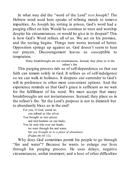In what way did the "word of the Lord" *test* Joseph? The Hebrew word used here speaks of refining metals to remove impurities. As Joseph lay rotting in prison, God's word had a purging effect on him. Would he continue to trust and worship despite his circumstances, or would he give in to despair? This is how God's Word refines all of us. We act on his promise, and the testing begins. Things turn worse instead of better. Opposition springs up against us. God doesn't seem to hear our prayers. Discouragement leaves us susceptible to temptation.

Many breakthroughs are not instantaneous. Instead, they place us in the refiner's fire.

This purging process rids us of self-dependence so that our faith can remain solely in God. It refines us of self-indulgence so we can walk in holiness. It deepens our surrender to God's will in preference to other more convenient options. And the experience reminds us that God's grace is sufficient as we wait for the fulfillment of his word. We must accept that many breakthroughs are not instantaneous. Instead, they place us in the refiner's fire. Yet the Lord's purpose is not to diminish but to abundantly bless us in the end!

For you, O God, tested us: you refined us like silver. You brought us into prison and laid burdens on our backs. You let men ride over our heads; we went through fire and water *but you brought us to a place of abundance* (Psalm 66:10–12).

Why does God sometimes permit his people to go through "fire and water"? Because he wants to enlarge our lives through his purging process. He uses delays, negative circumstances, unfair treatment, and a host of other difficulties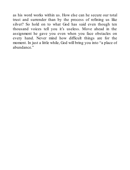as his word works within us. How else can he secure our total trust and surrender than by the process of refining us like silver? So hold on to what God has said even though ten thousand voices tell you it's useless. Move ahead in the assignment he gave you even when you face obstacles on every hand. Never mind how difficult things are for the moment. In just a little while, God will bring you into "a place of abundance."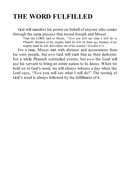### **THE WORD FULFILLED**

God will manifest his power on behalf of anyone who comes through the same process that tested Joseph and Moses.

Then the LORD said to Moses, "*Now* you will see what I will do to Pharaoh: Because of my mighty hand he will let them go; because of my mighty hand he will drive them out of his country" (Exodus 6:1).

For a time, Moses met with distrust and accusations from his own people, but *now* God will exalt him as their deliverer. For a while Pharaoh controlled events, but *now* the Lord will use his servant to bring an entire nation to its knees. When we hold on to God's word, we will always witness a day when the Lord says, "*Now* you will see what I will do!" The testing of God's word is always followed by the fulfillment of it.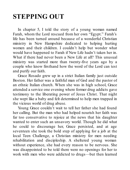### **STEPPING OUT**

In chapter 5, I told the story of a young woman named Farah, whom the Lord rescued from her own "Egypt." Farah's life has been turned around because of a wonderful Christian ministry in New Hampshire dedicated to helping hurting women and their children. I couldn't help but wonder what would have happened to Farah if New Life hadn't taken her in. What if there had never been a New Life at all? This unusual ministry was started more than twenty-five years ago by a couple who know firsthand how the word of the Lord can test and purify our faith.

Grace Rosado grew up in a strict Italian family just outside Boston. Her father was a faithful man of God and the pastor of an ethnic Italian church. When she was in high school, Grace attended a service one evening where former drug addicts gave testimony to the liberating power of Jesus Christ. That night she wept like a baby and felt determined to help men trapped in the vicious world of drug abuse.

Young Grace couldn't wait to tell her father she had found her calling. But the man who had helped nourish her faith was far too conservative to rejoice at the news that his daughter wanted to enter such an unsavory world. Though he did what he could to discourage her, Grace persisted, and at age seventeen she took the bold step of applying for a job at the local Teen Challenge, a Christian ministry for men needing rehabilitation and discipleship. A sheltered young woman without experience, she had every reason to be nervous. She was disappointed to be told there were no openings for her to work with men who were addicted to drugs—but then learned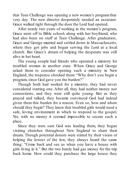that Teen Challenge was opening a new women's program that very day. The new director desperately needed an assistant. Grace walked right through the door the Lord had opened.

After nearly two years of working in the women's program, Grace went off to Bible school, along with her boyfriend, who had also been on staff at Teen Challenge. After graduation, Grace and George married and settled down in Massachusetts, where they got jobs and began serving the Lord at a local church. But Grace's dream of helping the desperate was still alive in her heart.

The young couple had friends who operated a ministry for troubled women in another state. When Grace and George asked them to consider opening such a ministry in New England, the response shocked them: "Why don't you begin a program, since God gave you the burden?"

Though both had worked for a ministry, they had never considered starting one. After all, they had neither money nor connections, and they were still quite young. But as they prayed and talked, they became convinced God had indeed given them this burden for a reason. Even so, how and where should they begin? They knew that troubled girls would need a safe, loving environment in which to respond to the gospel. Yet, with no money it seemed impossible to secure such a place.

Since they were sure God was leading them, they began visiting churches throughout New England to share their dream. Though potential donors were stirred by their vision of helping the lowest of the low, they always heard the same thing: "Come back and see us when you have a house with girls living in it." But the two barely had gas money for the trip back home. How could they purchase the large house they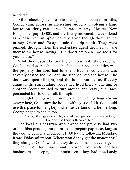needed?

After checking real estate listings for several months, George came across an interesting property involving a large house on thirty-two acres. It was in tiny Chester, New Hampshire (pop. 1,600), and the listing indicated it was offered as a lease with an option to buy. Even though they had no money, Grace and George made the trip north. They were puzzled, though, when the real estate agent declined to take them to the house, saying, "The doors are open—go see it for yourselves."

While her husband drove the car, Grace silently prayed for God's direction. As she did, she felt a deep peace that this was the property the Lord had for them. But her conviction was severely tested the moment she stepped into the house. The door was open all right, and the house smelled as if every animal in the surrounding woods had lived there at one time or another. George wanted to turn around and leave, but Grace persuaded himto do a walk-through.

Though the rugs were horribly stained, with garbage strewn everywhere, Grace saw the house with eyes of faith. God could use this place for his glory—she was certain of it. Before long, George began to see it, too.

Though the rugs were horribly stained, with garbage strewn everywhere, Grace saw the house with eyes of faith.

The local businessman who owned the property had two other offers pending but promised to prepare papers as long as they could deliver a check for \$1,500 by the following Monday. It was Friday afternoon. Where would they get the money? Still they clung to God's word as they drove home that evening.

The next day Grace and George met with another businessman, keeping an appointment they had previously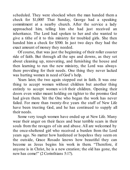scheduled. They were shocked when the man handed them a check for \$1,000! That Sunday, George had a speaking commitment at a nearby church. After the service a lady approached him, telling him she had just received an inheritance. The Lord had spoken to her and she wanted to give a tithe of it to this ministry for troubled girls. She then handed him a check for \$500. In just two days they had the exact amount of money they needed.

Of course, that was just the beginning of their roller coaster ride of faith. But through all the ups and downs, as they set about cleaning up, renovating, and furnishing the house and then learning to run the new ministry, the Lord was always there providing for their needs. One thing they never lacked was hurting women in need of God's help.

Years later, the two again stepped out in faith. It was one thing to accept women without children but another thing entirely to accept women *with* their children. Opening their doors even wider meant holding on tighter to the promise God had given them. Yet the One who began the work has never failed. For more than twenty-five years the staff of New Life have been trusting God, and he has continued to supply all their needs.

Some very tough women have ended up at New Life. Many wear their anger on their faces and bear terrible scars in their souls from the ravages of sin and abuse. All are welcomed by the once-sheltered girl who received a burden from the Lord years ago. No matter how hardened or hopeless they seem on the outside, Grace Rosado knows how beautiful they can become as Jesus begins his work in them. "Therefore, if anyone is in Christ, he is a new creation; the old has gone, the new has come!" (2 Corinthians 5:17).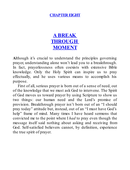### **CHAPTER EIGHT**

#### **A BREAK THROUGH MOMENT**

**A**lthough it's crucial to understand the principles governing prayer, understanding alone won't lead you to a breakthrough. In fact, prayerlessness often coexists with extensive Bible knowledge. Only the Holy Spirit can inspire us to pray effectually, and he uses various means to accomplish his purpose.

First of all, serious prayer is born out of a sense of need, out of the knowledge that we must ask God to intervene. The Spirit of God moves us toward prayer by using Scripture to show us two things: our human need and the Lord's promise of provision. Breakthrough prayer isn't born out of an "I should pray today" attitude but, instead, out of an "I must have God's help" frame of mind. Many times I have heard sermons that convicted me to the point where I *had* to pray even though the message itself said nothing about asking and receiving from God. Self-satisfied believers cannot, by definition, experience the true spirit of prayer.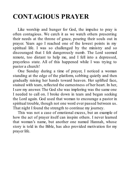## **CONTAGIOUS PRAYER**

Like worship and hunger for God, the impulse to pray is often contagious. We catch it as we watch others presenting their needs at the throne of grace, pouring their souls out in prayer. Years ago I reached one of the lowest points in my spiritual life. I was so challenged by the ministry and so discouraged that I felt dangerously numb. The Lord seemed remote, too distant to help me, and I fell into a depressed, prayerless state. All of this happened while I was trying to pastor a church!

One Sunday during a time of prayer, I noticed a woman standing at the edge of the platform, sobbing quietly and then gradually raising her hands toward heaven. Her uplifted face, stained with tears, reflected the earnestness of her heart. In her, I saw my answer. The God she was imploring was the same one I needed to call on. I broke down in tears and began seeking the Lord again. God used that woman to encourage a pastor in spiritual trouble, though not one word ever passed between us. That night I found the strength to continue my journey.

This was not a case of emotional excess, but an example of how the act of prayer itself can inspire others. I never learned that woman's name, but another one named Hannah, whose story is told in the Bible, has also provided motivation for my prayer life.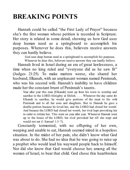### **BREAKING POINTS**

Hannah could be called "the First Lady of Prayer" because she's the first woman whose petition is recorded in Scripture. Her story is related in some detail, showing us how God uses deep human need as a springboard to accomplish his purposes. Whenever he does this, believers receive answers they can hardly believe.

> God uses deep human need as a springboard to accomplish his purposes. Whenever he does this, believers receive answers they can hardly believe.

Hannah lived in Israel during an era of great lawlessness, a time when no king ruled and "everyone did as he saw fit" (Judges 21:25). To make matters worse, she shared her husband, Elkanah, with an unpleasant woman named Peninnah. who was his second wife. Hannah's inability to have children made her the constant brunt of Peninnah's taunts.

Year after year this man [Elkanah] went up from his town to worship and sacrifice to the LORD Almighty at Shiloh . . . . . Whenever the day came for Elkanah to sacrifice, he would give portions of the meat to his wife Peninnah and to all her sons and daughters. But to Hannah he gave a double portion because he loved her, and the LORD had closed her womb. And because the LORD had closed her womb, her rival kept provoking her in order to irritate her. This went on year after year. Whenever Hannah went up to the house of the LORD, her rival provoked her till she wept and would not eat (1 Samuel 1:3–7).

Constantly tormented, with no offspring of her own, weeping and unable to eat, Hannah seemed mired in a hopeless situation. In the midst of her pain, she didn't know what God was about to do. She had no idea that he was going to raise up a prophet who would lead his wayward people back to himself. Nor did she know that God would choose her, among all the women of Israel, to bear that child. God chose this heartbroken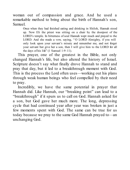woman out of compassion and grace. And he used a remarkable method to bring about the birth of Hannah's son, Samuel.

Once when they had finished eating and drinking in Shiloh, Hannah stood up. Now Eli the priest was sitting on a chair by the doorpost of the LORD's temple. In bitterness ofsoul Hannah wept much and prayed to the LORD. And she made a vow, saying, " O LORD Almighty, if you will only look upon your servant's misery and remember me, and not forget your servant but give her a son, then I will give him to the LORD for all the days of his life" (1 Samuel 1:9-11).

This prayer, one of the greatest in the Bible, not only changed Hannah's life, but also altered the history of Israel. Scripture doesn't say what finally drove Hannah to stand and pray that day, but it led to a breakthrough moment with God. This is the process the Lord often uses—working out his plans through weak human beings who feel compelled by their need to pray.

Incredibly, we have the same potential in prayer that Hannah did. Like Hannah, our "breaking point" can lead to a "breakthrough" if it spurs us to call on God. Hannah asked for a son, but God gave her much more. The long, depressing cycle that had continued year after year was broken in just a few moments spent with God. The same can be true for us today because we pray to the same God Hannah prayed to—an unchanging God.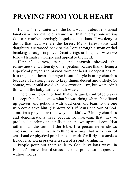# **PRAYING FROM YOUR HEART**

Hannah's encounter with the Lord was not about emotional fanaticism. Her example assures us that a prayer-answering God can resolve seemingly hopeless situations. If we deny or doubt that fact, we are the losers. Many times, sons and daughters are wooed back to the Lord through a mom or dad breaking through in prayer. Great things still happen when we follow Hannah's example and appeal to the Lord.

Hannah's sorrow, tears, and anguish showed the earnestness and intensity of her petition. Rather than offering a superficial prayer, she prayed from her heart's deepest desire. It is tragic that heartfelt prayer is out of style in many churches because of a strong need to keep things decent and orderly. Of course, we should avoid shallow emotionalism, but we needn't throw out the baby with the bath water.

There is no reason to think that only quiet, controlled prayer is acceptable. Jesus knew what he was doing when "he offered up prayers and petitions with loud cries and tears to the one who could save him" (Hebrews 5:7). If Jesus, the Son of God, sometimes prayed like that, why shouldn't we? Many churches and denominations have become so lukewarm that they've produced teaching that reflects their own spiritual condition rather than the truth of the Bible. If a person never shows emotion, we know that something is wrong, that some kind of emotional or physical problem is at work. Similarly, a complete lack of emotion in prayer is a sign of a spiritual ailment.

People pour out their souls to God in various ways. In Hannah's case, her distress at one point was expressed without words.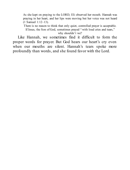As she kept on praying to the LORD, Eli observed her mouth. Hannah was praying in her heart, and her lips were moving but her voice was not heard (1 Samuel 1:12–13).

There is no reason to think that only quiet, controlled prayer is acceptable.

IfJesus, the Son of God, sometimes prayed " with loud cries and tears,"

why shouldn't we?

Like Hannah, we sometimes find it difficult to form the proper words for prayer. But God hears our heart's cry even when our mouths are silent. Hannah's tears spoke more profoundly than words, and she found favor with the Lord.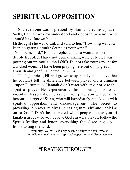## **SPIRITUAL OPPOSITION**

Not everyone was impressed by Hannah's earnest prayer. Sadly, Hannah was misunderstood and opposed by a man who should have known better.

Eli thought she was drunk and said to her, "How long will you keep on getting drunk? Get rid of your wine."

"Not so, my lord," Hannah replied, "I ama woman who is deeply troubled. I have not been drinking wine or beer; I was pouring out my soul to the LORD. Do not take your servant for a wicked woman; I have been praying here out of my great anguish and grief" (1 Samuel 1:13–16).

The high priest, Eli, had grown so spiritually insensitive that he couldn't tell the difference between prayer and a drunken stupor. Fortunately, Hannah didn't react with anger or lose the spirit of prayer. Her experience at this moment points to an important lesson about prayer: If you pray, you will certainly become a target of Satan, who will immediately attack you with spiritual opposition and discouragement. The secret to prevailing in prayer involves "pressing through" and "holding on to God." Don't be distracted when people accuse you of fanaticismbecause you believe God answers prayer. Follow the Spirit's leading and ignore everything that discourages you from trusting the Lord.

If you pray, you will certainly become a target of Satan, who will immediately attack you with spiritual opposition and discouragement.

#### "PRAYING THROUGH"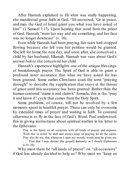After Hannah explained to Eli what was really happening, she manifested great faith in God. "Eli answered, 'Go in peace, and may the God of Israel grant you what you have asked of him" (1 Samuel 1:17). Upon hearing that word from the priest of God, Hannah "went her way and ate something, and her face was no longer downcast" (v. 18).

Even while Hannah had been praying, her tears had stopped flowing because she felt sure her petition would be granted. She left for home the next day, and soon after, she conceived a child by her husband, Elkanah. Hannah was sure about God's answer *before* she conceived her child.

Hannah's experience highlights one of the unique blessings of breakthrough prayer. The Spirit of God is able to grant a profound inner assurance that what we have asked for has been granted. Some earlier Christians used the term "praying through" to describe the supplication that stays at the throne of grace until this assurance has been granted. Rather than the human-centered "name it and claim it" formula, this is the "pray it and know it" cycle that comes fromthe Holy Spirit.

Some problems, of course, will not be resolved by a few moments spent in heartfelt prayer. These can only be overcome by extended times of prayer and waiting in faith. To contend otherwise is to fly in the face of God's Word. Paul understood this in giving instructions about spiritual warfare in his letter to the Ephesians:

Pray in the Spirit on all occasions with all kinds of prayers and requests*.* With this in mind, be alert and always keep on praying for all the saints*.* Pray also for me, that whenever I open my mouth, words may be given me. . . . Pray that I may declare [the gospel] fearlessly, as I should (Ephesians

6:18–20).

Why must there be "all kinds of prayer" on "all occasions" if God has already decided to help us? Why must we "keep on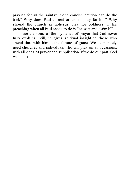praying for all the saints" if one concise petition can do the trick? Why does Paul entreat others to pray for him? Why should the church in Ephesus pray for boldness in his preaching when all Paul needs to do is "name it and claimit"?

These are some of the mysteries of prayer that God never fully explains. Still, he gives spiritual insight to those who spend time with him at the throne of grace. We desperately need churches and individuals who will pray on all occasions, with all kinds of prayer and supplication. If we do our part, God will do his.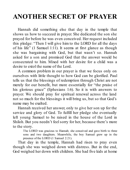# **ANOTHER SECRET OF PRAYER**

Hannah did something else that day in the temple that shows us how to succeed in prayer. She dedicated the son she prayed for before he was even conceived. Her request included this pledge: "Then I will give him to the LORD for all the days of his life" (1 Samuel 1:11). It seems at first glance as though she was bargaining with God, but that wasn't so. Hannah asked for a son and promised God that the answer would be consecrated to him. Mixed with her desire for a child was a desire to extol the name of the Lord.

A common problem in our prayer is that we focus only on ourselves with little thought to how God can be glorified. Paul tells us that the blessings of redemption through Christ are not merely for our benefit, but more essentially for "the praise of his glorious grace" (Ephesians 1:6). So it is with answers to prayer. We should pray for spiritual renewal across the land not so much for the blessings it will bring us, but so that God's name may be exalted.

Hannah received her answer, only to give her son up for the service and glory of God. To fulfill her pledge she eventually left young Samuel to be raised in the house of the Lord in Shiloh. But you needn't feelsorry for her, because there's more to the story.

The LORD was gracious to Hannah; she conceived and gave birth to three sons and two daughters. Meanwhile, the boy Samuel grew up in the presence of the LORD (1 Samuel 2:21).

That day in the temple, Hannah had risen to pray even though she was weighed down with distress. But in the end, God weighed her down with children. She had five kids at home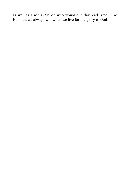as well as a son in Shiloh who would one day lead Israel. Like Hannah, we always win when we live for the glory of God.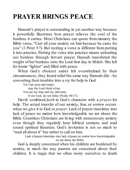### **PRAYER BRINGS PEACE**

Hannah's prayer is outstanding in yet another way because it powerfully illustrates how prayer relieves the soul of the burdens it carries. Most Christians can quote from memory the Bible verse, "Cast all your anxiety on him because he cares for you" (1 Peter 5:7). But reciting a verse is different from putting it into practice. Putting the verse into practice means unloading our burdens through fervent prayer. Hannah transferred the weight of her burdens onto the Lord that day in Shiloh. She left for home "lighter" and filled with peace.

When God's choicest saints felt overwhelmed by their circumstances, they found relief the same way Hannah did—by converting their troubles into a cry for help to God.

Yet I am poor and needy; may the Lord think of me. You are my help and my deliverer:

O my God, do not delay (Psalm 40:17).

David combined *faith* in God's character with a *prayer* for help. The actual transfer of our anxiety, fear, or sorrow occurs when we give it to God *in prayer.* Lack of prayer translates into lack of peace no matter how knowledgeable we are about the Bible. Countless Christians are living with unnecessary anxiety even though they regularly hear biblical sermons and read sound spiritual literature. God's invitation is not so much to "read all about it" but rather to call on him.

Lack of prayer translates into lack of peace no matter how knowledgeable we are about the Bible.

God is deeply concerned when his children are burdened by anxiety, in much the way parents are concerned about their children. It is tragic that we often worry ourselves to death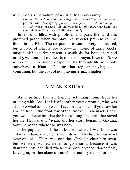when God's supernatural peace is only a prayer away.

*Do not be anxious about anything,* but in *everything,* by prayer and petition, with thanksgiving, *present your requests to God*. And *the peace of God,* which transcends all understanding, *will guard* your hearts and your minds in Christ Jesus (Philippians 4:6–7).

In a world filled with problems and pain, the Lord has promised peace when we pray. No sweeter promise can be found in the Bible. The temptation toward anxiety is assumed, but a place of relief is provided—the throne of grace. God's unique 24/7 security system is available for both heart and mind *if* we pour out our hearts to him in prayer. If we don't, we will continue to trudge despondently through life with only ourselves to blame. It's true that regular praying costs something, but the cost of not praying is much higher.

#### VIVIAN'S STORY

As I picture Hannah happily returning home from her meeting with God, I think of another young woman, who was also overwhelmed by years of accumulated pain. If you saw her smiling face in the front row of the Brooklyn Tabernacle Choir, you would never imagine the breakthrough moment that saved her life. Her name is Vivian, and her story begins in Guyana, South America, where she was born.

"The population of the little town where I was born was entirely Indian. My parents were devout Hindus, as was most everyone else. There was one tiny Christian church in town, but we were warned never to go near it because it was 'haunted.' My dad died when I was only a year-and-a-half old, leaving my mother alone to care for me and my older brother.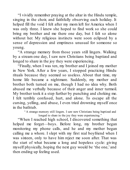"I vividly remember praying at the altar in the Hindu temple, singing in the choir, and faithfully observing each holiday. It helped fill the void I felt after my mom left for America when I was only three. I knew she hoped to find work so she could bring my brother and me there one day, but I felt so alone without her. My religious instincts were soon eclipsed by a sense of depression and emptiness unusual for someone so young.

"A strange memory from those years still lingers. Walking by a stream one day, I saw new Christians being baptized and longed to share in the joy they were experiencing.

"Finally, when I was ten, my brother and I joined my mother in New York. After a few years, I stopped practicing Hindu rituals because they seemed so useless. About that time, my home life became a nightmare. Suddenly, my mother and brother both turned on me, though I had no idea why. Both abused me verbally because of their anger and inner turmoil. My brother took it a step further by punching and choking me. I felt terribly confused, hurt, and alone. To escape all the cursing, yelling, and abuse, I even tried drowning myself once in the bathtub.

" A strange memory still lingers. I saw new Christians being baptized and longed to share in the joy they were experiencing."

"When I reached high school, I discovered something that helped me forget—boys. Before long, my brother began monitoring my phone calls, and he and my mother began calling me a whore. I slept with my first real boyfriend when I was sixteen, only to have him reject me soon after. That was the start of what became a long and hopeless cycle: giving myself physically, hoping the next guy would be 'the one,' and then ending up feeling used.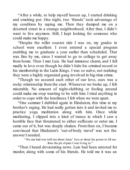"After a while, to help myself loosen up, I started drinking and smoking pot. One night, two 'friends' took advantage of my condition by raping me. Then they dumped me on a deserted street in a strange neighborhood. After that, I didn't want to live anymore. Still, I kept looking for someone who could make me happy.

"Despite the roller coaster ride I was on, my grades in school were excellent. I even entered a special program enabling me to graduate a year earlier than scheduled. That was fine by me, since I wanted to go to college to get away from home. Then I met Luis. He had immense charm, and I fell madly in love even though he didn't hide his criminal record or his membership in the Latin Kings. I was so naïve, not realizing they were a highly organized gang involved in big-time crime.

"Though we assured each other of our love, ours was a rocky relationship from the start. Whenever we broke up, I felt miserable. No amount of night-clubbing or fooling around could make me stop wanting to be with him. I tried anything in order to cope with the loneliness I felt when we were apart.

"One summer I dabbled again in Hinduism, this time at my brother's urging. He had really gotten into it and invited me to practice yoga meditation along with him. Once while meditating, I slipped into a kind of trance in which I saw a horrible face that threatened to either suffocate or enter me. I came out of it, but was deeply shaken. From then on, I became convinced that Hinduism's 'out-of-body travel' was not the answer I needed.

" No one had ever told me about Jesus' love or about his power to lift me from the pit of pain I was living in."

"Then I heard devastating news. Luis had been arrested for murder, along with some of his friends. He told me it was an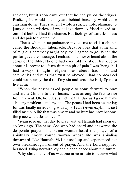accident, but it soon came out that he had pulled the trigger. Realizing he would spend years behind bars, my world came crashing down. That's when I wrote a suicide note, planning to jump out the window of my college dorm. A friend talked me out of it before I had the chance. But feelings of worthlessness and despair tormented me.

"That's when an acquaintance invited me to visit a church called the Brooklyn Tabernacle. Because I felt that some kind of religious ceremony might help me, I agreed to go. When the pastor gave the message, I realized I had never heard about the Jesus of the Bible. No one had ever told me about his love or about his power to lift me from the pit of pain I was living in. I had always thought religion was about traditions and ceremonies and rules that must be obeyed. I had no idea God could wash away the dirt of my sin and send the Holy Spirit to live in me.

"When the pastor asked people to come forward to pray and invite Christ into their hearts, I was among the first to rise from my seat. Oh, how Jesus met me that day as I gave him my sins, my problems, and my life! The peace I had been searching for was finally mine, along with a joy I can't even explain. It just filled me up.A life that was empty and so hurt has now become the place where Jesus lives."

Vivian rose up that day to pray, just as Hannah had risen up so long ago. The same God who had heard and answered the desperate prayer of a barren woman heard the prayer of a spiritually empty young woman whose life was spiraling downward. Like Hannah, Vivian stood up and experienced her own breakthrough moment of prayer. And the Lord supplied her need, filling her with joy and a deep peace about the future.

Why should any of us wait one more minute to receive what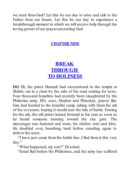we need from God? Let this be our day to arise and talk to the Father from our hearts. Let this be our day to experience a breakthrough moment in which we will receive help through the loving power of our prayer-answering God.

#### **CHAPTER NINE**

#### **BREAK THROUGH TO HOLINESS**

**O**ld Eli, the priest Hannah had encountered in the temple at Shiloh, sat in a chair by the side of the road waiting for news. Four thousand Israelites had recently been slaughtered by the Philistine army. Eli's sons, Hophni and Phinehas, priests like him, had hurried to the Israelite camp, taking with them the ark of the covenant, hoping it would turn the tide of battle. Fearing for the ark, the old priest leaned forward in his seat as soon as he heard someone running toward the city gate. The messenger was battered and worn, his clothes torn and dirty. He doubled over, breathing hard before standing again to deliver the news.

"I have just come from the battle line: I fled from it this very day."

"What happened, my son?" Eli asked.

"Israel fled before the Philistines, and the army has suffered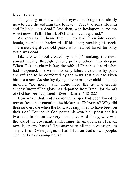heavy losses."

The young man lowered his eyes, speaking more slowly now to give the old man time to react: "Your two sons, Hophni and Phinehas, are dead." And then, with hesitation, came the worst news of all: "The ark of God has been captured."

As soon as Eli heard that the ark had fallen into enemy hands, he pitched backward off his chair, breaking his neck. The ninety-eight-year-old priest who had led Israel for forty years was dead.

Like the whirlpool created by a ship's sinking, the news spread rapidly through Shiloh, pulling others into despair. When Eli's daughter-in-law, the wife of Phinehas, heard what had happened, she went into early labor. Overcome by pain, she refused to be comforted by the news that she had given birth to a son. As she lay dying, she named her child Ichabod, meaning "no glory," and pronounced the truth everyone already knew: "The glory has departed from Israel, for the ark of God has been captured." (See 1 Samuel 4:12–22.)

How was it that God's covenant people had been forced to retreat from their enemies, the idolatrous Philistines? Why did their soldiers die when the Lord was supposed to have been on their side? How could God permit his own high priest and his two sons to die on the very same day? And finally, why was the ark of the covenant, symbolizing the uniqueness of Israel, now in enemy hands? The answer to all these questions is simply this: Divine judgment had fallen on God's own people. The Lord was cleaning house.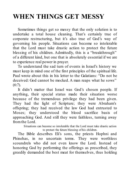## **WHEN THINGS GET MESSY**

Sometimes things get so messy that the only solution is to undertake a total house cleaning. That's certainly true of corporate restructuring, but it's also true of God's way of governing his people. Situations can become so intolerable that the Lord must take drastic action to protect the future blessing of his children. Admittedly, this is a "breakthrough" of a different kind, but one that is absolutely essential if we are to experience real power in prayer.

To understand the sad turn of events in Israel's history we must keep in mind one of the first principles of the spiritual life. Paul wrote about this in his letter to the Galatians: "Do not be deceived: God cannot be mocked. A man reaps what he sows"  $(6:7)$ .

It didn't matter that Israel was God's chosen people. If anything, their special status made their situation worse because of the tremendous privilege they had been given. They had the light of Scripture; they were Abraham's offspring; they had received the law God had entrusted to Moses; they understood the blood sacrifice basis of approaching God. And still they were faithless, turning away fromthe Lord.

Situations can become so intolerable that the Lord must take drastic action to protect the future blessing of his children.

The Bible describes Eli's sons, the priests Hophni and Phinehas, in no uncertain terms. They were worthless scoundrels who did not even know the Lord. Instead of honoring God by performing the offerings as prescribed, they greedily demanded the best meat for themselves, thus holding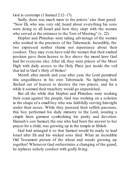God in contempt (1 Samuel 2:12–17).

Sadly, there was much more to the priests' sins than greed. "Now Eli, who was very old, heard about everything his sons were doing to all Israel and how they slept with the women who served at the entrance to the Tent of Meeting" (v. 22).

Hophni and Phinehas were taking advantage of the women who worked in the precincts of the Tabernacle. Incredibly, the two expressed neither shame nor repentance about their conduct. They may even have told the women that their exalted position gave them license to live above the moral laws God had for everyone else. After all, they were priests of the Most High with daily access to the Holy Place just inside the veil that led to God's Holy of Holies!

Month after month and year after year, the Lord permitted this ungodliness in his own Tabernacle. No lightning bolt flashed out of heaven to destroy the two priests, and for a while it seemed their treachery would go unpunished.

But all the while that Hophni and Phinehas were working their scam against the people, God was working on a solution in the shape of a small boy who was faithfully serving himright under their noses. While they pursued their selfish passions, this boy performed his daily ministry to the Lord, wearing a simple linen garment symbolizing his purity and devotion. Hannah's son Samuel, the one who had been the answer to her prayer for a child, was growing up in the temple at Shiloh.

God had arranged it so that Samuel would be ready to lead Israel after Eli and his wicked sons died. What an incredible Old Testament picture of the wheat and weeds growing up together! Whenever God orchestrates a changing of the guard, he replaces unholy conduct with godly living.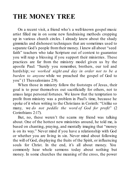### **THE MONEY TREE**

On a recent visit, a friend who's a well-known gospel music artist filled me in on some new fundraising methods cropping up in various church circles. I already knew about the shady gimmicks and dishonest techniques that are sometimes used to separate God's people fromtheir money. I knew all about "seed faith" teachers who take Scripture out of context to guarantee you will reap a blessing if you support their ministries. These practices are far from the ministry model given us by the apostle Paul: "Surely you remember, brothers, our toil and hardship; *we worked night and day in order not to be a burden to anyone* while we preached the gospel of God to you" (1 Thessalonians 2:9).

When those in ministry follow the footsteps of Jesus, their goal is to pour themselves out sacrificially for others, not to amass large personal fortunes. We know that the temptation to profit from ministry was a problem in Paul's time, because he spoke of it when writing to the Christians in Corinth: "Unlike so many, we *do not peddle the word of God for profit*" (2 Corinthians 2:17).

But, no, these weren't the scams my friend was talking about. One of the hottest new ministries around, he told me, is based on chanting, praying, and mentally imaging that "money is on its way." Never mind if you have a relationship with God or whether you are living in sin. Never mind about following the will of God, displaying the fruits of the Spirit, or influencing souls for Christ. In the end, it's all about money. You commonly hear whole sermons today about nothing but money. In some churches the meaning of the cross, the power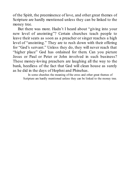of the Spirit, the preeminence of love, and other great themes of Scripture are hardly mentioned unless they can be linked to the money tree.

But there was more. Hadn't I heard about "giving into your new level of anointing"? Certain churches teach people to leave their seats as soon as a preacher or singer reaches a high level of "anointing." They are to rush down with their offering for "God's servant." Unless they do, they will never reach that "higher place" God has ordained for them. Can you picture Jesus or Paul or Peter or John involved in such business? These money-loving preachers are laughing all the way to the bank, heedless of the fact that God will clean house as surely as he did in the days of Hophni and Phinehas.

In some churches the meaning of the cross and other great themes of Scripture are hardly mentioned unless they can be linked to the money tree.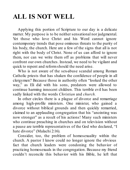# **ALL IS NOT WELL**

Applying this portion of Scripture to our day is a delicate matter. My purpose is to be neither sensational nor judgmental. Yet those who love Christ and his Word cannot ignore contemporary trends that pose ominous threats to the purity of his body, the church. Here are a few of the signs that all is not right with the body of Christ. None of us can afford to ignore them, nor can we write them off as problems that will never confront our own churches. Instead, we need to be vigilant and quick to repent and reformshould the need arise.

Who is not aware of the sex-abuse scandal among Roman Catholic priests that has shaken the confidence of people in all clergymen? Because those in authority often "looked the other way," as Eli did with his sons, predators were allowed to continue harming innocent children. This terrible evil has been sadly linked with the words *Christian* and *church.*

In other circles there is a plague of divorce and remarriage among high-profile ministers. One minister, who gained a divorce without biblical grounds and then quickly remarried, claimed to an applauding congregation that his "anointing was now stronger" as a result of his actions! Many such ministers who continue preaching in churches and on television without a pause are terrible representatives of the God who declared, "I hate divorce" (Malachi 2:16).

Consider, too, the problem of homosexuality within the church. A pastor I know could no longer ignore the obvious fact that church leaders were condoning the behavior of practicing homosexuals in the congregation. Because my friend couldn't reconcile this behavior with his Bible, he left that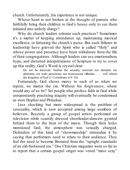church. Unfortunately, his experience is not unique.

Whose heart is not broken at the thought of parents who faithfully bring their children to God's house only to see them initiated into unholy things?

Why do church leaders tolerate such practices? Sometimes it's a matter of keeping attendance up, maintaining musical excellence, or fattening the church's purse. But such failures in leadership have grieved the Spirit who is called "Holy" and whose power and presence have been withdrawn from the life of their congregations. Although leaders can use emotionalism, hype, and distorted interpretations of Scripture to try to cover up this reality, God's Word is crystal clear:

Do not be deceived: Neither the sexually immoral nor idolaters nor adulterers nor male prostitutes nor homosexual offenders . . . will inherit the kingdom of God (1 Corinthians 6:9–10).

Fortunately, God shows mercy to each of us when we repent, no matter the sin. Without his forgiveness, where would any of us be? Yet people who profess faith in God while unrepentantly practicing iniquity will eventually be condemned as were Hophni and Phinehas.

Less shocking but more widespread is the problem of sensuality, which is now accepted among large numbers of believers. Recently a group of gospel artists performed on television while scantily dressed cheerleader-dancers gyrated behind them to the beat of the music. Though their lyrics mentioned God, the atmosphere was sexually charged. Defenders of this kind of "showmanship" rationalize it by saying that performers need to relate to their audience. They feel the need to become liberated from the "uptight standards of an old-fashioned era." One Christian magazine went so far as to report that a certain gospel singer was voted "most sexy"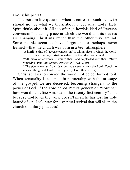among his peers!

The bottom-line question when it comes to such behavior should not be what we think about it but what God's Holy Spirit thinks about it. All too often, a horrible kind of "reverse conversion" is taking place in which the world and its desires are changing Christians rather than the other way around. Some people seem to have forgotten—or perhaps never learned—that the church was born in a *holy* atmosphere:

> A horrible kind of " reverse conversion" is taking place in which the world is changing Christians rather than the other way around.

> With many other words he warned them; and he pleaded with them, "Save yourselves from *this corrupt generation*" (Acts 2:40).

> " Therefore *come out from them and be separate,* says the Lord. Touch no unclean thing, and I will receive you" (2 Corinthians 6:17).

Christ sent us to convert the world, not be conformed to it. When sensuality is accepted in partnership with the message of the gospel, we are deceived, becoming strangers to the power of God. If the Lord called Peter's generation "corrupt," how would he define America in the twenty-first century? Just because God loves the world doesn't mean he has lost his holy hatred of sin. Let's pray for a spiritual revival that will clean the church of unholy practices!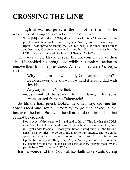### **CROSSING THE LINE**

Though Eli was not guilty of the sins of his two sons, he was guilty of failing to take action against them.

So he [Eli] said to them, "Why do you do such things? I hear from all the people about these wicked deeds of yours. No, my sons; it is not a good report I hear spreading among the LORD's people. If a man sins against another man, God may mediate for him; but if a man sins against the LORD, who will intercede for him?" (1 Samuel 2:23–25).

That was all old Eli did despite the grievous nature of their sins. He scolded his erring sons mildly but took no action to remove themfromthe priesthood.After all, they were *his* boys, and—

- —Why be judgmental when only God can judge, right?
- —Besides, everyone knows how hard it is for a dad with his kids.
- —Anyway, no one's perfect.
- —Just think of the scandal for Eli's family if his sons were ousted fromthe Tabernacle!

So Eli, the high priest, looked the other way, allowing his sons' greed and sexual immorality to go unchecked in the house of the Lord. But even the all-merciful God has a line that cannot be crossed.

Now *a man of God* came to Eli and said to him, " This is what the LORD says: 'Did I not clearly reveal myself to your father's house when they were in Egypt under Pharaoh? I chose your father [Aaron] out of all the tribes of Israel to be my priest, to go up to my altar, to burn incense, and to wear an ephod in my presence. . . . Why do you scorn my sacrifice and offering that I prescribed for my dwelling? *Why do you honor your sons more than me* by fattening yourselves on the choice parts of every offering made by my people Israel?'" (1 Samuel 2:27–29).

Isn't it wonderful that God still has faithful servants during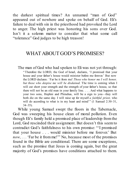the darkest spiritual times? An unnamed "man of God" appeared out of nowhere and spoke on behalf of God. Eli's failure to deal with sin in the priesthood had provoked the Lord to anger. The high priest was honoring his sons over God. Isn't it a solemn matter to consider that what some call "tolerance" God judges to be high treason!

#### WHAT ABOUT GOD'S PROMISES?

The man of God who had spoken to Eli was not yet through: " Therefore the LORD, the God of Israel, declares, 'I promised that your house and your father's house would minister before me forever.' But now the LORD declares: 'Far be it from me! *Those who honor me I will honor, but those who despise me will be disdained.* The time is coming when I will cut short your strength and the strength of your father's house, so that there will not be an old man in your family line. . . . And what happens to your two sons, Hophni and Phinehas, will be a sign to you—they will both die on the same day. I will raise up for myself *a faithful priest,* who will do according to what is in my heart and mind'" (1 Samuel 2:30–31, 34–35).

While young Samuel swept the floors in the Tabernacle, God was sweeping his house clean of moral pollution. Even though Eli's family held a promised place of leadership fromthe Lord, God rescinded their assignment. But doesn't this seem to contradict God's faithfulness to his own promise: "'I promised that your house . . . would minister before me forever.' But *now, . . .* 'Far be it fromme!'" No, because most of the promises found in the Bible are conditional. There are some exceptions, such as the promise that Jesus is coming again, but the great majority of God's promises have conditions attached to them.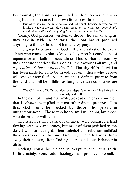For example, the Lord has promised wisdom to everyone who asks, but a condition is laid down for successful asking:

But when he asks, he must believe and not doubt, because he who doubts is like a wave of the sea, blown and tossed by the wind. *That man should not think he will receive anything from the Lord* (James 1:6–7).

Clearly, God promises wisdom to those who ask as long as they ask in faith. In contrast, the Lord hasn't promised anything to those who doubt himas they pray.

The gospel declares that God will grant salvation to every sinner who comes to himas long as they meet his conditions of repentance and faith in Jesus Christ. This is what is meant by the Scripture that describes God as "the Savior of all men, and *especially of those who believe*" (1 Timothy 4:10). Provision has been made for all to be saved, but only those who believe will receive eternal life. Again, we see a definite promise from the Lord that will be fulfilled as long as certain conditions are met.

The fulfillment of God's promises often depends on our walking before him in sincerity and truth.

In the case of Eli and his family, we read of a basic condition that is elsewhere implied in most other divine promises. It is this: God won't be mocked by those who persist in unrighteousness. "Those who honor me I will honor, but those who despise me will be disdained."

The Israelites who came out of Egypt were promised a land flowing with milk and honey, but most of them perished in the desert without seeing it. Their unbelief and rebellion nullified their possession of the land. Likewise, Eli and his sons threw away their blessing from God by their scandalous behavior in Shiloh.

Nothing could be plainer in Scripture than this truth. Unfortunately, some odd theology has produced so-called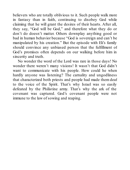believers who are totally oblivious to it. Such people walk more in fantasy than in faith, continuing to disobey God while claiming that he will grant the desires of their hearts. After all, they say, "God will be God," and therefore what they do or don't do doesn't matter. Others downplay anything good or bad in human behavior because "God is sovereign and can't be manipulated by his creation." But the episode with Eli's family should convince any unbiased person that the fulfillment of God's promises often depends on our walking before him in sincerity and truth.

No wonder the word of the Lord was rare in those days! No wonder there weren't many visions! It wasn't that God didn't want to communicate with his people. How could he when hardly anyone was listening? The carnality and ungodliness that characterized both priests and people had made them deaf to the voice of the Spirit. That's why Israel was so easily defeated by the Philistine army. That's why the ark of the covenant was captured. God's covenant people were not immune to the law of sowing and reaping.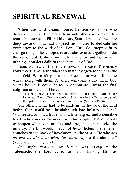### **SPIRITUAL RENEWAL**

When the Lord cleans house, he removes those who disrespect him and replaces them with others who revere his name. In contrast to Eli and his sons, Samuel modeled the same deep devotion that had inspired his mother to dedicate her young son to the work of the Lord. Until God stepped in to change things, these opposite attitudes existed together under the same roof. Unholy and holy, dishonor and honor were rubbing shoulders daily in the tabernacle of God.

Jesus warned us that this is always the case. The enemy sows weeds among the wheat so that they grow together in the same field. We can't pull up the weeds lest we pull up the wheat along with them. Yet there will come a day when God cleans house. It could be today or tomorrow or at the final judgment at the end of time:

" Let both grow together until the harvest. At that time I will tell the harvesters: First collect the weeds and tie them in bundles to be burned; then gather the wheat and bring it into my barn" (Matthew 13:30).

One other change had to be made in the house of the Lord before there could be a breakthrough into holiness in Israel. God needed to find a leader with a listening ear and a sensitive heart so he could communicate with his people. That still needs to happen whenever carnality and arrogance characterize the ministry. The last words in each of Jesus' letters to the seven churches in the book of Revelation are the same: "He who *has an ear, let him hear what the Spirit says* to the churches" (Revelation 2:7, 11, 17, etc.).

One night when young Samuel was asleep in the Tabernacle, the Lord called to him. Thinking Eli was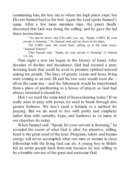summoning him, the boy ran to where the high priest slept, but Elisent Samuel back to his bed. Again the Lord spoke Samuel's name. After a few more mistaken trips, the priest finally discerned that God was doing the calling, and he gave the lad these instructions:

" Go and lie down, and if he calls you, say, 'Speak, LORD, for your servant is listening.'" So Samuel went and lay down in his place.

The LORD came and stood there, calling as at the other times, "Samuel! Samuel!"

Then Samuel said, "Speak, for your servant is listening" (1 Samuel  $3.9 - 10$ 

That night a new era began in the history of Israel. After decades of decline and decadence, God had secured a pure, listening heart that could be used to promote spiritual renewal among his people. The days of greedy scams and loose living were coming to an end. Eli and his two sons would soon die all on the same day—and the Tabernacle would be transformed from a place of profiteering to a house of prayer, as God had always intended it should be.

Don't we need the same kind of housecleaning today? If we really want to pray with power, we need to break through into greater holiness. We don't need a formula or a method for praying. But we do need to live with purity and simplicity rather than with carnality, hype, and hardness as so many in our churches do today.

When Samuelsaid, "Speak, for your servant is listening," he revealed the secret of what God is after. An attentive, willing heart is the great need of the hour. Programs, talent, and human energy will never accomplish what one man or woman in close fellowship with the living God can do. A young boy in Shiloh led an entire people back from ruin because he was willing to be a humble servant of the great and awesome God.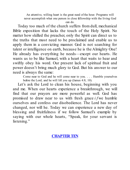An attentive, willing heart is the great need of the hour. Programs will never accomplish what one person in close fellowship with the living God can do.

Today too much of the church suffers from dull, mechanical Bible exposition that lacks the touch of the Holy Spirit. No matter how skilled the preacher, only the Spirit can direct us to the truths that most need to be proclaimed and enable us to apply them in a convicting manner. God is not searching for talent or intelligence on earth, because he is the Almighty One! He already has everything he needs—except our hearts. He wants us to be like Samuel, with a heart that waits to hear and swiftly obey his word. Our present lack of spiritual fruit and power doesn't bring much glory to God. But his answer to our need is always the same:

Come near to God and he will come near to you. . . . Humble yourselves before the Lord, and he will lift you up (James 4:8, 10).

Let's ask the Lord to clean his house, beginning with you and me. When our hearts experience a breakthrough, we will find that our prayers are more powerful as well. God has promised to draw near to us with fresh grace *i f* we humble ourselves and confess our disobedience. The Lord has never changed, nor will he. Today we can experience a new day of blessing and fruitfulness if we follow Samuel's example by saying with our whole hearts, "Speak, for your servant is listening."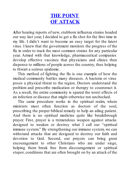### **THE POINT OF ATTACK**

**A**fter hearing reports of new, stubborn influenza strains headed our way last year, I decided to get a flu shot for the first time in my life. I didn't want to become an easy target for the latest virus. I knew that the government monitors the progress of the flu in order to track the most common strains for any particular year. Armed with that knowledge, pharmaceutical companies develop effective vaccines that physicians and clinics then dispense to millions of people across the country, thus helping to thwart a serious epidemic.

This method of fighting the flu is one example of how the medical community battles many diseases. A bacteria or virus poses a physical threat to the region. Doctors understand the problem and prescribe medication or therapy to counteract it. As a result, the entire community is spared the worst effects of an infection or disease that might otherwise run unchecked.

The same procedure works in the spiritual realm, where ministers must often function as doctors of the soul, prescribing the proper biblical remedy to help an ailing patient. And there is no spiritual medicine quite like breakthrough prayer. First, prayer is a tremendous weapon against attacks designed to weaken or destroy what  $\overrightarrow{l}$  call our "spiritual immune system." By strengthening our immune system, we can withstand attacks that are designed to destroy our faith and devotion to God. Second, our prayers can bring great encouragement to other Christians who are under siege, helping them break free from discouragement or spiritual stupor, conditions that are often brought on by an attack of the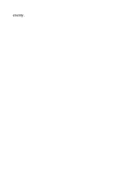enemy.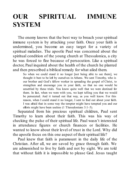# **OUR SPIRITUAL IMMUNE SYSTEM**

The enemy knows that the best way to breach your spiritual immune system is by attacking your faith. Once your faith is undermined, you become an easy target for a variety of spiritual maladies. The apostle Paul was concerned about the spiritual condition of the young church at Thessalonica, a city he was forced to flee because of persecution. Like a spiritual doctor, Paul inquired about the health of the church he planted and then prescribed a biblical remedy for what ailed them.

So when we could stand it no longer fnot being able to see theml, we thought it best to be left by ourselves in Athens. We sent Timothy, who is our brother and God's fellow worker in spreading the gospel of Christ, to strengthen and encourage you in your faith, so that no one would be unsettled by these trials*.* You know quite well that we were destined for them. In fact, when we were with you, we kept telling you that we would be persecuted. And it turned out that way, as you well know. For this reason, when I could stand it no longer, I sent to find out about your faith. I was afraid that in some way the tempter might have tempted you and our efforts might have been useless (1 Thessalonians 3:1–5).

Separated from his precious spiritual children, Paul sent Timothy to learn about their faith. This was his way of checking the pulse of their spiritual life. Paul wasn't interested in attendance figures or church finances or facilities. He wanted to know about their level of trust in the Lord. Why did the apostle focus on this one aspect of their spiritual life?

Paul knew that faith is paramount in the daily life of the Christian. After all, we are saved by grace through faith. We are admonished to live by faith and not by sight. We are told that without faith it is impossible to please God. Jesus taught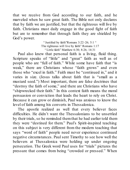that we receive from God according to our faith, and he marveled when he saw great faith. The Bible not only declares that by faith we are justified, but that the righteous will live by faith. Christians must daily engage in the good fight of faith but are to remember that through faith they are shielded by God's power.

> " Justified by faith"Romans 3:22–26; 5:1 " The righteous will live by faith" Romans 1:17 " Little faith" Matthew 6:30; 8:26; 14:31

Paul also knew that personal faith is a living, fluid thing. Scripture speaks of "little" and "great" faith as well as of people who are "full of faith." While some have faith that "is weak," there are Christians whose "faith grows" and even those who "excel in faith." Faith must be "continued in," and it varies in size. (Jesus talks about faith that is "small as a mustard seed.") Most important, there are false doctrines that "destroy the faith of some" and there are Christians who have "shipwrecked their faith." In this context faith means the moral persuasion or conviction that leads the heart to rely on Christ. Because it can grow or diminish, Paul was anxious to know the level of faith among his converts in Thessalonica.

The apostle realized as well that every believer faces difficulties. He didn't want the Thessalonians to be unsettled by their trials, so he reminded themthat he had earlier told them they were "destined for them." Paul's Spirit-inspired teaching on this subject is very different from the modern teaching that says "word of faith" people need never experience continued negative circumstances. Paul sent Timothy to see how well the believers at Thessalonica were holding up under ongoing persecution. The Greek word Paul uses for "trials" pictures the pressure that comes from being "crowded or pressed." When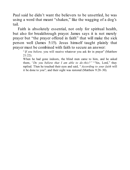Paul said he didn't want the believers to be unsettled, he was using a word that meant "shaken," like the wagging of a dog's tail.

Faith is absolutely essential, not only for spiritual health but also for breakthrough prayer. James says it is not merely prayer but "the prayer offered in faith" that will make the sick person well (James 5:15). Jesus himself taught plainly that prayer must be combined with faith to secure an answer:

" *If you believe,* you will receive whatever you ask for in prayer" (Matthew 21:22).

When he had gone indoors, the blind men came to him, and he asked them, *"Do you believe that I am able to do this?"* " Yes, Lord," they replied. Then he touched their eyes and said, " *According to your faith* will it be done to you"; and their sight was restored (Matthew 9:28–30).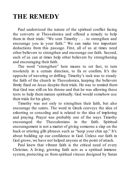### **THE REMEDY**

Paul understood the nature of the spiritual conflict facing the converts at Thessalonica and offered a remedy to help them in their trials: "We sent Timothy . . . to strengthen and encourage you in your faith." We can make two important deductions from this passage. First, all of us at times need other believers to strengthen and encourage our faith*.* Second, each of us can at times help other believers by strengthening and encouraging their faith.

The word "strengthen" here means to set fast, to turn resolutely in a certain direction, to fix or confirm. It's the opposite of wavering or drifting. Timothy's task was to steady the faith of the church in Thessalonica, keeping the believers firmly fixed on Jesus despite their trials. He was to remind them that God was still on his throne and that he was allowing these tests to help them mature spiritually. God would somehow use their trials for his glory.

Timothy was not only to strengthen their faith, but also encourage the saints. The word in Greek conveys the idea of exhorting or consoling and is related to the idea of imploring and praying. Prayer was probably one of the ways Timothy<br>encouraged the Thessalonians in the faith. Spiritual encouraged the Thessalonians in encouragement is not a matter of giving someone a slap on the back or uttering glib phrases such as "keep your chin up." It's about building up our confidence in God. Unless our faith in God grows, we have not helped anyone at the point of attack.

Paul knew that vibrant faith is the critical need of every Christian. A living, growing faith acts as a spiritual immune system, protecting us from spiritual viruses designed by Satan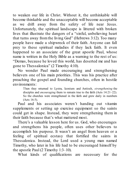to weaken our life in Christ. Without it, the unthinkable will become thinkable and the unacceptable will become acceptable as we drift away from the safety of life near Jesus. Unfortunately, the spiritual landscape is littered with broken lives that illustrate the dangers of a "sinful, unbelieving heart that turns away fromthe living God" (Hebrews 3:12). Too many people have made a shipwreck of their faith. Anyone can fall prey to these spiritual maladies if they lack faith. It even happened to an associate of the great apostle Paul, whose name is written in the Holy Bible as a warning to the rest of us: "Demas, because he loved this world, has deserted me and has gone to Thessalonica" (2 Timothy 4:10).

No wonder Paul made encouraging and strengthening believers one of his main priorities. This was his practice after preaching the gospel and founding churches, often in hostile environments:

Then they returned to Lystra, Iconium and Antioch, *strengthening* the disciples and *encouraging* them to remain true to the faith (Acts 14:21–22). So the churches were strengthened in the faith and grew daily in numbers (Acts 16:5).

Paul and his associates weren't handing out vitamin supplements or setting up exercise equipment so the saints could get in shape. Instead, they were strengthening them in their faith because that's what mattered most.

There's a valuable lesson here for us. God, who encourages and strengthens his people, often uses other believers to accomplish his purpose. It wasn't an angel from heaven or a feeling of spiritual ecstasy that fortified the saints in Thessalonica. Instead, the Lord used a young man named Timothy, who later in his life had to be encouraged himself by the apostle Paul (2 Timothy 1:3–10).

What kinds of qualifications are necessary for the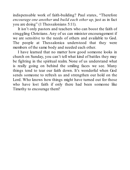indispensable work of faith-building? Paul states, "Therefore *encourage one another* and *build each other up,* just as in fact you are doing" (1 Thessalonians 5:11).

It isn't only pastors and teachers who can boost the faith of struggling Christians. Any of us can minister encouragement if we are sensitive to the needs of others and available to God. The people at Thessalonica understood that they were members of the same body and needed each other.

I have learned that no matter how good someone looks in church on Sunday, you can't tell what kind of battles they may be fighting in the spiritual realm. None of us understand what is really going on behind the smiling faces we see. Many things tend to tear our faith down. It's wonderful when God sends someone to refresh us and strengthen our hold on the Lord. Who knows how things might have turned out for those who have lost faith if only there had been someone like Timothy to encourage them?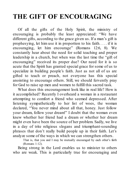# **THE GIFT OF ENCOURAGING**

Of all the gifts of the Holy Spirit, the ministry of encouraging is probably the least appreciated: "We have different gifts, according to the grace given us. If a man's gift is prophesying, let him use it in proportion to his faith. . . . if it is encouraging, let him encourage" (Romans 12:6, 8). We constantly hear about the need for solid teaching and proper leadership in a church, but when was the last time the "gift of encouraging" received its proper due? Our need for it is so acute that the Spirit has granted special grace for some of us to specialize in building people's faith. Just as not all of us are gifted to teach or preach, not everyone has this special anointing to encourage others. Still, we should fervently pray for God to raise up men and women to fulfill this sacred task.

What does this encouragement look like in real life? How is it accomplished? Recently I overheard a woman in a restaurant attempting to comfort a friend who seemed depressed. After listening sympathetically to her list of woes, the woman declared, "You never mind about all that, honey. Just follow your dream, follow your dream!" I doubt that the woman even knew whether her friend had a dream or whether her dream might even have been the source of her problem. Sadly, we live in a day of trite religious slogans and triumphant-sounding phrases that don't really build people up in their faith. Let's analyze some of the ways in which we can strengthen others.

That is, that you and I may be mutually encouraged by each other's faith (Romans 1:12).

Being strong in the Lord enables us to minister to others who are weak. This is particularly true for encouraging and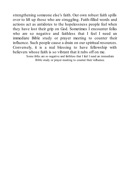strengthening someone else's faith. Our own robust faith spills over to lift up those who are struggling. Faith-filled words and actions act as antidotes to the hopelessness people feel when they have lost their grip on God. Sometimes I encounter folks who are so negative and faithless that I feel I need an immediate Bible study or prayer meeting to counter their influence. Such people cause a drain on our spiritual resources. Conversely, it is a real blessing to have fellowship with believers whose faith is so vibrant that it rubs off on me.

Some folks are so negative and faithless that I feel I need an immediate Bible study or prayer meeting to counter their influence.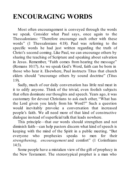# **ENCOURAGING WORDS**

Most often encouragement is conveyed through the words we speak. Consider what Paul says, once again to the Thessalonians: "Therefore encourage each other with these words" (1 Thessalonians 4:18). Paul was referring to the specific words he had just written regarding the truth of Christ's second coming. Like Paul, we can encourage others by sharing the teaching of Scripture and speaking about salvation in Jesus. Remember, "Faith comes from hearing the message" (Romans 10:17). As we speak God's Word, faith can be born in those who hear it. Elsewhere, Paul instructs Titus that church elders should "encourage others by sound doctrine" (Titus 1:9).

Sadly, much of our daily conversation has little real meat in it to edify anyone. Think of the trivial, even foolish subjects that often dominate our thoughts and speech. Years ago, it was customary for devout Christians to ask each other, "What has the Lord given you lately from his Word?" Such a question would inevitably provoke a conversation that increased people's faith. We all need more of that kind of constructive dialogue instead of superficial talk that leads nowhere.

This principle—that our words should strengthen and not diminish faith—can help pastors discern what kind of speech is keeping with the mind of the Spirit in a public meeting. "But everyone who prophesies speaks to men for their *strengthening, encouragement* and comfort" (1 Corinthians  $14.3$ 

Some people have a mistaken view of the gift of prophecy in the New Testament. The stereotypical prophet is a man who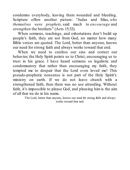condemns everybody, leaving them wounded and bleeding. Scripture offers another picture: "Judas and Silas, *who themselves were prophets,* said much to *encourage* and *strengthen* the brothers" (Acts 15:32).

When sermons, teachings, and exhortations don't build up people's faith, they are not from God, no matter how many Bible verses are quoted. The Lord, better than anyone, knows our need for strong faith and always works toward that end.

When we need to confess our sins and correct our behavior, the Holy Spirit points us to Christ, encouraging us to trust in his grace. I have heard sermons so legalistic and condemnatory that rather than encouraging my faith, they tempted me to despair that the Lord even loved me! This pseudo-prophetic nonsense is not part of the Holy Spirit's ministry on earth. If we do not leave church with a strengthened faith, then there was no use attending. Without faith, it's impossible to please God, and pleasing him is the aim of all that we do in his name.

The Lord, better than anyone, knows our need for strong faith and always works toward that end.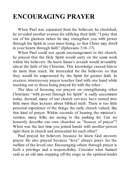# **ENCOURAGING PRAYER**

When Paul was separated from the believers he cherished, he revealed another avenue for edifying their faith: "I pray that out of his glorious riches he may strengthen you with power through his Spirit in your inner being, so that Christ may dwell in your hearts through faith" (Ephesians 3:16–17).

When Paul could not speak encouragement to the church, he prayed that the Holy Spirit would carry on the same work within the believers. He knew Satan's assault would invariably aim at the faith of the Christian. This knowledge caused him to do more than teach. He interceded for the believers so that they would be empowered by the Spirit for greater faith. In essence, intercessory prayer touches God with one hand while reaching out to those being prayed for with the other.

The idea of focusing our prayers on strengthening other Christians "with power through his Spirit" is sadly uncommon today. Instead, many of our church services have turned into little more than lectures about biblical truth. There is too little personal experience of the things the early church valued, like this kind of prayer. Within seconds of hearing the minister's sermon, many folks are racing to the parking lot. Can we honestly describe our own churches as "houses of prayer"? When was the last time you joined hands with another person right there in church and interceded for each other?

Paul prayed for believers because he knew God answers prayer. He also prayed because "love" always prays for the welfare of the loved one. Encouraging others through prayer is both a privilege and a responsibility. Consider what Samuel said as an old man stepping off the stage as the spiritual leader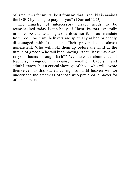of Israel: "As for me, far be it from me that I should sin against the LORD by failing to pray for you" (1 Samuel 12:23).

The ministry of intercessory prayer needs to be reemphasized today in the body of Christ. Pastors especially must realize that teaching alone does not fulfill our mandate from God. Too many believers are spiritually asleep or deeply discouraged with little faith. Their prayer life is almost nonexistent. Who will hold them up before the Lord at the throne of grace? Who will keep praying, "that Christ may dwell in your hearts through faith"? We have an abundance of teachers, singers, musicians, worship leaders, and administrators, but a critical shortage of those who will devote themselves to this sacred calling. Not until heaven will we understand the greatness of those who prevailed in prayer for other believers.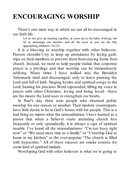## **ENCOURAGING WORSHIP**

There's one more way in which we can all be encouraged in our faith life.

Let us not give up meeting together, as some are in the habit of doing, but let us encourage one another—and all the more as you see the Day approaching (Hebrews 10:25).

It is a blessing to worship together with other believers. Pastors shouldn't try to keep up attendance by laying guilttrips on their members to prevent them from staying home from church. Instead, we need to help people realize that corporate prayer is a privilege and that worship can be tremendously edifying. Many times I have walked into the Brooklyn Tabernacle tired and discouraged, only to leave praising the Lord and full of faith. Singing hymns and spiritual songs to the Lord, hearing his precious Word expounded, lifting my voice in prayer with other Christians, loving and being loved—these are the means the Lord uses to strengthen our hearts.

In Paul's day there were people who shunned public worship for one reason or another. Their modern counterparts have little desire to be in God's house with his people. This is a bad thing no matter what the rationalization. I have learned as a pastor that when a believer starts attending church less frequently or only sporadically, it is always a sign of spiritual trouble. I've heard all the rationalizations: "I'm too busy right now" or "We need more time as a family" or "I worship God at home in my kitchen" or the ever-popular "The church is filled with hypocrites." All of these excuses are smoke screens for some kind of spiritual malady.

Worshiping God with other believers is what we're going to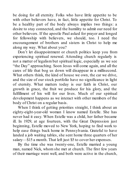be doing for all eternity. Folks who have little appetite to be with other believers have, in fact, little appetite for Christ. To be a healthy part of the body always implies two things: a desire to stay connected, and the humility to admit our need for other believers. If the apostle Paul asked for prayer and longed for fellowship with believers, we should, too. I need the encouragement of brothers and sisters in Christ to help me along my way. What about you?

Don't let disappointment or church politics keep you from experiencing spiritual renewal. Attending church regularly is not a matter of legalism but spiritual logic, especially as we see "the Day" approaching. Soon Jesus will come again, and all the cares of life that bog us down will disappear in a millisecond. What others think, the kind of house we own, the car we drive, and the size of our stock portfolio have no significance in light of eternity. What matters today is our faith in Christ, our growth in grace, the fruit we produce for his glory, and the fulfillment of his will for our lives. Much of our spiritual development happens as we interact with other members of the body of Christ on a regular basis.

When I think of getting priorities straight. I think about an eighty-eight-year-old woman I know named Estelle. She has never had it easy. When Estelle was a child, her father became ill. In 1929, at age fourteen, with the Great Depression just beginning, Estelle moved to New York, hoping to find work to help ease things back home in Pennsylvania. Grateful to have landed a job waiting tables, she sent home three quarters of her salary—\$15 a month. That left just \$5 to cover her expenses.

By the time she was twenty-one, Estelle married a young man, named Nick, whom she met at church. The first few years of their marriage went well, and both were active in the church,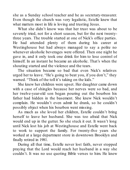she as a Sunday school teacher and he as secretary-treasurer. Even though the church was very legalistic, Estelle knew that what matters most in life is loving and trusting Jesus.

What she didn't know was that her trust was about to be severely tried, not for a short season, but for the next twentythree years. The trouble started at one of Nick's office parties. He had attended plenty of them during his career at Westinghouse but had always managed to say a polite no whenever alcoholic beverages were offered. Then one night he gave in, and it only took one drink for him to lose control of himself. In an instant he became an alcoholic. That's when the shouting started and the violence and the tears.

The situation became so bad that even Nick's relatives urged her to leave. "He's going to beat you, if you don't," they warned. "Think of the toll it's taking on the kids."

She knew her children were upset. Her daughter came down with a case of shingles because her nerves were so bad, and her twelve-year-old son began pouring out the bourbon his father had hidden in the basement. She knew Nick wouldn't complain. He wouldn't even admit he drank, so he couldn't possibly object when his bourbon went missing.

As much as she loved her children, Estelle couldn't bring herself to leave her husband. She was too afraid that Nick would end up in the gutter. So she stuck it out. It wasn't long until Nick lost his job at Westinghouse and Estelle went back to work to support the family. For twenty-five years she worked at a large department store in downtown Brooklyn and finally retired in 1981.

During all that time, Estelle never lost faith, never stopped praying that the Lord would reach her husband in a way she couldn't. It was no use quoting Bible verses to him. He knew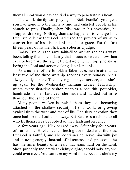themall. God would have to find a way to penetrate his heart.

The whole family was praying for Nick. Estelle's youngest son had gone into the ministry and had enlisted people in his church to pray. Finally, when Nick was in his seventies, he stopped drinking. Nothing dramatic happened to change him. But Estelle knew that God had used the prayers of many to convict him of his sin and his need for grace. For the last fifteen years of his life, Nick was sober as a judge.

Today Estelle is the same faith-filled woman she has always been, telling friends and family that "Jesus is sweeter now than ever before." At the age of eighty-eight, her top priority is loving the Lord and serving alongside his people.

As a member of the Brooklyn Tabernacle, Estelle attends at least two of the three worship services every Sunday. She's always early for the Tuesday night prayer service, and she's up again for the Wednesday morning Ladies' Fellowship, where every first-time visitor receives a beautiful potholder, handmade by her. Last year she made and handed out more than four thousand of them!

Many people weaken in their faith as they age, becoming attached to the shallow security of this world or growing cynical from the wear and tear of life. The fiery devotion they once had for the Lord ebbs away. But Estelle is a rebuke to all who let themselves be robbed of their faith and fervency.

A few years ago, Nick passed away. After sixty-four years of married life, Estelle needed fresh grace to deal with the loss. But God is faithful, and she continues to serve him with joy and amazing energy. Instead of bitterness or depression, she has the inner beauty of a heart that leans hard on the Lord. She's probably the prettiest eighty-eight-year-old lady anyone could ever meet. You can take my word for it, because she's my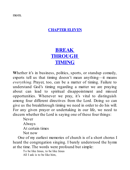mom.

### **CHAPTER ELEVEN**

### **BREAK THROUGH TIMING**

**W**hether it's in business, politics, sports, or standup comedy, experts tell us that timing doesn't mean anything—it means *everything.* Prayer, too, can be a matter of timing. Failure to understand God's timing regarding a matter we are praying about can lead to spiritual disappointment and missed opportunities. Whenever we pray, it's vital to distinguish among four different directives from the Lord. Doing so can give us the breakthrough timing we need in order to do his will. For any given prayer or undertaking in our life, we need to discern whether the Lord is saying one of these four things: Never

Always

At certain times Not now

One of my earliest memories of church is of a short chorus I heard the congregation singing. I barely understood the hymn at the time. The words were profound but simple:

To be like Jesus, to be like Jesus All I ask is to be like him,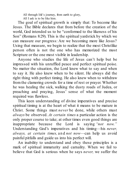All through life's journey, from earth to glory, All I ask is to be like him.

The goal of spiritual growth is simply that: To become like Jesus. The Bible declares that from before the creation of the world, God intended us to be "conformed to the likeness of his Son" (Romans 8:29). This is the spiritual yardstick by which we can measure our progress: Are we becoming more like Jesus? Using that measure, we begin to realize that the most Christlike person often is not the one who has memorized the most Scripture or the one most visible in leadership.

Anyone who studies the life of Jesus can't help but be impressed with his unruffled peace and perfect spiritual poise. No matter the situation, the Lord knew what to say and when to say it. He also knew when to be silent. He always did the right thing with perfect timing. He also knew when to withdraw from the clamoring crowds for a time of rest or prayer. Whether he was healing the sick, walking the dusty roads of Judea, or preaching and praying, Jesus' sense of what the moment required was flawless.

This keen understanding of divine imperatives and precise spiritual timing is at the heart of what it means to be mature in Christ. Some things must *never* be done, while others must *always* be observed. *At certain times* a particular action is the only proper course to take; at other times even good things are inappropriate because the Lord is saying *"not now."* Understanding God's imperatives and his timing—his *never, always, at certain times,* a n d *not now*—can help us avoid painful pitfalls and guide us into his perfect will.

An inability to understand and obey these principles is a mark of spiritual immaturity and carnality. When we fail to believe that God is serious when he says *never,* we suffer the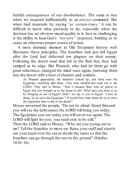hurtful consequences of our disobedience. The same is true when we respond halfheartedly to an *always* command. But when God responds by saying *"at certain times,"* it can be difficult to know what precisely to do, especially when the decision has no obvious moral quality to it. Just as challenging is the ability to hear God's *"not now"* response, bidding us to cease an otherwise proper course of action.

A most dramatic moment in Old Testament history well illustrates these principles. The Israelites had just left Egypt after the Lord had delivered ten plagues on their enemy. Following the desert road that led to the Red Sea, they had camped at its edge. But Pharaoh, who had let them go with great reluctance, changed his mind once again, pursuing them into the desert with a host of chariots and soldiers.

As Pharaoh approached, the Israelites looked up, and there were the Egyptians, marching after them. They were terrified and cried out to the LORD. They said to Moses, "Was it because there were no graves in Egypt that you brought us to the desert to die? What have you done to us by bringing us out of Egypt? Didn't we say to you in Egypt, 'Leave us alone; let us serve the Egyptians'? It would have been better for us to serve the Egyptians than to die in the desert!"

Moses answered the people, "Do not be afraid. Stand firmand you willsee the deliverance the LORD will bring you today. The Egyptians you see today you will never see again. The LORD will fight for you; you need only to be still."

Then the LORD said to Moses, "Why are you crying out to me? Tell the Israelites to move on. Raise your staff and stretch out your hand over the sea to divide the water so that the Israelites can go through the sea on dry ground" (Exodus 14:10–16).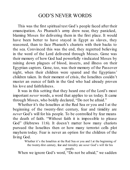### GOD'S NEVER WORDS

This was the first spiritual test God's people faced after their emancipation. As Pharaoh's army drew near, they panicked blaming Moses for delivering them in the first place. It would have been better to have stayed in Egypt as slaves, they reasoned, than to face Pharaoh's chariots with their backs to the sea. Convinced this was the end, they regretted believing in the word of the Lord delivered through Moses. Gone was their memory of how God had powerfully vindicated Moses by raining down plagues of blood, insects, and illness on their Egyptian captors. Gone, too, was their memory of the Passover night, when their children were spared and the Egyptians' children taken. In their moment of crisis, the Israelites couldn't muster an ounce of faith in the God who had already proven his love and faithfulness.

It was in this setting that they heard one of the Lord's most important *never* words, a word that applies to us today. It came through Moses, who boldly declared, "Do not be afraid."

Whether it's the Israelites at the Red Sea or you and I at the beginning of the twenty-first century, fear and timidity are *never* God's will for his people. To be controlled by fear means the death of faith. "Without faith it is impossible to please God" (Hebrews 11:6). It doesn't matter how many chariots pursued the Israelites then or how many terrorist cells plot mayhem today. Fear is never an option for the children of the living God.

Whether it's the Israelites at the Red Sea or you and I at the beginning of the twenty-first century, fear and timidity are *never* God's will for his

people.

When we ignore God's word, "Do not be afraid," we sadden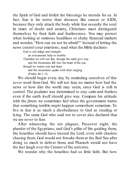the Spirit of God and forfeit the blessings he intends for us. In fact, fear is far worse than diseases like cancer or AIDS because they only attack the body while fear assaults the soul. In times of doubt and anxiety, Christians must distinguish themselves by their faith and fearlessness. You may protest when looking at ominous headlines or shaky financial markets and wonder, "How can we not be afraid?" Instead of letting the news control your emotions, read what the Bible declares:

God is our refuge and strength

an ever-present help in trouble.

Therefore we will not fear, though the earth give way

and the mountains fall into the heart ofthe sea,

though its waters roar and foam

and the mountains quake with their surging (Psalm 46:1–3).

We should begin every day by reminding ourselves of this *never* word from God. We will not fear, no matter how bad the news or how dire the world may seem, since God is still in control. The psalmist was determined to stay calm and fearless even if the earth itself should give way. Compare his attitude with the jitters we sometimes feel when the government warns that something terrible *might* happen somewhere sometime. To live in fear is as much a disobedience to God as stealing or lying. The same God who said not to covet also declared that we are *never* to fear.

After witnessing the ten plagues, Passover night, the plunder of the Egyptians, and God's pillar of fire guiding them, the Israelites should have trusted the Lord, even with chariots chasing them. God would not forsake them at the Red Sea after doing so much to deliver them, and Pharaoh would not have the last laugh over the Creator of the universe.

We wonder why the Israelites had so little faith. But how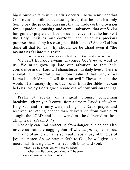big is our own faith when a crisis occurs? Do we remember that God loves us with an everlasting love; that he sent his only Son to pay the price for our sins; that he made costly provision for our pardon, cleansing, and eternal salvation; that our Savior has gone to prepare a place for us in heaven; that he has sent the Holy Spirit as our comforter and given us precious promises backed by his own great faithfulness? Since God has done all that for us, why should we be afraid even if "the mountains fall into the sea"?

To live in fear is as much a disobedience to God as stealing or lying.

We can't let mood swings challenge God's *never* word to us. We must grow up into our salvation so that bold confidence in our Lord will characterize our daily lives. There is a simple but powerful phrase from Psalm 23 that many of us learned as children: "I will fear no evil." These are not the words of a nursery rhyme, but words from the Bible that can help us live by God's grace regardless of how ominous things seem.

Psalm 34 speaks of a great promise concerning breakthrough prayer. It comes from a time in David's life when King Saul and his army were stalking him. David prayed and received something deeper than deliverance from trouble. "I sought the LORD, and he answered me; he delivered me from all my fears" (Psalm34:4).

Not only can God protect us from danger, but he can also rescue us from the nagging fear of what *might* happen to us. That kind of anxiety creates spiritual chaos in us, robbing us of joy and peace. As we pray in faith to God, he will give us a nocturnal blessing that will affect both body and soul.

When you lie down, you will *not be afraid;* when you lie down, your sleep will be sweet. *Have no fear* ofsudden disaster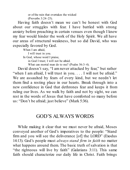or of the ruin that overtakes the wicked (Proverbs 3:24–25).

Having faith doesn't mean we can't be honest with God about our struggles with fear. I have battled with strong anxiety before preaching in certain venues even though I knew my fear would hinder the work of the Holy Spirit. We all have our areas of structural weakness, but so did David, who was especially favored by God.

When I am afraid I will trust in you.

In God, whose word I praise

in God I trust; I will not be afraid.

What can mortal man do to me? (Psalm 56:3–4).

David doesn't say, "I am never attacked by fear," but rather "when I am afraid, I will trust in you.... I will not be afraid." We are assaulted by fears of every kind, but we needn't let them find a resting place in our hearts. Break through into a new confidence in God that dethrones fear and keeps it from ruling our lives. As we walk by faith and not by sight, we can rest in the words of Jesus that have comforted so many before us: "Don't be afraid; just believe" (Mark 5:36).

#### GOD'S ALWAYS WORDS

While making it clear that we must never be afraid, Moses conveyed another of God's imperatives to the people: "Stand firm and you will see the deliverance [of] the LORD" (Exodus 14:13). God's people must *always stand firm in faith* no matter what happens around them. The basic truth of salvation is that "the righteous will live by faith" (Galatians 3:11). This same faith should characterize our daily life in Christ. Faith brings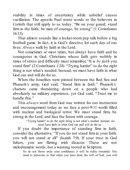stability in times of uncertainty while unbelief causes vacillation. The apostle Paul wrote words to the believers in Corinth that still apply to us today: "Be on your guard; stand firm in the faith; be men of courage; be strong" (1 Corinthians 16:13).

That almost sounds like a locker-room pep talk before a big football game. In fact, it is God's directive for each day of our lives: *Always* walk by faith in the Lord.

Not sometimes or most times, but always have faith and be courageous in God. Christians whose faith gets wobbly in times of stress and difficulty must remember, "It is *by faith* you stand firm" (2 Corinthians 1:24). "Trying harder" to do the right thing is not what's needed. Instead, we must have faith in what God can and will do for us.

When the Israelites were pinned between the Red Sea and Pharaoh's army, God said, "Stand firm in faith." Pharaoh's chariots came thundering down on a people who had absolutely no military experience, yet God said, "Trust me to handle this."

This *always* word from God was written for our instruction and encouragement today as we face a post-9/11 world filled with nuclear and biological terror. We must stand firm, be strong in the Lord, and face the future with courage.

" Trying harder" to do the right thing is not what's needed. Instead, we must have faith in what God can and will do for us.

If you doubt the importance of standing firm in faith, consider the alternative: "If you do not stand firm in your faith, you will not stand at all" (Isaiah 7:9). If your trust in God falters, you are flirting with disaster. These are not melodramatic words, but a warning rooted in Scripture.

So do not throw away your confidence: it will be richly rewarded. You need to persevere so that when you have done the will of God, you will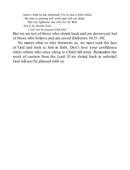receive what he has promised. For in just a little while,

" He who is coming will come and will not delay.

But my righteous one will live by faith.

*And if he shrinks back,*

*I will not be pleased* with him."

But we are not of those who shrink back and are destroyed, but of those who believe and are saved (Hebrews 10:35–39).

No matter what or who threatens us, we must seek the face of God and look to him in faith. Don't lose your confidence when others who once clung to Christ fall away. Remember the word of caution from the Lord: If we shrink back in unbelief, God will not be pleased with us.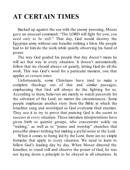# **AT CERTAIN TIMES**

Backed up against the sea with the enemy pursuing, Moses gave an unusual command: "The LORD will fight for you; *you need only to be still*." That day, God would destroy the Egyptian army without one Israelite striking a blow. His people had to let him do the work while quietly observing his hand of power.

The way God guided his people that day doesn't mean he will act that way in every situation. It doesn't automatically follow that we should always sit quietly, letting God do all the work. This was God's word for a particular moment, one that applies *at certain times.*

Unfortunately, some Christians have tried to make a complete theology out of this and similar passages, emphasizing that God will always do the fighting for us. According to them, believers are merely to watch passively for the salvation of the Lord, no matter the circumstances. Some people emphasize another story from the Bible in which the Israelites sang and worshiped as God overcame their enemies. They use it to try to prove that praising God is the secret to success in *every* situation. These mistaken interpretations have given birth to quietist groups, who concentrate solely on "waiting," as well as to "praise and worship" churches that prescribe almost nothing but making a joyful noise to the Lord.

When it comes to being led by the Lord, there are no simple formulas that apply to every situation. We need to learn to follow God's leading day by day. When Moses directed the Israelites to stand still and observe the power of God, he was not laying down a principle to be obeyed in all situations. In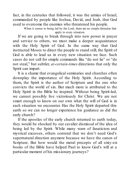fact, in the centuries that followed, it was the armies of Israel, commanded by people like Joshua, David, and Joab, that God used to overcome the enemies who threatened his people.

When it comes to being led by the Lord, there are no simple formulas that apply to every situation.

If we are going to break through into new power in prayer and service to others, we must make a deeper acquaintance with the Holy Spirit of God. In the same way that God instructed Moses to direct the people to stand still, the Spirit of God is able to lead us in every new situation we face. Such cases do not call for simple commands like "do not lie" or "do not steal," but subtler, *at-certain-times* directions that only the Spirit can impart.

It is a shame that evangelical seminaries and churches often downplay the importance of the Holy Spirit. According to them, the Spirit is the author of Scripture and the one who convicts the world of sin. But much more is attributed to the Holy Spirit in the Bible he inspired. Without being Spirit-led, we cannot possibly live victoriously for Christ. We are not smart enough to know on our own what the will of God is in each situation we encounter. Has the Holy Spirit departed this earth so we can no longer experience his guidance as did the early church?

If the apostles of the early church returned to earth today, they would be shocked by our cavalier dismissal of the idea of being led by the Spirit. While many warn of fanaticism and mystical excesses, others contend that we don't need God's supernatural direction anymore because we have the canon of Scripture. But how would the moral precepts of all sixty-six books of the Bible have helped Paul to know God's will at a particular moment of his missionary journeys?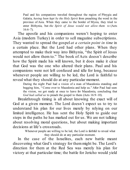Paul and his companions traveled throughout the region of Phrygia and Galatia, *having been kept by the Holy Spirit* from preaching the word in the province of Asia. When they came to the border of Mysia, they tried to enter Bithynia, but *the Spirit of Jesus would not allow them to* (Acts  $16:6 - 7$ 

The apostle and his companions weren't hoping to enter Asia (modern Turkey) in order to sell magazine subscriptions. They wanted to spread the gospel *at a certain point in time* in a certain place. But the Lord had other plans. When they attempted to make their way into Bithynia, "the Spirit of Jesus would not allow them to." The book of Acts doesn't describe how the Spirit made his will known, but it does make it clear that God was the one who altered their plans. Paul and his companions were not left confused and idle for long, because whenever people are willing to be led, the Lord is faithful to reveal what they should do at any particular moment.

During the night Paul had a vision of a man of Macedonia standing and begging him, "Come over to Macedonia and help us." After Paul had seen the vision, we got ready at once to leave for Macedonia, concluding that *God had called us* to preach the gospel to them (Acts 16:9–10).

Breakthrough timing is all about knowing the exact will of God at a given moment. The Lord doesn't expect us to try to understand his plan for our lives merely by relying on our limited intelligence. He has sent the Holy Spirit to guide our steps in the paths he has marked out for us. We are not talking about resolving moral questions, but about making important decisions at life's crossroads.

> Whenever people are willing to be led, the Lord is faithful to reveal what they should do at any particular moment.

In the case of the Israelites, each new battle meant discovering what God's strategy for them might be. The Lord's direction for them at the Red Sea was merely his plan for victory at that particular time; the battle for Jericho would yield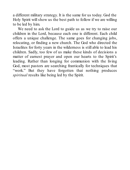a different military strategy. It is the same for us today. God the Holy Spirit will show us the best path to follow if we are willing to be led by him.

We need to ask the Lord to guide us as we try to raise our children in the Lord, because each one is different. Each child offers a unique challenge. The same goes for changing jobs, relocating, or finding a new church. The God who directed the Israelites for forty years in the wilderness is still able to lead his children. Sadly, too few of us make these kinds of decisions a matter of earnest prayer and open our hearts to the Spirit's leading. Rather than longing for communion with the living God, most pastors are searching frantically for techniques that "work." But they have forgotten that nothing produces *spiritual* results like being led by the Spirit.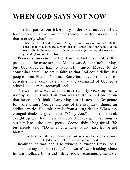# **WHEN GOD SAYS NOT NOW**

The last part of our Bible story is the most unusual of all. Rarely do we read of God telling someone to stop praying, but that is exactly what happened.

Then the LORD said to Moses, " *Why are you crying out to me?* Tell the Israelites to move on. Raise your staff and stretch out your hand over the sea to divide the water so that the Israelites can go through the sea on dry ground" (Exodus 14:15–16).

Prayer is precious to the Lord, a fact that makes this passage all the more striking. Moses was doing a noble thing, but God directed him to stop. He wanted Moses to do something better—to act in faith so that God could deliver his people from Pharaoh's army. Sometimes even the best of activities must come to a halt at the command of God so a critical deed can be accomplished.

A man I know was almost murdered forty years ago on a rooftop in the Bronx. This man was so strung out on heroin that he couldn't think of anything but his next fix. Desperate for more drugs, George did one of the stupidest things an addict can do: He stole heroin from a drug dealer. When the enraged dealer, a guy named "Crazy Joe," and his sidekick caught up with him in an abandoned building, threatening to cut him into a thousand pieces, George didn't beg for his life but merely said, "Do what you have to do—just let me get high."

> Sometimes even the best of activities must come to a halt at the command of God so a critical deed can be accomplished.

Realizing he was about to witness a murder, Crazy Joe's accomplice argued that George's life wasn't worth taking, since he was nothing but a dirty drug addict. Amazingly, the irate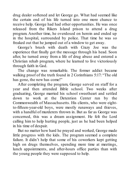drug dealer softened and let George go. What had seemed like the certain end of his life turned into one more chance to receive help. George had had other opportunities. He was once released from the Rikers Island prison to attend a drug program. Another time, he overdosed on heroin and ended up in the hospital, surrounded by police. That time he was so freaked out that he jumped out of a window to get away.

George's brush with death with Crazy Joe was the experience that finally got the message through his head. Soon after, he turned away from a life of drug abuse and entered a Christian rehab program, where he learned to live victoriously through faith in God.

The change was remarkable. The former addict became walking proof of the truth found in 2 Corinthians 5:17: "The old has gone, the new has come!"

After completing the program, George served on staff for a year and then attended Bible school. Two weeks after graduating, George married his school sweetheart and settled down to work at the Detention Center run by the Commonwealth of Massachusetts. His clients, who were eightto-fifteen-year-old boys, were mostly runaways and thieves, with a handful of murderers thrown in. But as far as George was concerned, this was a dream assignment. He felt the Lord calling him to help hurting people, just as he had been helped in his time of despair.

But no matter how hard he prayed and worked, George made little progress with the kids. The program seemed a complete failure. It didn't help that some of his coworkers kept getting high on drugs themselves, spending more time at meetings, lunch appointments, and after-hours office parties than with the young people they were supposed to help.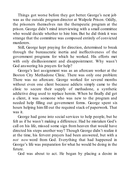Things got worse before they got better. George's next job was as the outside program director at Walpole Prison. Oddly, the prisoners themselves ran the therapeutic program at the prison. George didn't mind interviewing with a small committee who would decide whether to hire him. But he did think it was strange that the committee was composed entirely of convicted murderers.

Still, George kept praying for direction, determined to break through the bureaucratic inertia and ineffectiveness of the government programs for which he worked. His efforts met with only disillusionment and disappointment. Why wasn't God answering his prayers for help?

George's last assignment was as an aftercare worker at the Boston City Methadone Clinic. There was only one problem: There was no aftercare. George worked for several months without even one client because addicts simply came to the clinic to secure their supply of methadone, a synthetic addictive drug used to replace heroin. When he finally did get a client, it was someone who was new to the program and needed help filling out government forms. George spent six hours helping him fill out the required stack of paperwork. That was it.

George had gone into social services to help people, but he felt as if he wasn't making a difference. Had he mistaken God's call on his life, missed some sign from heaven that would have directed his steps another way? Though George didn't realize it at the time, his fervent prayers had been answered, but with a *not now* word from God. Everything that had happened in George's life was preparation for what he would be doing in the future.

God was about to act. He began by placing a desire in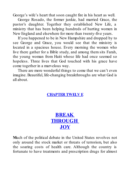George's wife's heart that soon caught fire in his heart as well.

George Rosado, the former junkie, had married Grace, the pastor's daughter. Together they established New Life, a ministry that has been helping hundreds of hurting women in New England and elsewhere for more than twenty-five years.

If you happened to be in New Hampshire and dropped by to see George and Grace, you would see that the ministry is located in a spacious house. Every morning the women who live there gather for a Bible study, and among them sits Farah, the young woman from Haiti whose life had once seemed so hopeless. Three lives that God touched with his grace have come together in a marvelous way.

There are more wonderful things to come that we can't even imagine. Beautiful, life-changing breakthroughs are what God is all about.

#### **CHAPTER TWELV E**

### **BREAK THROUGH JOY**

**M**uch of the political debate in the United States revolves not only around the stock market or threats of terrorism, but also the soaring costs of health care. Although the country is fortunate to have treatments and prescription drugs for almost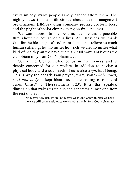every malady, many people simply cannot afford them. The nightly news is filled with stories about health management organizations (HMOs), drug company profits, doctor's fees, and the plight of senior citizens living on fixed incomes.

We want access to the best medical treatment possible throughout the course of our lives. As Christians we thank God for the blessings of modern medicine that relieve so much human suffering. But no matter how rich we are, no matter what kind of health plan we have, there are still some antibiotics we can obtain only fromGod's pharmacy.

Our loving Creator fashioned us in his likeness and is deeply concerned for our welfare. In addition to having a physical body and a soul, each of us is also a *spiritual* being. This is why the apostle Paul prayed, "May your *whole spirit, soul and body* be kept blameless at the coming of our Lord Jesus Christ" (1 Thessalonians 5:23). It is this spiritual dimension that makes us unique and separates humankind from the rest of creation.

No matter how rich we are, no matter what kind of health plan we have there are still some antibiotics we can obtain only from God's pharmacy.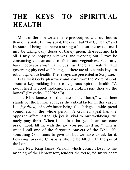# **THE KEYS TO SPIRITUAL HEALTH**

Most of the time we are more preoccupied with our bodies than our spirits. But my spirit, the essential "Jim Cymbala," and its state of being can have a strong affect on the rest of me. I may be taking daily doses of barley green, flaxseed, and fish oil. I may be popping vitamins and working out. I may be consuming vast amounts of fruits and vegetables. Yet I may have poor *spiritual* health. Just as there are natural laws governing physical well-being, so there are also certain keys to robust *spiritual* health. These keys are presented in Scripture.

Let's visit God's pharmacy and learn from the Word of God about a key building block of vigorous spiritual health: "A joyful heart is good medicine, but a broken spirit dries up the bones" (Proverbs 17:22 NASB).

The Bible focuses on the state of the "heart." which here stands for the human spirit, as the critical factor. In this case it is a *joy-filled, cheerful* inner being that brings a widespread soundness to the whole person. A crushed spirit has the opposite affect. Although joy is vital to our well-being, we rarely pray for it. When is the last time you heard someone pray, "Lord, fill me with the joy you promised me"? This is what I call one of the forgotten prayers of the Bible. It's something God wants to give us, but we have to ask for it. Believing, praying Christians should be filled with the joy of the Lord.

The New King James Version, which comes closer to the meaning of the Hebrew text, renders the verse, "A merry heart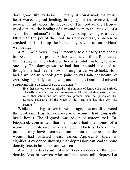does good, like medicine." Literally, it could read, "A merry heart works a good healing, brings good improvement, and powerfully advances the recovery." The root of the Hebrew word denotes the healing of a wound even to the removal of a scar. The "medicine" that brings such deep healing is a heart filled with the joy of the Lord. In stark contrast, a broken or crushed spirit dries up the bones. Joy is vital to our spiritual well-being.

*ABC World News Tonight* recently told a story that seems to bear out this point. A lab technician from Rochester, Minnesota, fell and shattered her wrist while walking to work one day. The damage was so bad that she said it looked as though she had been thrown through a car windshield. How had a woman who took great pains to maintain her health by exercising regularly, eating well, and taking vitamin and mineral supplements sustained such an injury?

Even her doctors were surprised by the amount of damage she had suffered. " Usually a woman that age can sustain a fall and put their wrist out and catch themselves and not have any problem,"said her physician, Dr. Lorraine Fitzpatrick of the Mayo Clinic. "But she had this very bad fracture. $\frac{1}{2}$ 

While operating to repair the damage, doctors discovered the problem. This forty-six-year-old woman had unusually brittle bones. The diagnosis was advanced osteoporosis. Dr. Fitzpatrick commented that her patient had the bones of a woman fifteen-to-twenty years older. Doctors believe the problem may have stemmed from a bout of depression the woman had suffered years earlier. Apparently there is significant evidence showing that depression can lead to bone density loss in both men and women.

A recent medical study offered X-ray evidence of the bone density loss in women who suffered even mild depression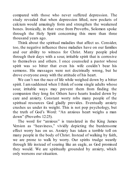compared with those who never suffered depression. The study revealed that when depression lifted, new pockets of calcium would amazingly form and strengthen the weakened bones. Ironically, in that verse from Proverbs, Solomon spoke through the Holy Spirit concerning this more than three thousand years ago.

Think about the spiritual maladies that affect us. Consider, too, the negative influence these maladies have on our families and our ability to witness for Christ. Many people plod through their days with a sour, irritable spirit that is corrosive to themselves and others. I once counseled a pastor whose spirit was so bitter that even his wife couldn't bear his sermons. His messages were not doctrinally wrong, but he drove everyone away with the attitude of his heart.

We can't run the race of life while weighed down by a bitter spirit. I am saddened when I think of some single adults whose sour, irritable ways may prevent them from finding the companion they long for. Others have hearts loaded down by care and anxiety. Constant worry robs many people of the spiritual resources God gladly provides. Eventually anxiety crushes us under its weight. This is not pop psychology, but the truth of God's Word: "An anxious heart weighs a man down" (Proverbs 12:25).

The word for "anxious" is translated in the King James Version as "heaviness," vividly depicting the burdensome effect worry has on us. Anxiety has taken a terrible toll on many people in the body of Christ. Instead of walking by faith, we are prone to walk by worry. Our spirits trudge wearily through life instead of soaring like an eagle, as God promised they would. We are spiritually grounded by anxiety, which only worsens our situation.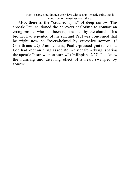Many people plod through their days with a sour, irritable spirit that is corrosive to themselves and others.

Also, there is the "crushed spirit" of deep sorrow. The apostle Paul cautioned the believers at Corinth to comfort an erring brother who had been reprimanded by the church. This brother had repented of his sin, and Paul was concerned that he might now be "overwhelmed by excessive sorrow" (2 Corinthians 2:7). Another time, Paul expressed gratitude that God had kept an ailing associate minister from dying, sparing the apostle "sorrow upon sorrow" (Philippians 2:27). Paul knew the numbing and disabling effect of a heart swamped by sorrow.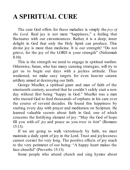# **A SPIRITUAL CURE**

The cure God offers for these maladies is simply the *joy of the Lord*. Real joy is not mere "happiness," a feeling that fluctuates with our circumstances. Rather, it is a deep, inner delight in God that only the Holy Spirit can produce. This divine joy is more than medicine. It is our strength! "Do not grieve, for the joy of the LORD is your strength" (Nehemiah 8:10).

This is the strength we need to engage in spiritual warfare. Otherwise, Satan, who has many cunning strategies, will try to get us to begin our days with a joyless attitude. Thus weakened, we make easy targets for even heavier satanic artillery aimed at destroying our faith.

George Mueller, a spiritual giant and man of faith of the nineteenth century, asserted that he couldn't safely start a new day without first being "happy in God." Mueller was a man who trusted God to feed thousands of orphans in his care over the course of several decades. He found this happiness by starting every day with prayer and meditation on Scripture. He learned valuable secrets about faith in God, one of which concerns the fortifying element of joy: "May the God of hope fill you with *all joy* and peace as you *trust in him*" (Romans  $15:13$ 

If we are going to walk victoriously by faith, we must maintain a daily spirit of joy in the Lord. Trust and joylessness cannot coexist for very long. The positive effects of joy reach to the very perimeter of our being: "A happy heart makes the face cheerful" (Proverbs 15:13).

Some people who attend church and sing hymns about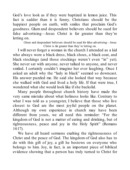God's love look as if they were baptized in lemon juice. This fact is sadder than it is funny. Christians should be the happiest people on earth, with smiles that proclaim God's goodness. Glum and despondent believers should be sued for false advertising—Jesus Christ is far greater than they're letting on.

Glum and despondent believers should be sued for false advertising—Jesus Christ is far greater than they're letting on.

I will never forget a woman in the church I attended as a kid who always wore a black dress, black shoes, a black coat, and black stockings (and those stockings weren't even "in" yet). She never sat with anyone, never talked to anyone, and never smiled. I certainly couldn't imagine her ever laughing. Once I asked an adult why the "lady in black" seemed so downcast. His answer puzzled me. He said she looked that way because she walked with God and lived a holy life. If that were true, I wondered what she would look like if she backslid.

Many people throughout church history have made the very same mistake about what holiness looks like. Contrary to what I was told as a youngster, I believe that those who live closest to God are the most joyful people on the planet. Although my own experience in church may have been different from yours, we all need this reminder: "For the kingdom of God is not a matter of eating and drinking, but of righteousness, peace and joy in the Holy Spirit" (Romans 14:17).

We have all heard sermons exalting the righteousness of Christ and the peace of God. The kingdom of God also has to do with this gift of joy, a gift he bestows on everyone who belongs to him. Joy, in fact, is an important piece of biblical evidence showing that a person has truly turned to Christ for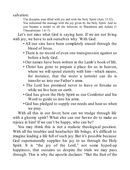salvation:

The disciples were filled with joy and with the Holy Spirit (Acts 13:52).

You welcomed the message with the joy given by the Holy Spirit. And so you became a model to all the believers in Macedonia and Achaia (1 Thessalonians 1:6–7).

Let's not miss what God is saying here. If we are not living with joy, we have to ask ourselves why. With God:

- All our sins have been completely erased through the blood of Jesus.
- There is no record of even one transgression against us before a holy God.
- Our names have been written in the Lamb's book of life.
- Christ has gone to prepare a place for us in heaven, where we will spend eternity with him—which means, for instance, that the worst a terrorist can do is transfer us into our Father's arms.
- The Lord has promised never to leave or forsake us while we live here on earth.
- God has given the Holy Spirit as our Comforter and his Word to guide us into his arms.
- God has pledged to supply our needs and hear us when we pray.

With all this in our favor, how can we trudge through life with a gloomy spirit? What else can our Savior do to make us rejoice in him? If we can't be happy, who can be?

You may think this is not a realistic theological position. With all the troubles and heartaches life brings, it's difficult to imagine leading a life full of such joy. But it's possible because God supernaturally supplies his joy to us through the Holy Spirit. It is "the joy of the Lord," not some hyped-up happiness, that sustains us despite the trials we may pass through. This is why the apostle declares: "But the fruit of the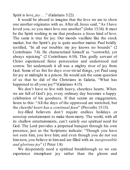Spirit is love, *joy* . . ." (Galatians 5:22).

It would be absurd to imagine that the love we are to show one another originates with us.After all, Jesus said, "As I have loved you, so you must love one another" (John 13:34). It must be the Spirit working in me that produces a Jesus kind of love. The same is true for joy. Our moods vacillate like the stock market, but the Spirit's joy is quite another matter. Paul boldly testified, "In all our troubles my joy knows no bounds" (2 Corinthians 7:4). He characterized himself as "sorrowful, yet always rejoicing" (2 Corinthians 6:10). This godly servant of Christ experienced fierce persecution and understood real sorrow. Yet underneath it all was a mighty river of joy from God. Some of us fret for days over trivial things, yet Paul sang for joy at midnight in a prison. He would ask the same question of us that he did of the Christians in Galatia, "What has happened to all your joy?"(Galatians 4:15).

We don't have to live with heavy, cheerless hearts. When we are full of God's joy, every ordinary day becomes a happy celebration of his goodness. If that seems an exaggeration, listen to this: "All the days of the oppressed are wretched, but the *cheerful heart has a continual feast*" (Proverbs 15:15).

Joy-filled believers don't require endless holidays or nonstop entertainment to make them merry. The world, with all its shallow entertainments, can't satisfy our spiritual need for God. The Lord provides a perpetual banquet through his own presence, just as the Scriptures indicate: "Though you have not seen him, you love him; and even though you do not see himnow, you believe in himand are filled with an *inexpressible and glorious joy*" (1 Peter 1:8).

We desperately need a spiritual breakthrough so we can experience triumphant joy rather than the gloom and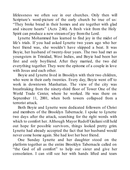lifelessness we often see in our churches. Only then will Scripture's word-picture of the early church be true of us: "They broke bread in their homes and ate together with glad and sincere hearts" (Acts 2:46). A fresh visit from the Holy Spirit can produce a new streamof joy fromthe Lord.

Lynette Mohammed has learned to find joy in the midst of life's trials. If you had asked Lynette two years ago who her best friend was, she wouldn't have skipped a beat. It was Boyie, her husband of twenty-four years. The two had met as youngsters in Trinidad, West Indies, and Boyie had been her first and only boyfriend. After they married, the two did everything together. They were the epitome of a couple in love with Jesus and each other.

Boyie and Lynette lived in Brooklyn with their two children, who were in their early twenties. Every day, Boyie went off to work in downtown Manhattan. The view of the city was breathtaking from the ninety-third floor of Tower One of the World Trade Center, where he worked. He was there on September 11, 2001, when both towers collapsed from a terrorist attack.

Both Boyie and Lynette were dedicated followers of Christ and members of the Brooklyn Tabernacle. I spoke to Lynette two days after the attack, searching for the right words with which to comfort her. Although Mayor Rudolf Giulianistill held out hope for possible survivors, things looked pretty grim. Lynette had already accepted the fact that her husband would never come home again. She had lost her best friend.

One Sunday Lynette and her daughter stood on the platform together as the entire Brooklyn Tabernacle called on "the God of all comfort" to help our sister and give her consolation. I can still see her with hands lifted and tears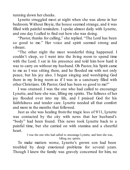running down her cheeks.

Lynette struggled most at night when she was alone in her bedroom. Without Boyie, the house seemed strange, and it was filled with painful reminders. I spoke almost daily with Lynette, and one day I called to find out how she was doing.

"Pastor, thanks for calling," she replied. "The Lord has been so good to me." Her voice and spirit seemed strong and vibrant.

"The other night the most wonderful thing happened. I couldn't sleep, so I went into the living room to spend time with the Lord. I sat in his presence and told him how hard it was to carry on without my husband. Oh Pastor, his Spirit came to me as I was sitting there, and he flooded me with not only peace, but his joy also. I began singing and worshiping God there in my living room as if I was in a sanctuary filled with other Christians. Oh Pastor, God has been so good to me!"

I was stunned. I was the one who had called to encourage Lynette, and here she was, lifting my spirits. The fullness of her joy flooded over into my life, and I praised God for his faithfulness and tender care. Lynette needed all that comfort and more in the months that followed.

Just as she was healing from the tragic loss of 9/11, Lynette was contacted by the city with news that her husband's "body" had been found. This news took Lynette back to a painful time, but she carried on with stamina and a cheerful heart.

I was the one who had called to encourage Lynette, and here she was, lifting my spirits.

To make matters worse, Lynette's grown son had been troubled by deep emotional problems for several years. Though I knew the family was gravely concerned for him, no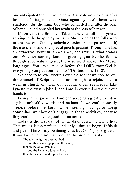one anticipated that he would commit suicide only months after his father's tragic death. Once again Lynette's heart was shattered. But the same God who comforted her after the loss of her husband consoled her again at the loss of her son.

If you visit the Brooklyn Tabernacle, you will find Lynette serving in the hospitality ministry. She is one of the folks who makes the long Sunday schedule easier on the pastoral staff, the musicians, and any special guests present. Though she has an attractive, youthful appearance, her smile is what stands out. Whether serving food or greeting guests, she fulfills, through supernatural grace, the wise word spoken by Moses long ago: "You are to rejoice before the LORD your God in everything you put your hand to" (Deuteronomy 12:18).

We need to follow Lynette's example so that we, too, follow the counsel of Scripture. It is not enough to rejoice once a week in church or when our circumstances seem rosy. Like Lynette, we must rejoice in the Lord in everything we put our hands to.

Living in the joy of the Lord can serve as a great preventive against unhealthy words and actions. If we can't honestly "rejoice before the Lord" while listening, saying, or doing something, we shouldn't engage in those activities, because they can't possibly be good for our souls.

Today is the first day of all the days you have left to live. That makes it the perfect—and only—time to begin. Difficult and painful times may be facing you, but God's joy is greater! It was for you and me that God had the prophet testify:

Though the fig tree does not bud

and there are no grapes on the vines,

though the olive crop fails

and the fields produce no food, though there are no sheep in the pen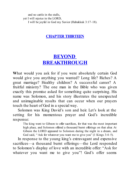and no cattle in the stalls, yet I will rejoice in the LORD, I will be joyful in God my Savior (Habakkuk 3:17–18).

#### **CHAPTER THIRTEEN**

### **BEYOND BREAKTHROUGH**

**W**hat would you ask for if you were absolutely certain God would give you anything you wanted? Long life? Riches? A great marriage? Healthy children? A successful career? A fruitful ministry? The one man in the Bible who was given exactly this promise asked for something quite surprising. His name was Solomon, and his story illustrates the unexpected and unimaginable results that can occur when our prayers touch the heart of God in a special way.

Solomon was King David's son and heir. Let's look at the setting for his momentous prayer and God's incredible response:

The king went to Gibeon to offer sacrifices, for that was the most important high place, and Solomon offered a thousand burnt offerings on that altar. At Gibeon the LORD appeared to Solomon during the night in a dream, and God said, " Ask for whatever you want me to give you" (1 Kings 3:4–5).

In response to the young king's extravagant and expensive sacrifices—a thousand burnt offerings—the Lord responded to Solomon's display of love with an incredible offer: "Ask for whatever you want me to give you"! God's offer seems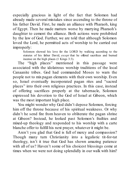especially gracious in light of the fact that Solomon had already made several mistakes since ascending to the throne of his father David. First, he made an alliance with Pharaoh, king of Egypt. Then he made matters worse by marrying Pharaoh's daughter to cement the alliance. Both actions were prohibited by the law of God. Further, we are told that although Solomon loved the Lord, he permitted acts of worship to be carried out improperly:

Solomon showed his love for the LORD by walking according to the statutes of his father David, *except* that he offered sacrifices and burned incense on the high places (1 Kings 3:3).

The "high places" mentioned in this passage were associated with the idolatrous worship traditions of the local Canaanite tribes. God had commanded Moses to warn the people not to mix pagan elements with their own worship. Even so, Israel eventually incorporated pagan rites and "sacred" places" into their own religious practices. In this case, instead of offering sacrifices properly at the tabernacle, Solomon expressed his devotion to the God of Israel at Gibeon, which was the most important high place.

You might wonder why God didn't depose Solomon, forcing him off the throne because of his spiritual weakness. Or why didn't he send fire from heaven to obliterate the pagan shrine at Gibeon? Instead, he looked past Solomon's frailties and mixed-up theology and responded to his worship with a carte blanche offer to fulfill his next prayer, whatever it might be.

Aren't you glad that God is full of mercy and compassion? Though many turn Christianity into a legalistic tit-for-tat theology, isn't it true that God has shown amazing patience with all of us? Haven't some of his choicest blessings come at times when we were not doing splendidly in our walk with him?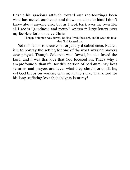Hasn't his gracious attitude toward our shortcomings been what has melted our hearts and drawn us close to him? I don't know about anyone else, but as I look back over my own life, all I see is "goodness and mercy" written in large letters over my feeble efforts to serve Christ.

> Though Solomon was flawed, he also loved the Lord, and it was this love that God focused on.

Yet this is not to excuse sin or justify disobedience. Rather, it is to portray the setting for one of the most amazing prayers ever prayed. Though Solomon was flawed, he also loved the Lord, and it was this love that God focused on. That's why I am profoundly thankful for this portion of Scripture. My best sermons and prayers are never what they should or could be, yet God keeps on working with me all the same. Thank God for his long-suffering love that delights in mercy!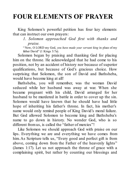# **FOUR ELEMENTS OF PRAYER**

King Solomon's powerful petition has four key elements that can instruct our own prayers:

*1. Solomon approached God first with thanks and praise.*

" Now, O LORD my God, *you have made your servant king* in place of my father David" (1 Kings 3:7a).

Solomon began by praising and thanking God for placing him on the throne. He acknowledged that he had come to his position, not by an accident of history nor because of superior qualifications, but because of God's gracious choice. How surprising that Solomon, the son of David and Bathsheba would have become king at all!

Bathsheba, you will remember, was the woman David seduced while her husband was away at war. When she became pregnant with his child, David arranged for her husband to be murdered in battle in order to cover up the sin. Solomon would have known that he should have had little hope of inheriting his father's throne. In fact, his mother's name would only remind people of King David's moral failure. But God allowed Solomon to become king and Bathsheba's name to go down in history. No wonder God, who is so different fromus, is called the "father of mercies"!

Like Solomon we should approach God with praise on our lips. Everything we are and everything we have comes from him. As Scripture tells us, "Every good and perfect gift is from above, coming down from the Father of the heavenly lights" (James 1:17). Let us not approach the throne of grace with a complaining spirit, but rather by counting our blessings and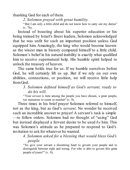thanking God for each of them.

*2. Solomon prayed with great humility.*

"But I am only a little child and do not know how to carry out my duties"  $(v. 7b)$ 

Instead of boasting about his superior education or his being trained by Israel's finest leaders, Solomon acknowledged that he was unfit for such an important position unless God equipped him. Amazingly, the king who would become known as the wisest man in history compared himself to a little child. Solomon's belief in his natural inability is exactly what qualified him to receive supernatural help. His humble spirit helped to unlock the treasury of heaven.

The same holds true for us. If we humble ourselves before God, he will certainly lift us up. But if we rely on our own abilities, connections, or position, we will receive little help fromGod.

*3. Solomon defined himself as God's servant, ready to do his will.*

" Your *servant* is here among the people you have chosen, a great people, too numerous to count or number" (v. 8).

Three times in his brief prayer Solomon referred to himself, not as the king, but as God's *servant*. No wonder he received such an incredible answer to prayer! A servant's task is simple —to follow orders. Solomon had no thought of "using" God but instead displayed a fervent desire to be used *by* him. This was Solomon's attitude as he prepared to respond to God's invitation to ask for whatever he wanted.

*4. Solomon asked for a blessing that would bless God's people.*

"So give your servant a discerning heart to govern your people and to distinguish between right and wrong. For who is able to govern this great people of yours?" (v. 9).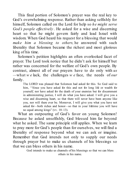This final portion of Solomon's prayer was the real key to God's overwhelming response. Rather than asking selfishly for himself, Solomon called on the Lord for help so *he might serve God's people effectively*. He asked for a wise and discerning heart so that he might govern fairly and lead Israel with wisdom. When God heard his request for a blessing that would *make him a blessing to others,* he answered with such liberality that Solomon became the richest and most glorious king of his time.

Solomon's petition highlights an often overlooked facet of prayer. The Lord took notice that he didn't ask for himself but rather was concerned for the welfare of God's own people. By contrast, almost all of our prayers have to do only with *us —*what *w e* lack, the challenges *w e* face, the needs of *our* family.

The LORD was pleased that Solomon had asked for this. So God said to him. "Since you have asked for this and not for long life or wealth for yourself, nor have asked for the death of your enemies but for discernment in administering justice, I will do what you have asked. I will give you a wise and discerning heart, so that there will never have been anyone like you, nor will there ever be. Moreover, I will give you what you have not asked for—both riches and honor—so that in your lifetime you will have no equal among kings" (vv. 10–13).

What an outpouring of God's favor on young Solomon! Because he asked unselfishly, God blessed him far beyond what he asked. The same principle still applies. When we learn to pray more for God's people than for ourselves, we will find a liberality of response beyond what we can ask or imagine. Remember that God intends not only to supply our needs through prayer but to make us channels of his blessings so that we can bless others in his name.

God intends to make us channels of his blessings so that we can bless others in his name.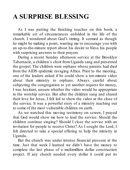### **A SURPRISE BLESSING**

As I was putting the finishing touches on this book, a remarkable set of circumstances unfolded in the life of the church. I wondered about God's timing. It seemed as though he might be making a point, wanting me to encourage you with an up-to-the-minute report about his desire to bless his people with surprising answers to their prayers.

During a recent Sunday afternoon service at the Brooklyn Tabernacle, a children's choir fromUganda sang and presented the gospel. The children were orphans whose parents had died from the AIDS epidemic ravaging Africa. Prior to the meeting, one of the leaders asked if he could show a ten-minute video about their ministry to orphans. Always careful about subjecting the congregation to yet another request for money, I was hesitant, unsure whether the video would be appropriate in the worship service. But after the children sang and shared their love for Jesus, I felt led to show the video at the close of the service. It was a powerful story of a ministry reaching out to some of the most vulnerable children on earth.

As we watched this moving testimony on screen, I prayed that God would show me how to lead the service. Should the children continue singing? Should I close the service with an invitation for people to receive Christ? As I sought the Lord, I felt directed to take a special offering to help the ministry in Uganda.

But the church was under intense financial pressure at the time. Just that week I learned we didn't have the money to complete the last phase of a multimillion dollar construction project. If any church needed every dollar it could put its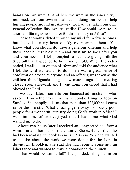hands on, we were it. And here we were in the inner city, I reasoned, with our own critical needs, doing our best to help hurting people around us. Anyway, we had just taken our own general collection fifty minutes earlier. How could we raise up another offering so soon after for this ministry in Africa?

These thoughts flitted through my mind for a few seconds, but the voice in my heart quickly overpowered them: "You know what you should do. Give a generous offering and help these people. Just bless them and trust me to look after you and your needs." I felt prompted to start the giving with the \$100 bill that happened to be in my billfold. When the video ended, I walked out on the platform and told the audience what I felt the Lord wanted us to do. There was a great sense of confirmation among everyone, and an offering was taken as the children from Uganda sang a few more songs. The meeting closed soon afterward, and I went home convinced that I had obeyed the Lord.

Two days later, I ran into our financial administrator, who asked if I knew the amount of that second offering we took on Sunday. She happily told me that more than \$23,000 had come in for the ministry. What amazing generosity by mostly poor people for a wonderful ministry doing God's work in Africa! I went into my office overjoyed that I had done what God wanted me to do.

About two hours later I received an unexpected call from a woman in another part of the country. She explained that she had been reading my book *Fresh Wind, Fresh Fire* and wanted to inquire about the work we were doing for the Lord in downtown Brooklyn. She said she had recently come into an inheritance and wanted to make a donation to the church.

"That would be wonderful!" I responded, filling her in on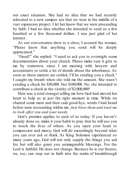our exact situation. She had no idea that we had recently relocated to a new campus nor that we were in the middle of a vast expansion project. I let her know that we were proceeding by faith. I had no idea whether she intended to send us a few hundred or a few thousand dollars. I was just glad of her interest.

As our conversation drew to a close, I assured the woman, "Please know that anything you send will be deeply appreciated."

"Good!" she replied. "I need to ask you to overnight some documentation about your church. Please make sure it gets to me by tomorrow, since I am meeting with lawyers and accountants to settle a lot of details about the inheritance. As soon as these matters are settled. I'll be sending you a check." I caught my breath when she told me the amount. She wasn't sending a check for \$50,000. Nor \$100,000. No, she intended to contribute a check in the vicinity of \$3,000,000!

Here was a total stranger telling me how God had moved her heart to help us at just the right moment in time. While we chatted some more and then said good-bye, words I had heard before were resounding within me: *Just bless them and trust me to look after you and your needs.*

God's promise applies to each of us today. If you haven't already done so, make it your habit to pray that he will use you to touch the lives of others. As you open your heart to compassion and mercy, God will do exceedingly beyond what you can ever ask or think. As King Solomon experienced so many years ago, God will not only supply the things you ask for, but will also grant you unimaginable blessings. For the Lord is faithful. He does not change. Because he is our Source, we, too, can step out in faith into the realm of breakthrough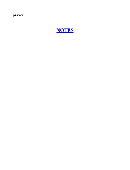**NOTES** 

prayer.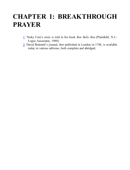## **CHAPTER 1: BREAKTHROUGH PRAYER**

- 
- 1. Nicky Cruz's story is told in his book *Run Baby Run* (Plainfield, N.J.:<br>Logos Associates, 1988). first published in London in 1748, is available<br>loday in various editions, both complete and abridged.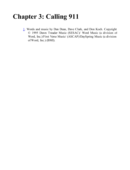# **Chapter 3: Calling 911**

1. Words and music by Dan Dean, Dave Clark, and Don Koch. Copyright<br>
© 1995 Dawn Treader Music (SESAC)/ Word Music (a division of<br>
Word, Inc.) (BMI).<br>
of Word, Inc.) (BMI).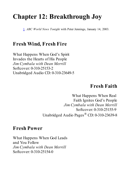## **Chapter 12: Breakthrough Joy**

1. *ABC World News Tonight* with Peter Jennings, January 14, 2003.

#### **Fresh Wind, Fresh Fire**

What Happens When God's Spirit Invades the Hearts of His People *Jim Cymbala with Dean Merrill* Softcover: 0-310-25153-2 Unabridged Audio CD: 0-310-23649-5

### **Fresh Faith**

What Happens When Real Faith Ignites God's People *Jim Cymbala with Dean Merrill* Softcover: 0-310-25155-9 Unabridged Audio Pages® CD: 0-310-23639-8

#### **Fresh Power**

What Happens When God Leads and You Follow *Jim Cymbala with Dean Merrill* Softcover: 0-310-25154-0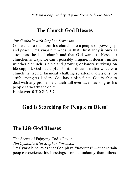#### **The Church God Blesses**

#### *Jim Cymbala with Stephen Sorenson*

God wants to transform his church into a people of power, joy, and peace. Jim Cymbala reminds us that Christianity is only as strong as the local church and that God wants to bless our churches in ways we can't possibly imagine. It doesn't matter whether a church is alive and growing or barely surviving on life support. God has a plan for it. It doesn't matter whether a church is facing financial challenges, internal divisions, or strife among its leaders. God has a plan for it. God is able to deal with any problem a church will ever face—as long as his people earnestly seek him.

Hardcover: 0-310-24203-7

#### **God Is Searching for People to Bless!**

#### **The Life God Blesses**

The Secret of Enjoying God's Favor *Jim Cymbala with Stephen Sorenson* Jim Cymbala believes that God plays "favorites" —that certain people experience his blessings more abundantly than others.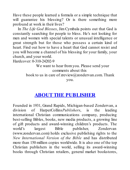Have these people learned a formula or a simple technique that will guarantee his blessing? Or is there something more profound at work in their lives?

In *The Life God Blesses*, Jim Cymbala points out that God is constantly searching for people to bless. He's not looking for men and women with special talents or unusual intelligence or great strength but for those who possess a certain kind of heart. Find out how to have a heart that God cannot resist and you will become a channel of his blessing for your family, your church, and your world.

Hardcover: 0-310-24202-9

We want to hear fromyou. Please send your comments about this book to us in care of zreview@zondervan.com. Thank

you.

#### **ABOUTTHE PUBLISHER**

Founded in 1931, Grand Rapids, Michigan-based Zondervan, a division of HarperCollins*Publishers*, is the leading international Christian communications company, producing best-selling Bibles, books, new media products, a growing line of gift products and award-winning children's products. The world's largest Bible publisher, Zondervan publisher, (www.zondervan.com) holds exclusive publishing rights to the *New International Version of the Bible* and has distributed more than 150 million copies worldwide. It is also one of the top Christian publishers in the world, selling its award-winning books through Christian retailers, general market bookstores,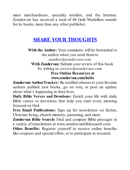mass merchandisers, specialty retailers, and the Internet. Zondervan has received a total of 68 Gold Medallion awards for its books, more than any other publisher.

#### **SHARE YOUR THOUGHTS**

**With the Author:** Your comments will be forwarded to the author when you send themto *zauthor@zondervan.com.* **With Zondervan:** Submit your review of this book by writing to *zreview@zondervan.com.* **Free Online Resources at www.zondervan.com/hello**

**Zondervan AuthorTracker:** Be notified whenever your favorite authors publish new books, go on tour, or post an update about what's happening in their lives.

**Daily Bible Verses and Devotions:** Enrich your life with daily Bible verses or devotions that help you start every morning focused on God.

**Free Email Publications:** Sign up for newsletters on fiction, Christian living, church ministry, parenting, and more. **Zondervan Bible Search:** Find and compare Bible passages in a variety of translations at www.zondervanbiblesearch.com. **Other Benefits:** Register yourself to receive online benefits like coupons and special offers, or to participate in research.